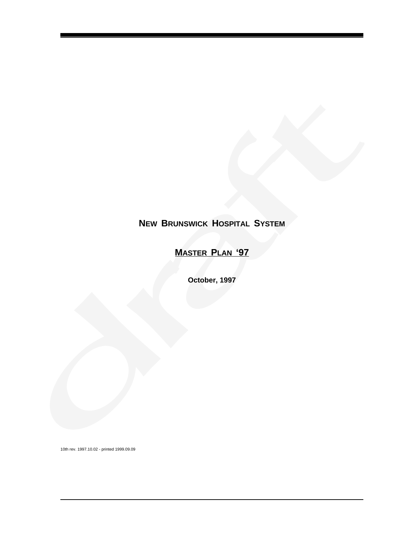# **NEW BRUNSWICK HOSPITAL SYSTEM**

# **MASTER PLAN '97**

**October, 1997**

10th rev. 1997.10.02 - printed 1999.09.09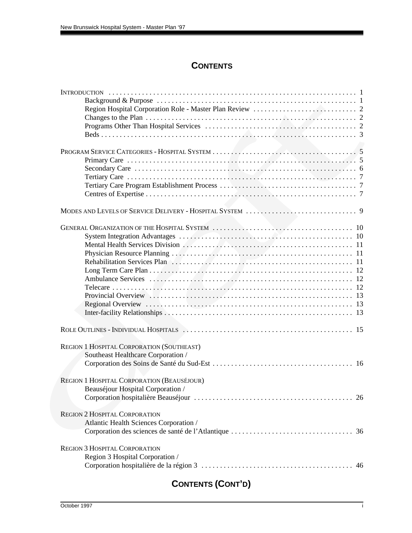# **CONTENTS**

| REGION 1 HOSPITAL CORPORATION (SOUTHEAST)  |  |
|--------------------------------------------|--|
| Southeast Healthcare Corporation /         |  |
|                                            |  |
| REGION 1 HOSPITAL CORPORATION (BEAUSÉJOUR) |  |
| Beauséjour Hospital Corporation /          |  |
|                                            |  |
| <b>REGION 2 HOSPITAL CORPORATION</b>       |  |
| Atlantic Health Sciences Corporation /     |  |
|                                            |  |
|                                            |  |
| <b>REGION 3 HOSPITAL CORPORATION</b>       |  |
| Region 3 Hospital Corporation /            |  |
|                                            |  |

# **CONTENTS (CONT'D)**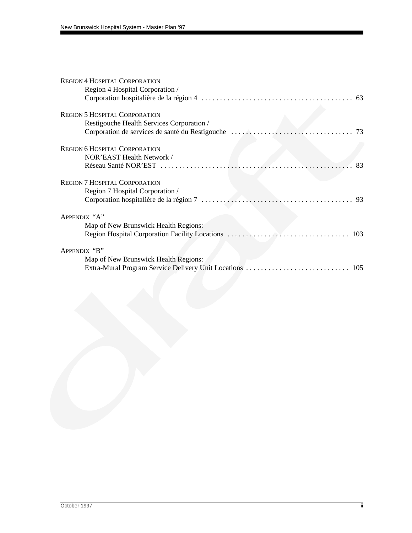| <b>REGION 4 HOSPITAL CORPORATION</b>      |
|-------------------------------------------|
| Region 4 Hospital Corporation /           |
|                                           |
| <b>REGION 5 HOSPITAL CORPORATION</b>      |
| Restigouche Health Services Corporation / |
|                                           |
| <b>REGION 6 HOSPITAL CORPORATION</b>      |
| NOR'EAST Health Network /                 |
| 83                                        |
| <b>REGION 7 HOSPITAL CORPORATION</b>      |
| Region 7 Hospital Corporation /           |
|                                           |
| APPENDIX "A"                              |
| Map of New Brunswick Health Regions:      |
|                                           |
| APPENDIX "B"                              |
| Map of New Brunswick Health Regions:      |
|                                           |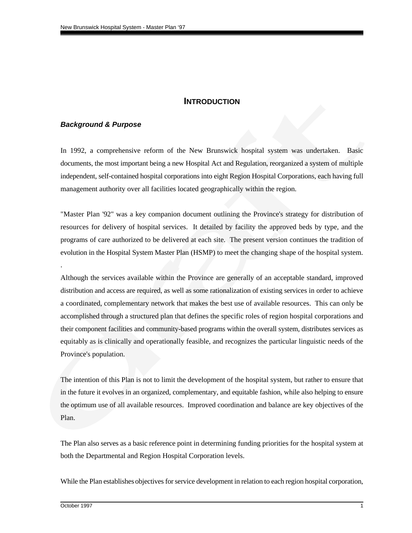## **INTRODUCTION**

## <span id="page-3-0"></span>*Background & Purpose*

In 1992, a comprehensive reform of the New Brunswick hospital system was undertaken. Basic documents, the most important being a new Hospital Act and Regulation, reorganized a system of multiple independent, self-contained hospital corporations into eight Region Hospital Corporations, each having full management authority over all facilities located geographically within the region.

"Master Plan '92" was a key companion document outlining the Province's strategy for distribution of resources for delivery of hospital services. It detailed by facility the approved beds by type, and the programs of care authorized to be delivered at each site. The present version continues the tradition of evolution in the Hospital System Master Plan (HSMP) to meet the changing shape of the hospital system.

Although the services available within the Province are generally of an acceptable standard, improved distribution and access are required, as well as some rationalization of existing services in order to achieve a coordinated, complementary network that makes the best use of available resources. This can only be accomplished through a structured plan that defines the specific roles of region hospital corporations and their component facilities and community-based programs within the overall system, distributes services as equitably as is clinically and operationally feasible, and recognizes the particular linguistic needs of the Province's population.

The intention of this Plan is not to limit the development of the hospital system, but rather to ensure that in the future it evolves in an organized, complementary, and equitable fashion, while also helping to ensure the optimum use of all available resources. Improved coordination and balance are key objectives of the Plan.

The Plan also serves as a basic reference point in determining funding priorities for the hospital system at both the Departmental and Region Hospital Corporation levels.

While the Plan establishes objectives for service development in relation to each region hospital corporation,

.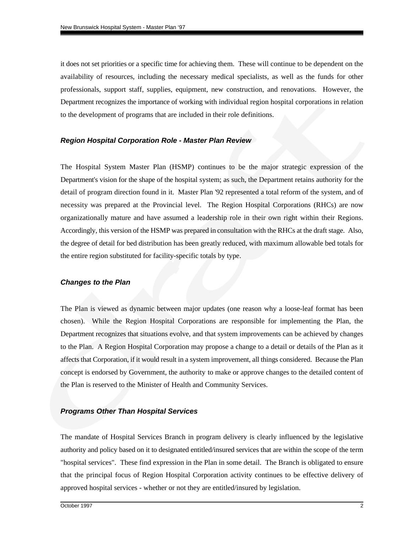<span id="page-4-0"></span>it does not set priorities or a specific time for achieving them. These will continue to be dependent on the availability of resources, including the necessary medical specialists, as well as the funds for other professionals, support staff, supplies, equipment, new construction, and renovations. However, the Department recognizes the importance of working with individual region hospital corporations in relation to the development of programs that are included in their role definitions.

## *Region Hospital Corporation Role - Master Plan Review*

The Hospital System Master Plan (HSMP) continues to be the major strategic expression of the Department's vision for the shape of the hospital system; as such, the Department retains authority for the detail of program direction found in it. Master Plan '92 represented a total reform of the system, and of necessity was prepared at the Provincial level. The Region Hospital Corporations (RHCs) are now organizationally mature and have assumed a leadership role in their own right within their Regions. Accordingly, this version of the HSMP was prepared in consultation with the RHCs at the draft stage. Also, the degree of detail for bed distribution has been greatly reduced, with maximum allowable bed totals for the entire region substituted for facility-specific totals by type.

#### *Changes to the Plan*

The Plan is viewed as dynamic between major updates (one reason why a loose-leaf format has been chosen). While the Region Hospital Corporations are responsible for implementing the Plan, the Department recognizes that situations evolve, and that system improvements can be achieved by changes to the Plan. A Region Hospital Corporation may propose a change to a detail or details of the Plan as it affects that Corporation, if it would result in a system improvement, all things considered. Because the Plan concept is endorsed by Government, the authority to make or approve changes to the detailed content of the Plan is reserved to the Minister of Health and Community Services.

#### *Programs Other Than Hospital Services*

The mandate of Hospital Services Branch in program delivery is clearly influenced by the legislative authority and policy based on it to designated entitled/insured services that are within the scope of the term "hospital services". These find expression in the Plan in some detail. The Branch is obligated to ensure that the principal focus of Region Hospital Corporation activity continues to be effective delivery of approved hospital services - whether or not they are entitled/insured by legislation.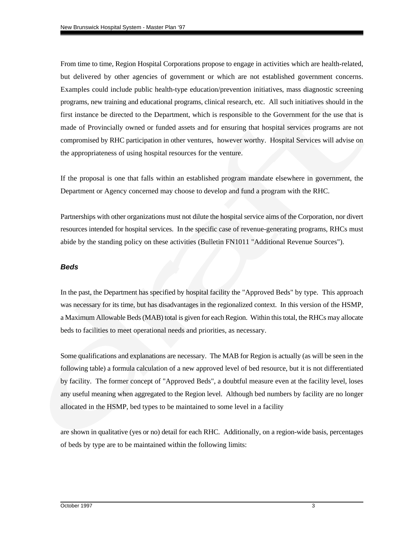<span id="page-5-0"></span>From time to time, Region Hospital Corporations propose to engage in activities which are health-related, but delivered by other agencies of government or which are not established government concerns. Examples could include public health-type education/prevention initiatives, mass diagnostic screening programs, new training and educational programs, clinical research, etc. All such initiatives should in the first instance be directed to the Department, which is responsible to the Government for the use that is made of Provincially owned or funded assets and for ensuring that hospital services programs are not compromised by RHC participation in other ventures, however worthy. Hospital Services will advise on the appropriateness of using hospital resources for the venture.

If the proposal is one that falls within an established program mandate elsewhere in government, the Department or Agency concerned may choose to develop and fund a program with the RHC.

Partnerships with other organizations must not dilute the hospital service aims of the Corporation, nor divert resources intended for hospital services. In the specific case of revenue-generating programs, RHCs must abide by the standing policy on these activities (Bulletin FN1011 "Additional Revenue Sources").

#### *Beds*

In the past, the Department has specified by hospital facility the "Approved Beds" by type. This approach was necessary for its time, but has disadvantages in the regionalized context. In this version of the HSMP, a Maximum Allowable Beds (MAB) total is given for each Region. Within this total, the RHCs may allocate beds to facilities to meet operational needs and priorities, as necessary.

Some qualifications and explanations are necessary. The MAB for Region is actually (as will be seen in the following table) a formula calculation of a new approved level of bed resource, but it is not differentiated by facility. The former concept of "Approved Beds", a doubtful measure even at the facility level, loses any useful meaning when aggregated to the Region level. Although bed numbers by facility are no longer allocated in the HSMP, bed types to be maintained to some level in a facility

are shown in qualitative (yes or no) detail for each RHC. Additionally, on a region-wide basis, percentages of beds by type are to be maintained within the following limits: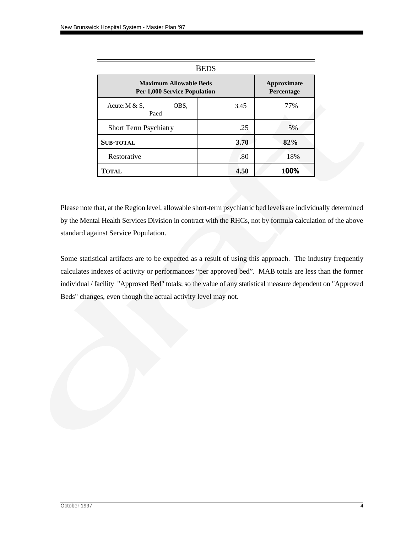| <b>BEDS</b>                                                          |                                  |      |  |  |  |  |  |  |  |
|----------------------------------------------------------------------|----------------------------------|------|--|--|--|--|--|--|--|
| <b>Maximum Allowable Beds</b><br><b>Per 1,000 Service Population</b> | <b>Approximate</b><br>Percentage |      |  |  |  |  |  |  |  |
| OBS.<br>Acute: $M & S$ .<br>Paed                                     | 3.45                             | 77%  |  |  |  |  |  |  |  |
| Short Term Psychiatry                                                | .25                              | 5%   |  |  |  |  |  |  |  |
| <b>SUB-TOTAL</b>                                                     | 3.70                             | 82%  |  |  |  |  |  |  |  |
| Restorative                                                          | .80                              | 18%  |  |  |  |  |  |  |  |
| <b>TOTAL</b>                                                         | 4.50                             | 100% |  |  |  |  |  |  |  |

Please note that, at the Region level, allowable short-term psychiatric bed levels are individually determined by the Mental Health Services Division in contract with the RHCs, not by formula calculation of the above standard against Service Population.

Some statistical artifacts are to be expected as a result of using this approach. The industry frequently calculates indexes of activity or performances "per approved bed". MAB totals are less than the former individual / facility "Approved Bed" totals; so the value of any statistical measure dependent on "Approved Beds" changes, even though the actual activity level may not.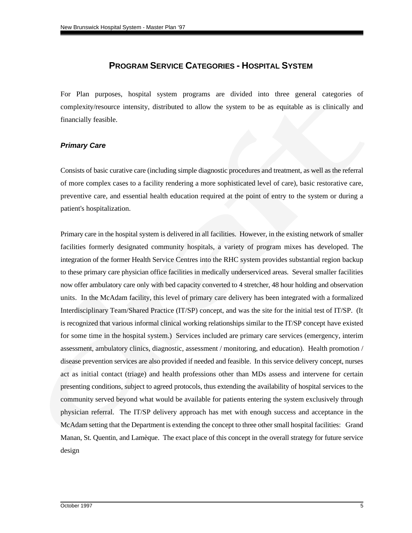# **PROGRAM SERVICE CATEGORIES - HOSPITAL SYSTEM**

<span id="page-7-0"></span>For Plan purposes, hospital system programs are divided into three general categories of complexity/resource intensity, distributed to allow the system to be as equitable as is clinically and financially feasible.

## *Primary Care*

Consists of basic curative care (including simple diagnostic procedures and treatment, as well as the referral of more complex cases to a facility rendering a more sophisticated level of care), basic restorative care, preventive care, and essential health education required at the point of entry to the system or during a patient's hospitalization.

Primary care in the hospital system is delivered in all facilities. However, in the existing network of smaller facilities formerly designated community hospitals, a variety of program mixes has developed. The integration of the former Health Service Centres into the RHC system provides substantial region backup to these primary care physician office facilities in medically underserviced areas. Several smaller facilities now offer ambulatory care only with bed capacity converted to 4 stretcher, 48 hour holding and observation units. In the McAdam facility, this level of primary care delivery has been integrated with a formalized Interdisciplinary Team/Shared Practice (IT/SP) concept, and was the site for the initial test of IT/SP. (It is recognized that various informal clinical working relationships similar to the IT/SP concept have existed for some time in the hospital system.) Services included are primary care services (emergency, interim assessment, ambulatory clinics, diagnostic, assessment / monitoring, and education). Health promotion / disease prevention services are also provided if needed and feasible. In this service delivery concept, nurses act as initial contact (triage) and health professions other than MDs assess and intervene for certain presenting conditions, subject to agreed protocols, thus extending the availability of hospital services to the community served beyond what would be available for patients entering the system exclusively through physician referral. The IT/SP delivery approach has met with enough success and acceptance in the McAdam setting that the Department is extending the concept to three other small hospital facilities: Grand Manan, St. Quentin, and Lamèque. The exact place of this concept in the overall strategy for future service design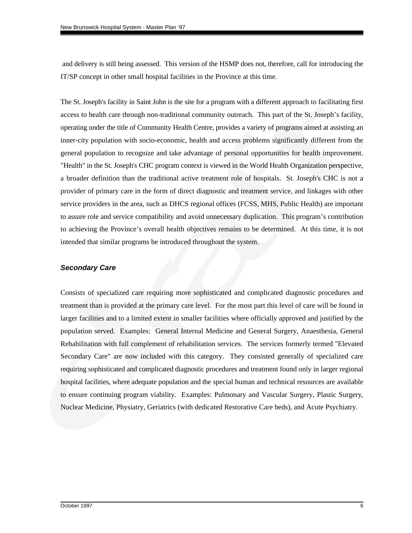and delivery is still being assessed. This version of the HSMP does not, therefore, call for introducing the IT/SP concept in other small hospital facilities in the Province at this time.

The St. Joseph's facility in Saint John is the site for a program with a different approach to facilitating first access to health care through non-traditional community outreach. This part of the St. Joseph's facility, operating under the title of Community Health Centre, provides a variety of programs aimed at assisting an inner-city population with socio-economic, health and access problems significantly different from the general population to recognize and take advantage of personal opportunities for health improvement. "Health" in the St. Joseph's CHC program context is viewed in the World Health Organization perspective, a broader definition than the traditional active treatment role of hospitals. St. Joseph's CHC is not a provider of primary care in the form of direct diagnostic and treatment service, and linkages with other service providers in the area, such as DHCS regional offices (FCSS, MHS, Public Health) are important to assure role and service compatibility and avoid unnecessary duplication. This program's contribution to achieving the Province's overall health objectives remains to be determined. At this time, it is not intended that similar programs be introduced throughout the system.

## *Secondary Care*

Consists of specialized care requiring more sophisticated and complicated diagnostic procedures and treatment than is provided at the primary care level. For the most part this level of care will be found in larger facilities and to a limited extent in smaller facilities where officially approved and justified by the population served. Examples: General Internal Medicine and General Surgery, Anaesthesia, General Rehabilitation with full complement of rehabilitation services. The services formerly termed "Elevated Secondary Care" are now included with this category. They consisted generally of specialized care requiring sophisticated and complicated diagnostic procedures and treatment found only in larger regional hospital facilities, where adequate population and the special human and technical resources are available to ensure continuing program viability. Examples: Pulmonary and Vascular Surgery, Plastic Surgery, Nuclear Medicine, Physiatry, Geriatrics (with dedicated Restorative Care beds), and Acute Psychiatry.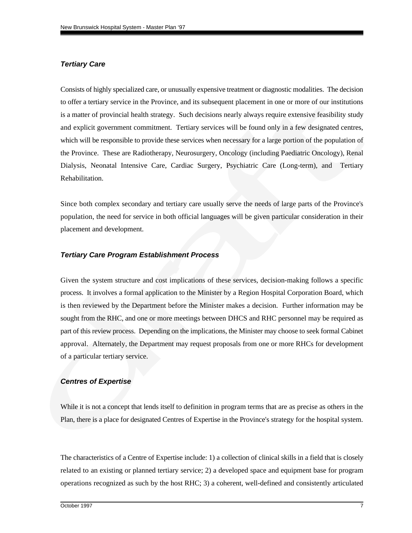#### <span id="page-9-0"></span>*Tertiary Care*

Consists of highly specialized care, or unusually expensive treatment or diagnostic modalities. The decision to offer a tertiary service in the Province, and its subsequent placement in one or more of our institutions is a matter of provincial health strategy. Such decisions nearly always require extensive feasibility study and explicit government commitment. Tertiary services will be found only in a few designated centres, which will be responsible to provide these services when necessary for a large portion of the population of the Province. These are Radiotherapy, Neurosurgery, Oncology (including Paediatric Oncology), Renal Dialysis, Neonatal Intensive Care, Cardiac Surgery, Psychiatric Care (Long-term), and Tertiary Rehabilitation.

Since both complex secondary and tertiary care usually serve the needs of large parts of the Province's population, the need for service in both official languages will be given particular consideration in their placement and development.

### *Tertiary Care Program Establishment Process*

Given the system structure and cost implications of these services, decision-making follows a specific process. It involves a formal application to the Minister by a Region Hospital Corporation Board, which is then reviewed by the Department before the Minister makes a decision. Further information may be sought from the RHC, and one or more meetings between DHCS and RHC personnel may be required as part of this review process. Depending on the implications, the Minister may choose to seek formal Cabinet approval. Alternately, the Department may request proposals from one or more RHCs for development of a particular tertiary service.

#### *Centres of Expertise*

While it is not a concept that lends itself to definition in program terms that are as precise as others in the Plan, there is a place for designated Centres of Expertise in the Province's strategy for the hospital system.

The characteristics of a Centre of Expertise include: 1) a collection of clinical skills in a field that is closely related to an existing or planned tertiary service; 2) a developed space and equipment base for program operations recognized as such by the host RHC; 3) a coherent, well-defined and consistently articulated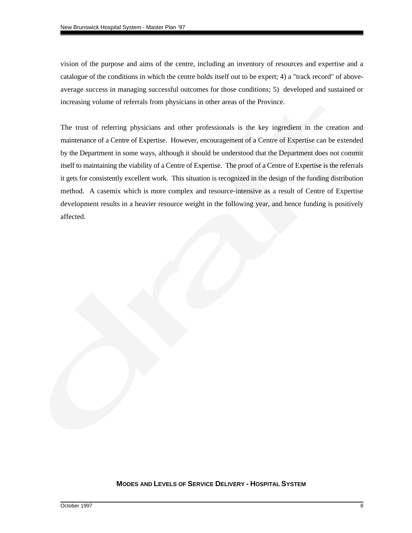vision of the purpose and aims of the centre, including an inventory of resources and expertise and a catalogue of the conditions in which the centre holds itself out to be expert; 4) a "track record" of aboveaverage success in managing successful outcomes for those conditions; 5) developed and sustained or increasing volume of referrals from physicians in other areas of the Province.

The trust of referring physicians and other professionals is the key ingredient in the creation and maintenance of a Centre of Expertise. However, encouragement of a Centre of Expertise can be extended by the Department in some ways, although it should be understood that the Department does not commit itself to maintaining the viability of a Centre of Expertise. The proof of a Centre of Expertise is the referrals it gets for consistently excellent work. This situation is recognized in the design of the funding distribution method. A casemix which is more complex and resource-intensive as a result of Centre of Expertise development results in a heavier resource weight in the following year, and hence funding is positively affected.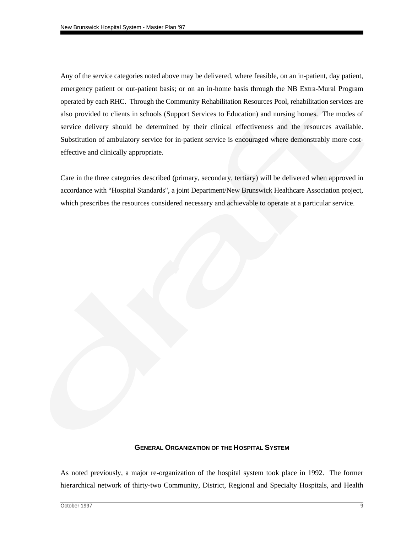<span id="page-11-0"></span>Any of the service categories noted above may be delivered, where feasible, on an in-patient, day patient, emergency patient or out-patient basis; or on an in-home basis through the NB Extra-Mural Program operated by each RHC. Through the Community Rehabilitation Resources Pool, rehabilitation services are also provided to clients in schools (Support Services to Education) and nursing homes. The modes of service delivery should be determined by their clinical effectiveness and the resources available. Substitution of ambulatory service for in-patient service is encouraged where demonstrably more costeffective and clinically appropriate.

Care in the three categories described (primary, secondary, tertiary) will be delivered when approved in accordance with "Hospital Standards", a joint Department/New Brunswick Healthcare Association project, which prescribes the resources considered necessary and achievable to operate at a particular service.

#### **GENERAL ORGANIZATION OF THE HOSPITAL SYSTEM**

As noted previously, a major re-organization of the hospital system took place in 1992. The former hierarchical network of thirty-two Community, District, Regional and Specialty Hospitals, and Health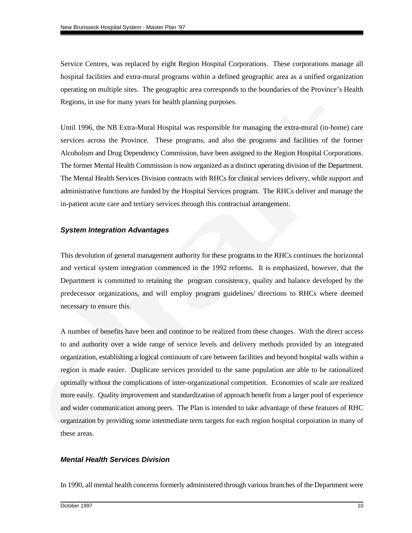<span id="page-12-0"></span>Service Centres, was replaced by eight Region Hospital Corporations. These corporations manage all hospital facilities and extra-mural programs within a defined geographic area as a unified organization operating on multiple sites. The geographic area corresponds to the boundaries of the Province's Health Regions, in use for many years for health planning purposes.

Until 1996, the NB Extra-Mural Hospital was responsible for managing the extra-mural (in-home) care services across the Province. These programs, and also the programs and facilities of the former Alcoholism and Drug Dependency Commission, have been assigned to the Region Hospital Corporations. The former Mental Health Commission is now organized as a distinct operating division of the Department. The Mental Health Services Division contracts with RHCs for clinical services delivery, while support and administrative functions are funded by the Hospital Services program. The RHCs deliver and manage the in-patient acute care and tertiary services through this contractual arrangement.

## *System Integration Advantages*

This devolution of general management authority for these programs to the RHCs continues the horizontal and vertical system integration commenced in the 1992 reforms. It is emphasized, however, that the Department is committed to retaining the program consistency, quality and balance developed by the predecessor organizations, and will employ program guidelines/ directions to RHCs where deemed necessary to ensure this.

A number of benefits have been and continue to be realized from these changes. With the direct access to and authority over a wide range of service levels and delivery methods provided by an integrated organization, establishing a logical continuum of care between facilities and beyond hospital walls within a region is made easier. Duplicate services provided to the same population are able to be rationalized optimally without the complications of inter-organizational competition. Economies of scale are realized more easily. Quality improvement and standardization of approach benefit from a larger pool of experience and wider communication among peers. The Plan is intended to take advantage of these features of RHC organization by providing some intermediate term targets for each region hospital corporation in many of these areas.

## *Mental Health Services Division*

In 1990, all mental health concerns formerly administered through various branches of the Department were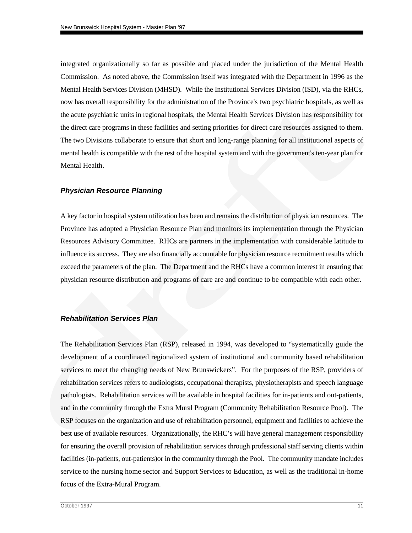integrated organizationally so far as possible and placed under the jurisdiction of the Mental Health Commission. As noted above, the Commission itself was integrated with the Department in 1996 as the Mental Health Services Division (MHSD). While the Institutional Services Division (ISD), via the RHCs, now has overall responsibility for the administration of the Province's two psychiatric hospitals, as well as the acute psychiatric units in regional hospitals, the Mental Health Services Division has responsibility for the direct care programs in these facilities and setting priorities for direct care resources assigned to them. The two Divisions collaborate to ensure that short and long-range planning for all institutional aspects of mental health is compatible with the rest of the hospital system and with the government's ten-year plan for Mental Health.

#### *Physician Resource Planning*

A key factor in hospital system utilization has been and remains the distribution of physician resources. The Province has adopted a Physician Resource Plan and monitors its implementation through the Physician Resources Advisory Committee. RHCs are partners in the implementation with considerable latitude to influence its success. They are also financially accountable for physician resource recruitment results which exceed the parameters of the plan. The Department and the RHCs have a common interest in ensuring that physician resource distribution and programs of care are and continue to be compatible with each other.

### *Rehabilitation Services Plan*

The Rehabilitation Services Plan (RSP), released in 1994, was developed to "systematically guide the development of a coordinated regionalized system of institutional and community based rehabilitation services to meet the changing needs of New Brunswickers". For the purposes of the RSP, providers of rehabilitation services refers to audiologists, occupational therapists, physiotherapists and speech language pathologists. Rehabilitation services will be available in hospital facilities for in-patients and out-patients, and in the community through the Extra Mural Program (Community Rehabilitation Resource Pool). The RSP focuses on the organization and use of rehabilitation personnel, equipment and facilities to achieve the best use of available resources. Organizationally, the RHC's will have general management responsibility for ensuring the overall provision of rehabilitation services through professional staff serving clients within facilities (in-patients, out-patients)or in the community through the Pool. The community mandate includes service to the nursing home sector and Support Services to Education, as well as the traditional in-home focus of the Extra-Mural Program.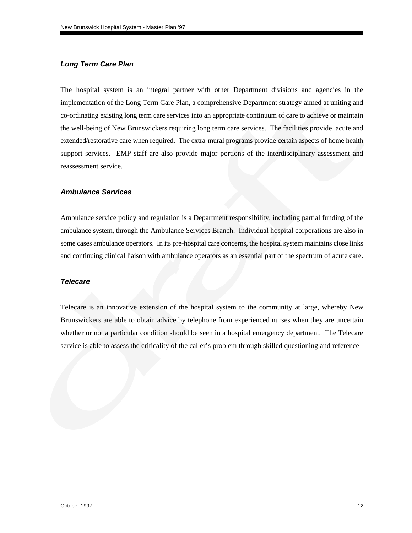## <span id="page-14-0"></span>*Long Term Care Plan*

The hospital system is an integral partner with other Department divisions and agencies in the implementation of the Long Term Care Plan, a comprehensive Department strategy aimed at uniting and co-ordinating existing long term care services into an appropriate continuum of care to achieve or maintain the well-being of New Brunswickers requiring long term care services. The facilities provide acute and extended/restorative care when required. The extra-mural programs provide certain aspects of home health support services. EMP staff are also provide major portions of the interdisciplinary assessment and reassessment service.

## *Ambulance Services*

Ambulance service policy and regulation is a Department responsibility, including partial funding of the ambulance system, through the Ambulance Services Branch. Individual hospital corporations are also in some cases ambulance operators. In its pre-hospital care concerns, the hospital system maintains close links and continuing clinical liaison with ambulance operators as an essential part of the spectrum of acute care.

## *Telecare*

Telecare is an innovative extension of the hospital system to the community at large, whereby New Brunswickers are able to obtain advice by telephone from experienced nurses when they are uncertain whether or not a particular condition should be seen in a hospital emergency department. The Telecare service is able to assess the criticality of the caller's problem through skilled questioning and reference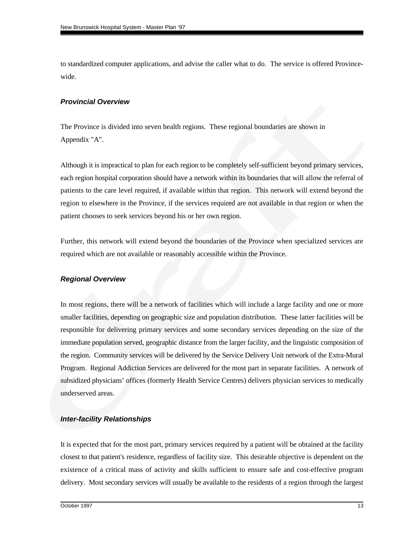<span id="page-15-0"></span>to standardized computer applications, and advise the caller what to do. The service is offered Provincewide.

## *Provincial Overview*

The Province is divided into seven health regions. These regional boundaries are shown in Appendix "A".

Although it is impractical to plan for each region to be completely self-sufficient beyond primary services, each region hospital corporation should have a network within its boundaries that will allow the referral of patients to the care level required, if available within that region. This network will extend beyond the region to elsewhere in the Province, if the services required are not available in that region or when the patient chooses to seek services beyond his or her own region.

Further, this network will extend beyond the boundaries of the Province when specialized services are required which are not available or reasonably accessible within the Province.

## *Regional Overview*

In most regions, there will be a network of facilities which will include a large facility and one or more smaller facilities, depending on geographic size and population distribution. These latter facilities will be responsible for delivering primary services and some secondary services depending on the size of the immediate population served, geographic distance from the larger facility, and the linguistic composition of the region. Community services will be delivered by the Service Delivery Unit network of the Extra-Mural Program. Regional Addiction Services are delivered for the most part in separate facilities. A network of subsidized physicians' offices (formerly Health Service Centres) delivers physician services to medically underserved areas.

## *Inter-facility Relationships*

It is expected that for the most part, primary services required by a patient will be obtained at the facility closest to that patient's residence, regardless of facility size. This desirable objective is dependent on the existence of a critical mass of activity and skills sufficient to ensure safe and cost-effective program delivery. Most secondary services will usually be available to the residents of a region through the largest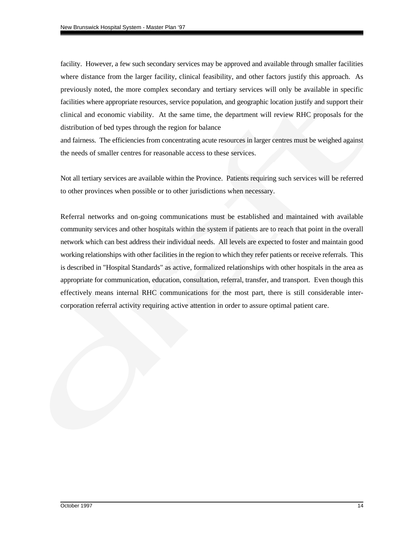facility. However, a few such secondary services may be approved and available through smaller facilities where distance from the larger facility, clinical feasibility, and other factors justify this approach. As previously noted, the more complex secondary and tertiary services will only be available in specific facilities where appropriate resources, service population, and geographic location justify and support their clinical and economic viability. At the same time, the department will review RHC proposals for the distribution of bed types through the region for balance

and fairness. The efficiencies from concentrating acute resources in larger centres must be weighed against the needs of smaller centres for reasonable access to these services.

Not all tertiary services are available within the Province. Patients requiring such services will be referred to other provinces when possible or to other jurisdictions when necessary.

Referral networks and on-going communications must be established and maintained with available community services and other hospitals within the system if patients are to reach that point in the overall network which can best address their individual needs. All levels are expected to foster and maintain good working relationships with other facilities in the region to which they refer patients or receive referrals. This is described in "Hospital Standards" as active, formalized relationships with other hospitals in the area as appropriate for communication, education, consultation, referral, transfer, and transport. Even though this effectively means internal RHC communications for the most part, there is still considerable intercorporation referral activity requiring active attention in order to assure optimal patient care.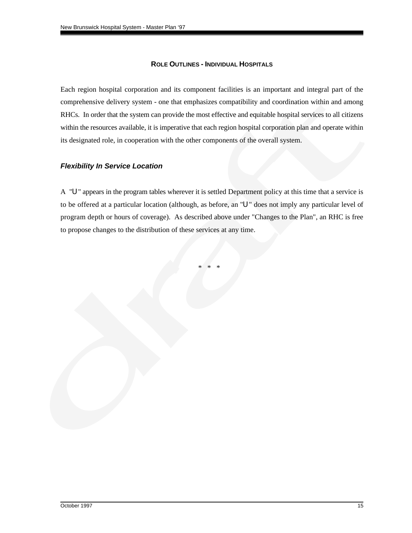## **ROLE OUTLINES - INDIVIDUAL HOSPITALS**

<span id="page-17-0"></span>Each region hospital corporation and its component facilities is an important and integral part of the comprehensive delivery system - one that emphasizes compatibility and coordination within and among RHCs. In order that the system can provide the most effective and equitable hospital services to all citizens within the resources available, it is imperative that each region hospital corporation plan and operate within its designated role, in cooperation with the other components of the overall system.

## *Flexibility In Service Location*

A "U" appears in the program tables wherever it is settled Department policy at this time that a service is to be offered at a particular location (although, as before, an "U" does not imply any particular level of program depth or hours of coverage). As described above under "Changes to the Plan", an RHC is free to propose changes to the distribution of these services at any time.

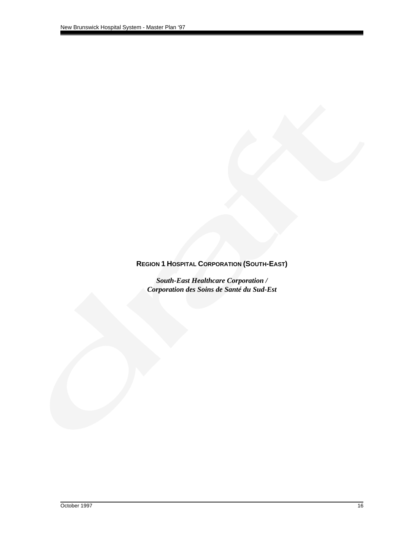# <span id="page-18-0"></span>**REGION 1 HOSPITAL CORPORATION (SOUTH-EAST)**

*South-East Healthcare Corporation / Corporation des Soins de Santé du Sud-Est*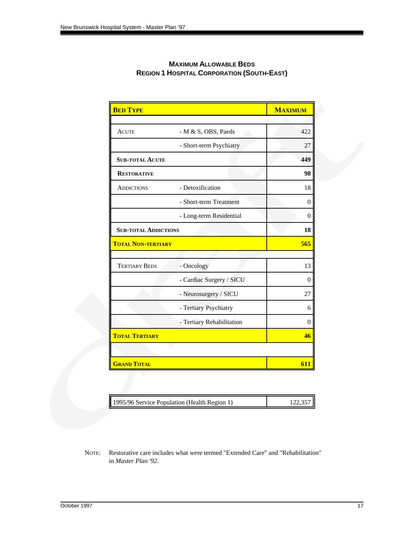| <b>BED TYPE</b>             |                           | <b>MAXIMUM</b> |
|-----------------------------|---------------------------|----------------|
|                             |                           |                |
| <b>ACUTE</b>                | - M & S, OBS, Paeds       | 422            |
|                             | - Short-term Psychiatry   | 27             |
| <b>SUB-TOTAL ACUTE</b>      |                           | 449            |
| <b>RESTORATIVE</b>          |                           | 98             |
| <b>ADDICTIONS</b>           | - Detoxification          | 18             |
|                             | - Short-term Treatment    | $\overline{0}$ |
|                             | - Long-term Residential   | $\overline{0}$ |
| <b>SUB-TOTAL ADDICTIONS</b> |                           | 18             |
| <b>TOTAL NON-TERTIARY</b>   |                           | 565            |
|                             |                           |                |
| <b>TERTIARY BEDS</b>        | - Oncology                | 13             |
|                             | - Cardiac Surgery / SICU  | $\overline{0}$ |
|                             | - Neurosurgery / SICU     | 27             |
|                             | - Tertiary Psychiatry     | 6              |
|                             | - Tertiary Rehabilitation | $\overline{0}$ |
| <b>TOTAL TERTIARY</b>       |                           | 46             |
|                             |                           |                |
| <b>GRAND TOTAL</b>          |                           | 611            |

## **MAXIMUM ALLOWABLE BEDS REGION 1 HOSPITAL CORPORATION (SOUTH-EAST)**

|  | 1995/96 Service Population (Health Region 1) | 122,357 |
|--|----------------------------------------------|---------|
|--|----------------------------------------------|---------|

NOTE: Restorative care includes what were termed "Extended Care" and "Rehabilitation" in *Master Plan '92*.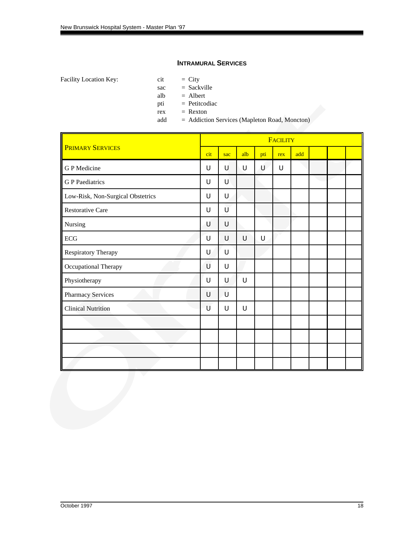## **INTRAMURAL SERVICES**

Facility Location Key:  $\qquad \qquad$  cit  $\qquad \qquad = 1$  City

sac = Sackville

alb = Albert

pti = Petitcodiac

 $rex =$ Rexton

add = Addiction Services (Mapleton Road, Moncton)

|                                   | <b>FACILITY</b> |        |     |     |             |     |  |  |  |
|-----------------------------------|-----------------|--------|-----|-----|-------------|-----|--|--|--|
| <b>PRIMARY SERVICES</b>           | cit             | sac    | alb | pti | rex         | add |  |  |  |
| <b>GP</b> Medicine                | U               | U      | U   | U   | $\mathsf U$ |     |  |  |  |
| <b>G</b> P Paediatrics            | U               | U      |     |     |             |     |  |  |  |
| Low-Risk, Non-Surgical Obstetrics | U               | U      |     |     |             |     |  |  |  |
| <b>Restorative Care</b>           | U               | Ù      |     |     |             |     |  |  |  |
| Nursing                           | U               | U      |     |     |             |     |  |  |  |
| $\operatorname{ECG}$              | U               | U      | U   | U   |             |     |  |  |  |
| Respiratory Therapy               | U               | $\cup$ |     |     |             |     |  |  |  |
| Occupational Therapy              | U               | U      |     |     |             |     |  |  |  |
| Physiotherapy                     | U               | U      | U   |     |             |     |  |  |  |
| Pharmacy Services                 | U               | U      |     |     |             |     |  |  |  |
| <b>Clinical Nutrition</b>         | U               | U      | U   |     |             |     |  |  |  |
|                                   |                 |        |     |     |             |     |  |  |  |
|                                   |                 |        |     |     |             |     |  |  |  |
|                                   |                 |        |     |     |             |     |  |  |  |
|                                   |                 |        |     |     |             |     |  |  |  |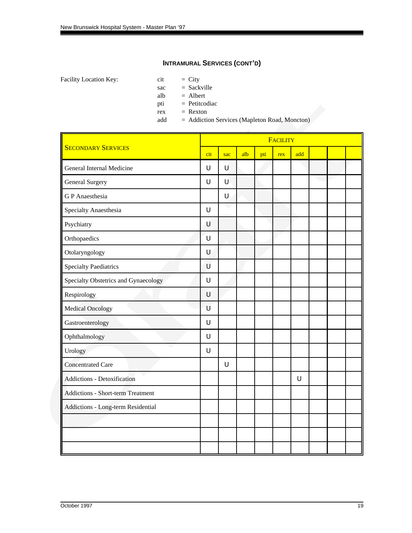Facility Location Key: cit

| City |
|------|
|------|

sac = Sackville

alb  $=$  Albert

pti = Petitcodiac

 $rex =$ Rexton

add = Addiction Services (Mapleton Road, Moncton)

|                                          |             | <b>FACILITY</b> |     |     |     |     |  |  |  |  |
|------------------------------------------|-------------|-----------------|-----|-----|-----|-----|--|--|--|--|
| <b>SECONDARY SERVICES</b>                | cit         | sac             | alb | pti | rex | add |  |  |  |  |
| General Internal Medicine                | $\mathsf U$ | U               |     |     |     |     |  |  |  |  |
| <b>General Surgery</b>                   | $\cup$      | U               |     |     |     |     |  |  |  |  |
| <b>GP</b> Anaesthesia                    |             | $\cup$          |     |     |     |     |  |  |  |  |
| Specialty Anaesthesia                    | $\cup$      |                 |     |     |     |     |  |  |  |  |
| Psychiatry                               | U           |                 |     |     |     |     |  |  |  |  |
| Orthopaedics                             | $\mathsf U$ |                 |     |     |     |     |  |  |  |  |
| Otolaryngology                           | U           |                 |     |     |     |     |  |  |  |  |
| <b>Specialty Paediatrics</b>             | U           |                 |     |     |     |     |  |  |  |  |
| Specialty Obstetrics and Gynaecology     | $\cup$      |                 |     |     |     |     |  |  |  |  |
| Respirology                              | $\cup$      |                 |     |     |     |     |  |  |  |  |
| <b>Medical Oncology</b>                  | U           |                 |     |     |     |     |  |  |  |  |
| Gastroenterology                         | $\cup$      |                 |     |     |     |     |  |  |  |  |
| Ophthalmology                            | $\cup$      |                 |     |     |     |     |  |  |  |  |
| Urology                                  | $\cup$      |                 |     |     |     |     |  |  |  |  |
| <b>Concentrated Care</b>                 |             | $\cup$          |     |     |     |     |  |  |  |  |
| Addictions - Detoxification              |             |                 |     |     |     | U   |  |  |  |  |
| <b>Addictions - Short-term Treatment</b> |             |                 |     |     |     |     |  |  |  |  |
| Addictions - Long-term Residential       |             |                 |     |     |     |     |  |  |  |  |
|                                          |             |                 |     |     |     |     |  |  |  |  |
|                                          |             |                 |     |     |     |     |  |  |  |  |
|                                          |             |                 |     |     |     |     |  |  |  |  |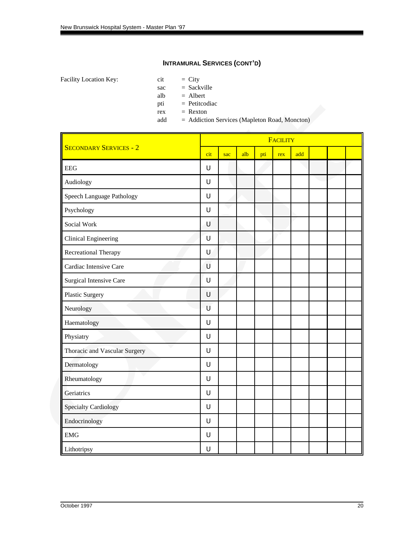Facility Location Key: ci

| City<br>ıt |  |
|------------|--|
|------------|--|

sac = Sackville

alb  $=$  Albert

pti = Petitcodiac

 $rex =$ Rexton

add = Addiction Services (Mapleton Road, Moncton)

|                               |        | FACILITY |     |     |     |     |  |  |  |  |
|-------------------------------|--------|----------|-----|-----|-----|-----|--|--|--|--|
| <b>SECONDARY SERVICES - 2</b> | cit    | sac      | alb | pti | rex | add |  |  |  |  |
| <b>EEG</b>                    | $\cup$ |          |     |     |     |     |  |  |  |  |
| Audiology                     | U      |          |     |     |     |     |  |  |  |  |
| Speech Language Pathology     | $\cup$ |          |     |     |     |     |  |  |  |  |
| Psychology                    | $\cup$ |          |     |     |     |     |  |  |  |  |
| Social Work                   | U      |          |     |     |     |     |  |  |  |  |
| <b>Clinical Engineering</b>   | $\cup$ |          |     |     |     |     |  |  |  |  |
| Recreational Therapy          | $\cup$ |          |     |     |     |     |  |  |  |  |
| Cardiac Intensive Care        | U      |          |     |     |     |     |  |  |  |  |
| Surgical Intensive Care       | $\cup$ |          |     |     |     |     |  |  |  |  |
| <b>Plastic Surgery</b>        | $\cup$ |          |     |     |     |     |  |  |  |  |
| Neurology                     | U      |          |     |     |     |     |  |  |  |  |
| Haematology                   | $\cup$ |          |     |     |     |     |  |  |  |  |
| Physiatry                     | U      |          |     |     |     |     |  |  |  |  |
| Thoracic and Vascular Surgery | $\cup$ |          |     |     |     |     |  |  |  |  |
| Dermatology                   | $\cup$ |          |     |     |     |     |  |  |  |  |
| Rheumatology                  | U      |          |     |     |     |     |  |  |  |  |
| Geriatrics                    | $\cup$ |          |     |     |     |     |  |  |  |  |
| <b>Specialty Cardiology</b>   | $\cup$ |          |     |     |     |     |  |  |  |  |
| Endocrinology                 | U      |          |     |     |     |     |  |  |  |  |
| <b>EMG</b>                    | $\cup$ |          |     |     |     |     |  |  |  |  |
| Lithotripsy                   | U      |          |     |     |     |     |  |  |  |  |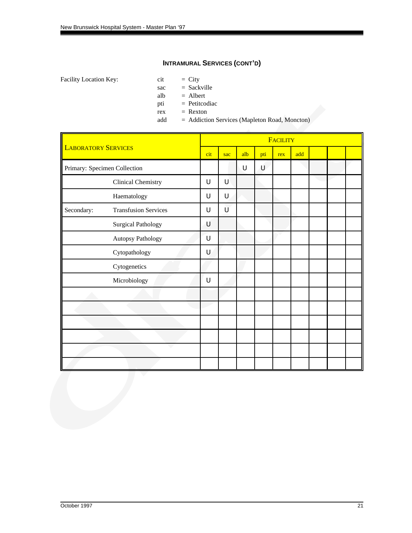Facility Location Key:  $\qquad \qquad$  cit  $\qquad \qquad = 1$  City

- 
- sac = Sackville
- alb = Albert
- pti = Petitcodiac
- $rex =$ Rexton
- add = Addiction Services (Mapleton Road, Moncton)

|            | <b>LABORATORY SERVICES</b>   |   | sac | alb | pti | rex | add |  |  |
|------------|------------------------------|---|-----|-----|-----|-----|-----|--|--|
|            | Primary: Specimen Collection |   |     | U   | U   |     |     |  |  |
|            | <b>Clinical Chemistry</b>    | U | U   |     |     |     |     |  |  |
|            | Haematology                  | U | U   |     |     |     |     |  |  |
| Secondary: | <b>Transfusion Services</b>  | U | Ù   |     |     |     |     |  |  |
|            | <b>Surgical Pathology</b>    | U |     |     |     |     |     |  |  |
|            | Autopsy Pathology            | U |     |     |     |     |     |  |  |
|            | Cytopathology                | U |     |     |     |     |     |  |  |
|            | Cytogenetics                 |   |     |     |     |     |     |  |  |
|            | Microbiology                 | U |     |     |     |     |     |  |  |
|            |                              |   |     |     |     |     |     |  |  |
|            |                              |   |     |     |     |     |     |  |  |
|            |                              |   |     |     |     |     |     |  |  |
|            |                              |   |     |     |     |     |     |  |  |
|            |                              |   |     |     |     |     |     |  |  |
|            |                              |   |     |     |     |     |     |  |  |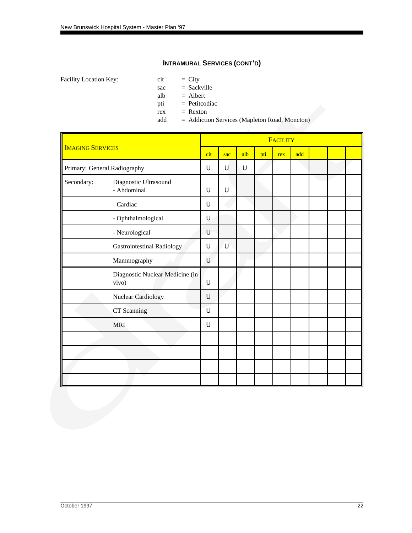Facility Location Key:  $\qquad \qquad$  cit  $\qquad \qquad = 1$  City

- 
- sac = Sackville
- alb = Albert
- pti = Petitcodiac
- $rex =$ Rexton
- add = Addiction Services (Mapleton Road, Moncton)

|            |                                          | FACILITY |     |     |     |     |     |  |  |  |
|------------|------------------------------------------|----------|-----|-----|-----|-----|-----|--|--|--|
|            | <b>IMAGING SERVICES</b>                  |          | sac | alb | pti | rex | add |  |  |  |
|            | Primary: General Radiography             | U        | U   | U   |     |     |     |  |  |  |
| Secondary: | Diagnostic Ultrasound<br>- Abdominal     | U        | U   |     |     |     |     |  |  |  |
|            | - Cardiac                                | U        |     |     |     |     |     |  |  |  |
|            | - Ophthalmological                       | U        |     |     |     |     |     |  |  |  |
|            | - Neurological                           | U        |     |     |     |     |     |  |  |  |
|            | <b>Gastrointestinal Radiology</b>        | U        | Ù   |     |     |     |     |  |  |  |
|            | Mammography                              | U        |     |     |     |     |     |  |  |  |
|            | Diagnostic Nuclear Medicine (in<br>vivo) | U        |     |     |     |     |     |  |  |  |
|            | Nuclear Cardiology                       | U        |     |     |     |     |     |  |  |  |
|            | CT Scanning                              | U        |     |     |     |     |     |  |  |  |
|            | <b>MRI</b>                               | U        |     |     |     |     |     |  |  |  |
|            |                                          |          |     |     |     |     |     |  |  |  |
|            |                                          |          |     |     |     |     |     |  |  |  |
|            |                                          |          |     |     |     |     |     |  |  |  |
|            |                                          |          |     |     |     |     |     |  |  |  |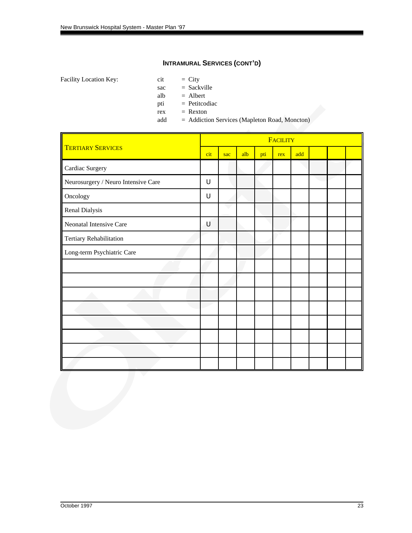Facility Location Key:  $\qquad \qquad$  cit  $\qquad \qquad = 1$  City

- 
- sac = Sackville
- alb = Albert
- pti = Petitcodiac
- $rex =$ Rexton
- add = Addiction Services (Mapleton Road, Moncton)

|                                     |             |     |     |     | <b>FACILITY</b> |     |  |  |
|-------------------------------------|-------------|-----|-----|-----|-----------------|-----|--|--|
| <b>TERTIARY SERVICES</b>            | cit         | sac | alb | pti | rex             | add |  |  |
| Cardiac Surgery                     |             |     |     |     |                 |     |  |  |
| Neurosurgery / Neuro Intensive Care | U           |     |     |     |                 |     |  |  |
| Oncology                            | $\mathsf U$ |     |     |     |                 |     |  |  |
| Renal Dialysis                      |             |     |     |     |                 |     |  |  |
| Neonatal Intensive Care             | U           |     |     |     |                 |     |  |  |
| Tertiary Rehabilitation             |             |     |     |     |                 |     |  |  |
| Long-term Psychiatric Care          |             |     |     |     |                 |     |  |  |
|                                     |             |     |     |     |                 |     |  |  |
|                                     |             |     |     |     |                 |     |  |  |
|                                     |             |     |     |     |                 |     |  |  |
|                                     |             |     |     |     |                 |     |  |  |
|                                     |             |     |     |     |                 |     |  |  |
|                                     |             |     |     |     |                 |     |  |  |
|                                     |             |     |     |     |                 |     |  |  |
|                                     |             |     |     |     |                 |     |  |  |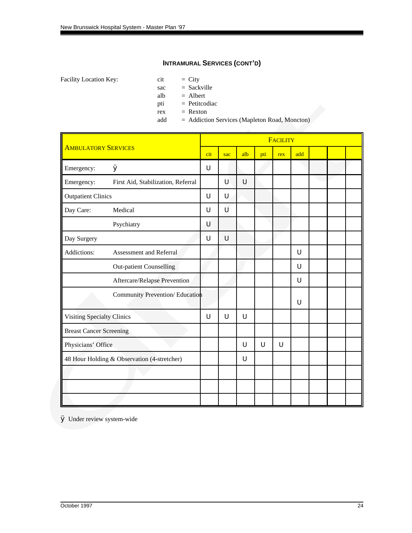Facility Location Key:  $\qquad \qquad$  cit  $\qquad \qquad = 1$  City

- 
- sac = Sackville
- alb = Albert
- pti = Petitcodiac
- $rex =$ Rexton
- add = Addiction Services (Mapleton Road, Moncton)

|                                   |                                             |        |     |        |     | FACILITY |     |  |  |
|-----------------------------------|---------------------------------------------|--------|-----|--------|-----|----------|-----|--|--|
| <b>AMBULATORY SERVICES</b>        |                                             | cit    | sac | alb    | pti | rex      | add |  |  |
| Emergency:                        | Ø                                           | $\cup$ |     |        |     |          |     |  |  |
| Emergency:                        | First Aid, Stabilization, Referral          |        | U   | $\cup$ |     |          |     |  |  |
| <b>Outpatient Clinics</b>         |                                             | U      | U   |        |     |          |     |  |  |
| Day Care:                         | Medical                                     | U      | U   |        |     |          |     |  |  |
|                                   | Psychiatry                                  | U      |     |        |     |          |     |  |  |
| Day Surgery                       |                                             | U      | U   |        |     |          |     |  |  |
| Addictions:                       | Assessment and Referral                     |        |     |        |     |          | U   |  |  |
|                                   | <b>Out-patient Counselling</b>              |        |     |        |     |          | U   |  |  |
|                                   | Aftercare/Relapse Prevention                |        |     |        |     |          | U   |  |  |
|                                   | Community Prevention/ Education             |        |     |        |     |          | U   |  |  |
| <b>Visiting Specialty Clinics</b> |                                             | U      | U   | U      |     |          |     |  |  |
| <b>Breast Cancer Screening</b>    |                                             |        |     |        |     |          |     |  |  |
| Physicians' Office                |                                             |        |     | U      | U   | U        |     |  |  |
|                                   | 48 Hour Holding & Observation (4-stretcher) |        |     | U      |     |          |     |  |  |
|                                   |                                             |        |     |        |     |          |     |  |  |
|                                   |                                             |        |     |        |     |          |     |  |  |
|                                   |                                             |        |     |        |     |          |     |  |  |

Ø Under review system-wide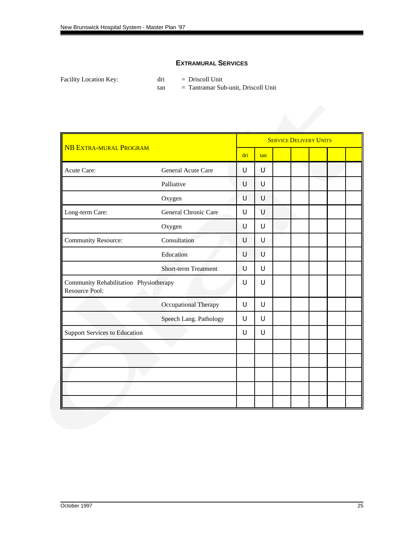## **EXTRAMURAL SERVICES**

| Facility Location Key: |  |
|------------------------|--|
|------------------------|--|

dri = Driscoll Unit

tan = Tantramar Sub-unit, Driscoll Unit

|                                                          |                             |     |     | <b>SERVICE DELIVERY UNITS</b> |  |  |
|----------------------------------------------------------|-----------------------------|-----|-----|-------------------------------|--|--|
| <b>NB EXTRA-MURAL PROGRAM</b>                            |                             | dri | tan |                               |  |  |
| Acute Care:                                              | General Acute Care          | U   | U   |                               |  |  |
|                                                          | Palliative                  | U   | Ū   |                               |  |  |
|                                                          | Oxygen                      | U   | U   |                               |  |  |
| Long-term Care:                                          | General Chronic Care        | U   | U   |                               |  |  |
|                                                          | Oxygen                      | U   | U   |                               |  |  |
| <b>Community Resource:</b>                               | Consultation                | U   | U   |                               |  |  |
|                                                          | Education                   | U   | U   |                               |  |  |
|                                                          | <b>Short-term Treatment</b> | U   | U   |                               |  |  |
| Community Rehabilitation Physiotherapy<br>Resource Pool: |                             | U   | U   |                               |  |  |
|                                                          | Occupational Therapy        | U   | U   |                               |  |  |
|                                                          | Speech Lang. Pathology      | U   | U   |                               |  |  |
| <b>Support Services to Education</b>                     |                             | U   | U   |                               |  |  |
|                                                          |                             |     |     |                               |  |  |
|                                                          |                             |     |     |                               |  |  |
|                                                          |                             |     |     |                               |  |  |
|                                                          |                             |     |     |                               |  |  |
|                                                          |                             |     |     |                               |  |  |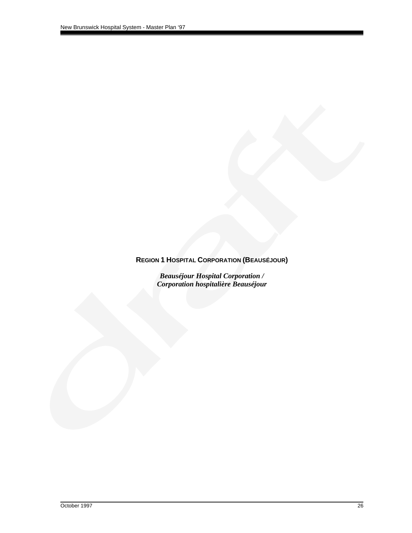# <span id="page-28-0"></span>**REGION 1 HOSPITAL CORPORATION (BEAUSÉJOUR)**

*Beauséjour Hospital Corporation / Corporation hospitalière Beauséjour*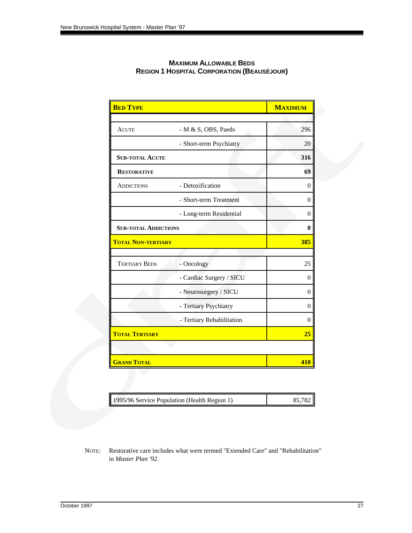| <b>BED TYPE</b>             |                           | <b>MAXIMUM</b>   |
|-----------------------------|---------------------------|------------------|
|                             |                           |                  |
| <b>ACUTE</b>                | - M & S, OBS, Paeds       | 296              |
|                             | - Short-term Psychiatry   | 20               |
| <b>SUB-TOTAL ACUTE</b>      |                           | 316              |
| <b>RESTORATIVE</b>          |                           | 69               |
| <b>ADDICTIONS</b>           | - Detoxification          | $\boldsymbol{0}$ |
|                             | - Short-term Treatment    | $\theta$         |
|                             | - Long-term Residential   | $\overline{0}$   |
| <b>SUB-TOTAL ADDICTIONS</b> |                           | $\bf{0}$         |
| <b>TOTAL NON-TERTIARY</b>   |                           | 385              |
|                             |                           |                  |
| <b>TERTIARY BEDS</b>        | - Oncology                | 25               |
|                             | - Cardiac Surgery / SICU  | $\boldsymbol{0}$ |
|                             | - Neurosurgery / SICU     | $\overline{0}$   |
|                             | - Tertiary Psychiatry     | $\overline{0}$   |
|                             | - Tertiary Rehabilitation | $\overline{0}$   |
| <b>TOTAL TERTIARY</b>       |                           | 25               |
|                             |                           |                  |
| <b>GRAND TOTAL</b>          |                           | 410              |

## **MAXIMUM ALLOWABLE BEDS REGION 1 HOSPITAL CORPORATION (BEAUSÉJOUR)**

|  | 1995/96 Service Population (Health Region 1) | 85.782 |
|--|----------------------------------------------|--------|
|--|----------------------------------------------|--------|

NOTE: Restorative care includes what were termed "Extended Care" and "Rehabilitation" in *Master Plan '92*.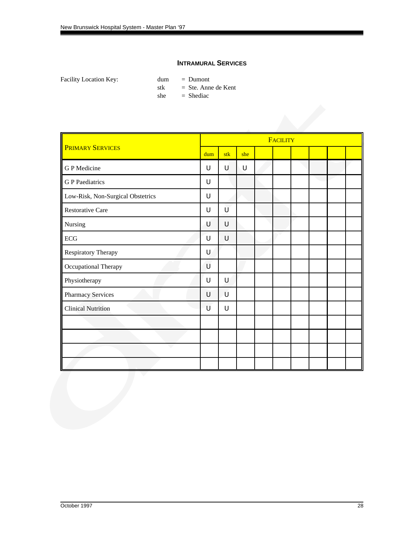## **INTRAMURAL SERVICES**

|                                   |     |     |     | <b>FACILITY</b> |  |  |
|-----------------------------------|-----|-----|-----|-----------------|--|--|
| <b>PRIMARY SERVICES</b>           | dum | stk | she |                 |  |  |
| G P Medicine                      | U   | U   | U   |                 |  |  |
| <b>GP</b> Paediatrics             | U   |     |     |                 |  |  |
| Low-Risk, Non-Surgical Obstetrics | U   |     |     |                 |  |  |
| <b>Restorative Care</b>           | U   | Ù   |     |                 |  |  |
| Nursing                           | Ú   | U   |     |                 |  |  |
| ECG                               | U   | U   |     |                 |  |  |
| Respiratory Therapy               | U   |     |     |                 |  |  |
| Occupational Therapy              | U   |     |     |                 |  |  |
| Physiotherapy                     | U   | U   |     |                 |  |  |
| <b>Pharmacy Services</b>          | U   | Ù   |     |                 |  |  |
| <b>Clinical Nutrition</b>         | U   | U   |     |                 |  |  |
|                                   |     |     |     |                 |  |  |
|                                   |     |     |     |                 |  |  |
|                                   |     |     |     |                 |  |  |
|                                   |     |     |     |                 |  |  |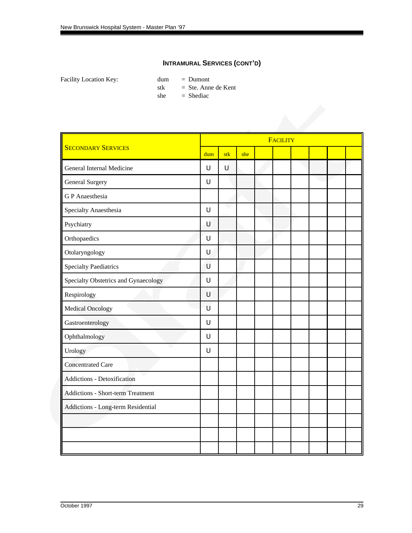|                                          |     |     |     | <b>FACILITY</b> |  |  |
|------------------------------------------|-----|-----|-----|-----------------|--|--|
| <b>SECONDARY SERVICES</b>                | dum | stk | she |                 |  |  |
| General Internal Medicine                | U   | U   |     |                 |  |  |
| <b>General Surgery</b>                   | U   |     |     |                 |  |  |
| <b>GP</b> Anaesthesia                    |     |     |     |                 |  |  |
| Specialty Anaesthesia                    | U   |     |     |                 |  |  |
| Psychiatry                               | U   |     |     |                 |  |  |
| Orthopaedics                             | U   |     |     |                 |  |  |
| Otolaryngology                           | U   |     |     |                 |  |  |
| <b>Specialty Paediatrics</b>             | U   |     |     |                 |  |  |
| Specialty Obstetrics and Gynaecology     | U   |     |     |                 |  |  |
| Respirology                              | U   |     |     |                 |  |  |
| <b>Medical Oncology</b>                  | U   |     |     |                 |  |  |
| Gastroenterology                         | U   |     |     |                 |  |  |
| Ophthalmology                            | U   |     |     |                 |  |  |
| Urology                                  | U   |     |     |                 |  |  |
| <b>Concentrated Care</b>                 |     |     |     |                 |  |  |
| <b>Addictions - Detoxification</b>       |     |     |     |                 |  |  |
| <b>Addictions - Short-term Treatment</b> |     |     |     |                 |  |  |
| Addictions - Long-term Residential       |     |     |     |                 |  |  |
|                                          |     |     |     |                 |  |  |
|                                          |     |     |     |                 |  |  |
|                                          |     |     |     |                 |  |  |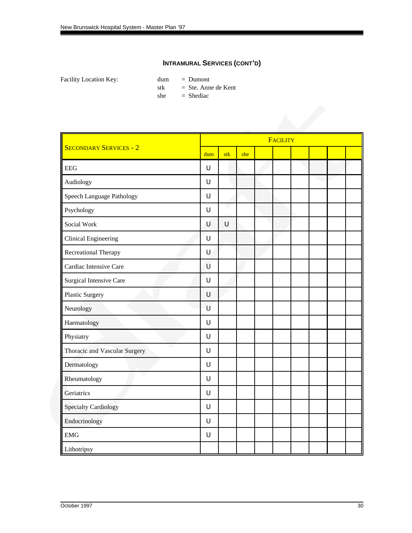|                                  |     |     |     | FACILITY |  |  |
|----------------------------------|-----|-----|-----|----------|--|--|
| <b>SECONDARY SERVICES - 2</b>    | dum | stk | she |          |  |  |
| <b>EEG</b>                       | U   |     |     |          |  |  |
| Audiology                        | U   |     |     |          |  |  |
| <b>Speech Language Pathology</b> | U   |     |     |          |  |  |
| Psychology                       | U   |     |     |          |  |  |
| Social Work                      | U   | Ū   |     |          |  |  |
| <b>Clinical Engineering</b>      | U   |     |     |          |  |  |
| Recreational Therapy             | U   |     |     |          |  |  |
| Cardiac Intensive Care           | U   |     |     |          |  |  |
| Surgical Intensive Care          | U   |     |     |          |  |  |
| <b>Plastic Surgery</b>           | U   |     |     |          |  |  |
| Neurology                        | U   |     |     |          |  |  |
| Haematology                      | U   |     |     |          |  |  |
| Physiatry                        | U   |     |     |          |  |  |
| Thoracic and Vascular Surgery    | U   |     |     |          |  |  |
| Dermatology                      | U   |     |     |          |  |  |
| Rheumatology                     | U   |     |     |          |  |  |
| Geriatrics                       | U   |     |     |          |  |  |
| <b>Specialty Cardiology</b>      | U   |     |     |          |  |  |
| Endocrinology                    | U   |     |     |          |  |  |
| <b>EMG</b>                       | U   |     |     |          |  |  |
| Lithotripsy                      |     |     |     |          |  |  |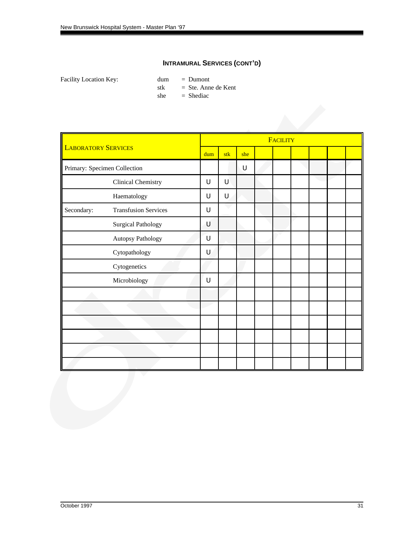|                            |                              |     |     |     | FACILITY |  |  |
|----------------------------|------------------------------|-----|-----|-----|----------|--|--|
| <b>LABORATORY SERVICES</b> |                              | dum | stk | she |          |  |  |
|                            | Primary: Specimen Collection |     |     | U   |          |  |  |
|                            | Clinical Chemistry           | U   | U   |     |          |  |  |
|                            | Haematology                  | U   | U   |     |          |  |  |
| Secondary:                 | <b>Transfusion Services</b>  | U   |     |     |          |  |  |
|                            | <b>Surgical Pathology</b>    | Ú   |     |     |          |  |  |
|                            | Autopsy Pathology            | U   |     |     |          |  |  |
|                            | Cytopathology                | U   |     |     |          |  |  |
|                            | Cytogenetics                 |     |     |     |          |  |  |
|                            | Microbiology                 | U   |     |     |          |  |  |
|                            |                              |     |     |     |          |  |  |
|                            |                              |     |     |     |          |  |  |
|                            |                              |     |     |     |          |  |  |
|                            |                              |     |     |     |          |  |  |
|                            |                              |     |     |     |          |  |  |
|                            |                              |     |     |     |          |  |  |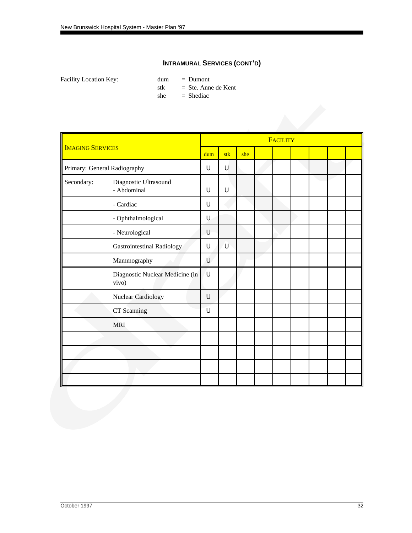|                         |                                          |        |        |     | FACILITY |  |  |
|-------------------------|------------------------------------------|--------|--------|-----|----------|--|--|
| <b>IMAGING SERVICES</b> |                                          | dum    | stk    | she |          |  |  |
|                         | Primary: General Radiography             | U      | U      |     |          |  |  |
| Secondary:              | Diagnostic Ultrasound<br>- Abdominal     | $\cup$ | $\cup$ |     |          |  |  |
|                         | - Cardiac                                | U      |        |     |          |  |  |
|                         | - Ophthalmological                       | $\cup$ |        |     |          |  |  |
|                         | - Neurological                           | U      |        |     |          |  |  |
|                         | <b>Gastrointestinal Radiology</b>        | U      | Ù      |     |          |  |  |
|                         | Mammography                              | U      |        |     |          |  |  |
|                         | Diagnostic Nuclear Medicine (in<br>vivo) | ้บ     |        |     |          |  |  |
|                         | <b>Nuclear Cardiology</b>                | $\cup$ |        |     |          |  |  |
|                         | CT Scanning                              | $\cup$ |        |     |          |  |  |
|                         | <b>MRI</b>                               |        |        |     |          |  |  |
|                         |                                          |        |        |     |          |  |  |
|                         |                                          |        |        |     |          |  |  |
|                         |                                          |        |        |     |          |  |  |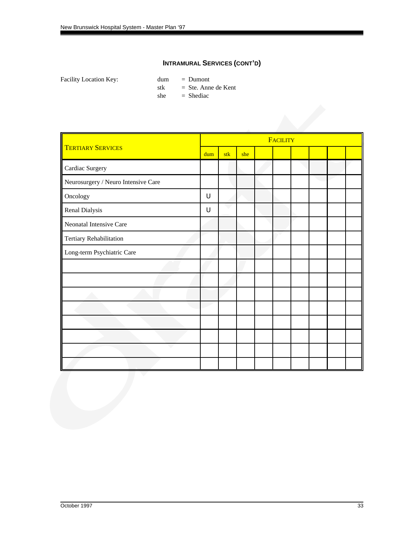|                                     | FACILITY |     |     |  |  |  |  |  |  |  |  |
|-------------------------------------|----------|-----|-----|--|--|--|--|--|--|--|--|
| <b>TERTIARY SERVICES</b>            | dum      | stk | she |  |  |  |  |  |  |  |  |
| Cardiac Surgery                     |          |     |     |  |  |  |  |  |  |  |  |
| Neurosurgery / Neuro Intensive Care |          |     |     |  |  |  |  |  |  |  |  |
| Oncology                            | $\cup$   |     |     |  |  |  |  |  |  |  |  |
| Renal Dialysis                      | $\cup$   |     |     |  |  |  |  |  |  |  |  |
| Neonatal Intensive Care             |          |     |     |  |  |  |  |  |  |  |  |
| Tertiary Rehabilitation             |          |     |     |  |  |  |  |  |  |  |  |
| Long-term Psychiatric Care          |          |     |     |  |  |  |  |  |  |  |  |
|                                     |          |     |     |  |  |  |  |  |  |  |  |
|                                     |          |     |     |  |  |  |  |  |  |  |  |
|                                     |          |     |     |  |  |  |  |  |  |  |  |
|                                     |          |     |     |  |  |  |  |  |  |  |  |
|                                     |          |     |     |  |  |  |  |  |  |  |  |
|                                     |          |     |     |  |  |  |  |  |  |  |  |
|                                     |          |     |     |  |  |  |  |  |  |  |  |
|                                     |          |     |     |  |  |  |  |  |  |  |  |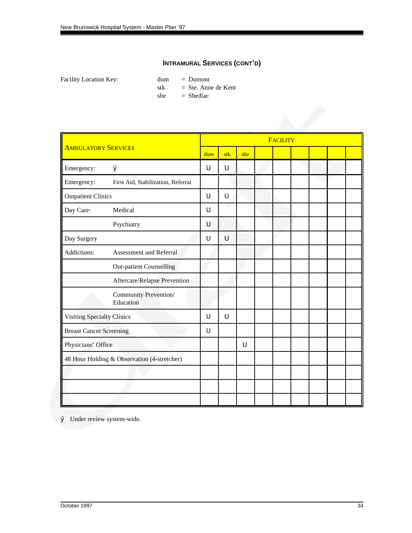Facility Location Key: dum = Dumont stk  $=$  Ste. Anne de Kent  $she$  = Shediac

|                                   |                                             | <b>FACILITY</b> |     |     |  |  |  |  |  |  |  |  |
|-----------------------------------|---------------------------------------------|-----------------|-----|-----|--|--|--|--|--|--|--|--|
| <b>AMBULATORY SERVICES</b>        |                                             | dum             | stk | she |  |  |  |  |  |  |  |  |
| Emergency:                        | Ø                                           | U               | U   |     |  |  |  |  |  |  |  |  |
| Emergency:                        | First Aid, Stabilization, Referral          |                 |     |     |  |  |  |  |  |  |  |  |
| <b>Outpatient Clinics</b>         |                                             | U               | U   |     |  |  |  |  |  |  |  |  |
| Day Care:                         | Medical                                     | U               |     |     |  |  |  |  |  |  |  |  |
|                                   | Psychiatry                                  | U               |     |     |  |  |  |  |  |  |  |  |
| Day Surgery                       |                                             | U               | U   |     |  |  |  |  |  |  |  |  |
| Addictions:                       | Assessment and Referral                     |                 |     |     |  |  |  |  |  |  |  |  |
|                                   | <b>Out-patient Counselling</b>              |                 |     |     |  |  |  |  |  |  |  |  |
|                                   | Aftercare/Relapse Prevention                |                 |     |     |  |  |  |  |  |  |  |  |
|                                   | Community Prevention/<br>Education          |                 |     |     |  |  |  |  |  |  |  |  |
| <b>Visiting Specialty Clinics</b> |                                             | U               | U   |     |  |  |  |  |  |  |  |  |
| <b>Breast Cancer Screening</b>    |                                             | U               |     |     |  |  |  |  |  |  |  |  |
| Physicians' Office                |                                             |                 |     | U   |  |  |  |  |  |  |  |  |
|                                   | 48 Hour Holding & Observation (4-stretcher) |                 |     |     |  |  |  |  |  |  |  |  |
|                                   |                                             |                 |     |     |  |  |  |  |  |  |  |  |
|                                   |                                             |                 |     |     |  |  |  |  |  |  |  |  |
|                                   |                                             |                 |     |     |  |  |  |  |  |  |  |  |

Ø Under review system-wide.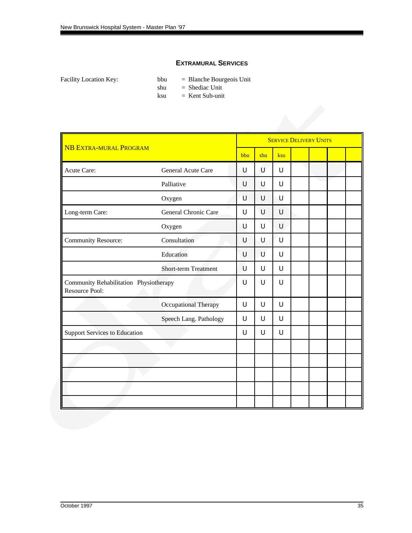#### **EXTRAMURAL SERVICES**

Facility Location Key: bbu = Blanche Bourgeois Unit

shu = Shediac Unit

ksu = Kent Sub-unit

|                                                          |                             | <b>SERVICE DELIVERY UNITS</b> |     |     |  |  |  |  |  |  |
|----------------------------------------------------------|-----------------------------|-------------------------------|-----|-----|--|--|--|--|--|--|
| <b>NB EXTRA-MURAL PROGRAM</b>                            |                             | bbu                           | shu | ksu |  |  |  |  |  |  |
| Acute Care:                                              | General Acute Care          | U                             | U   | U   |  |  |  |  |  |  |
|                                                          | Palliative                  | U                             | U   | U   |  |  |  |  |  |  |
|                                                          | Oxygen                      | U                             | U   | U   |  |  |  |  |  |  |
| Long-term Care:                                          | General Chronic Care        | U                             | U   | U   |  |  |  |  |  |  |
|                                                          | Oxygen                      | U                             | U   | U   |  |  |  |  |  |  |
| <b>Community Resource:</b>                               | Consultation                | U                             | U   | U   |  |  |  |  |  |  |
|                                                          | Education                   | U                             | U   | U   |  |  |  |  |  |  |
|                                                          | <b>Short-term Treatment</b> | U                             | U   | U   |  |  |  |  |  |  |
| Community Rehabilitation Physiotherapy<br>Resource Pool: |                             | U                             | U   | U   |  |  |  |  |  |  |
|                                                          | Occupational Therapy        | U                             | U   | U   |  |  |  |  |  |  |
|                                                          | Speech Lang. Pathology      | U                             | U   | U   |  |  |  |  |  |  |
| <b>Support Services to Education</b>                     |                             | U                             | U   | U   |  |  |  |  |  |  |
|                                                          |                             |                               |     |     |  |  |  |  |  |  |
|                                                          |                             |                               |     |     |  |  |  |  |  |  |
|                                                          |                             |                               |     |     |  |  |  |  |  |  |
|                                                          |                             |                               |     |     |  |  |  |  |  |  |
|                                                          |                             |                               |     |     |  |  |  |  |  |  |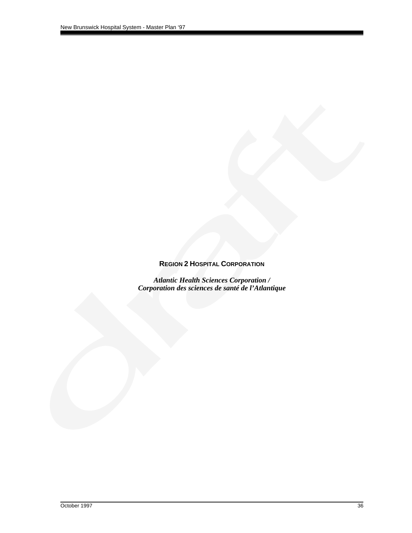## **REGION 2 HOSPITAL CORPORATION**

*Atlantic Health Sciences Corporation / Corporation des sciences de santé de l'Atlantique*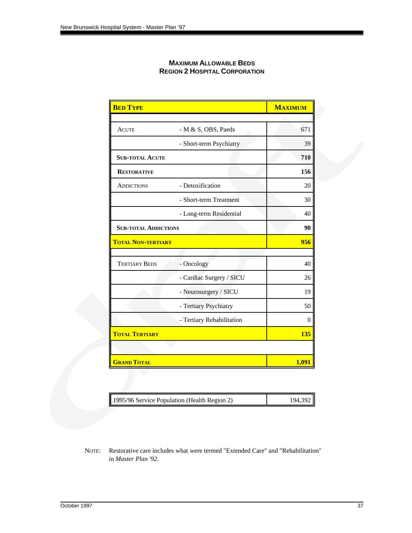| <b>MAXIMUM ALLOWABLE BEDS</b>        |
|--------------------------------------|
| <b>REGION 2 HOSPITAL CORPORATION</b> |

| <b>BED TYPE</b>             |                           | <b>MAXIMUM</b> |
|-----------------------------|---------------------------|----------------|
|                             |                           |                |
| <b>ACUTE</b>                | $- M & S$ , OBS, Paeds    | 671            |
|                             | - Short-term Psychiatry   | 39             |
| <b>SUB-TOTAL ACUTE</b>      |                           | 710            |
| <b>RESTORATIVE</b>          |                           | 156            |
| <b>ADDICTIONS</b>           | - Detoxification          | 20             |
|                             | - Short-term Treatment    | 30             |
|                             | - Long-term Residential   | 40             |
| <b>SUB-TOTAL ADDICTIONS</b> |                           | 90             |
| <b>TOTAL NON-TERTIARY</b>   |                           | 956            |
|                             |                           |                |
| <b>TERTIARY BEDS</b>        | - Oncology                | 40             |
|                             | - Cardiac Surgery / SICU  | 26             |
|                             | - Neurosurgery / SICU     | 19             |
|                             | - Tertiary Psychiatry     | 50             |
|                             | - Tertiary Rehabilitation | $\theta$       |
| <b>TOTAL TERTIARY</b>       |                           | 135            |
|                             |                           |                |
| <b>GRAND TOTAL</b>          |                           | 1,091          |

| 1995/96 Service Population (Health Region 2) | 194,392 |
|----------------------------------------------|---------|
|                                              |         |

NOTE: Restorative care includes what were termed "Extended Care" and "Rehabilitation" in *Master Plan '92*.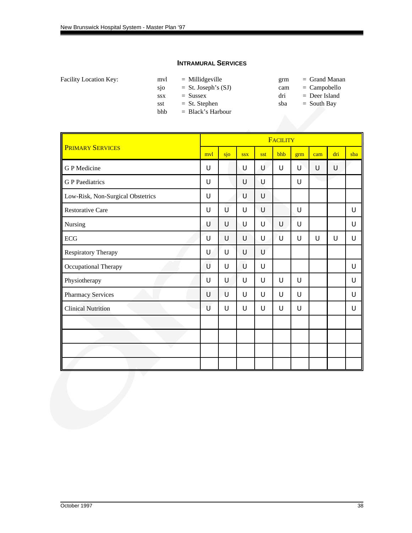#### **INTRAMURAL SERVICES**

| Facility Location Key: |  |
|------------------------|--|
|------------------------|--|

| Facility Location Key: | mvl        | $=$ Millidgeville     | grm | $=$ Grand Manan |
|------------------------|------------|-----------------------|-----|-----------------|
|                        | <b>S10</b> | $=$ St. Joseph's (SJ) | cam | $=$ Campobello  |
|                        | <b>SSX</b> | $=$ Sussex            | dri | $=$ Deer Island |
|                        | sst        | $=$ St. Stephen       | sba | $=$ South Bay   |
|                        | bhb        | $=$ Black's Harbour   |     |                 |

| grm | $=$ Grand Manan |
|-----|-----------------|
| cam | $=$ Campobello  |
| dri | $=$ Deer Island |
| sba | $=$ South Bay   |

|                                   |     |     |            |     | <b>FACILITY</b> |     |     |     |     |
|-----------------------------------|-----|-----|------------|-----|-----------------|-----|-----|-----|-----|
| <b>PRIMARY SERVICES</b>           | mvl | sjo | <b>SSX</b> | sst | bhb             | grm | cam | dri | sba |
| <b>GP</b> Medicine                | U   |     | U          | U   | U               | U   | U   | U   |     |
| <b>G</b> P Paediatrics            | U   |     | U          | U   |                 | U   |     |     |     |
| Low-Risk, Non-Surgical Obstetrics | U   |     | U          | U   |                 |     |     |     |     |
| <b>Restorative Care</b>           | U   | Ù   | U          | U   |                 | U   |     |     | U   |
| Nursing                           | U   | U   | U          | U   | U               | U   |     |     | U   |
| ECG                               | U   | U   | U          | U   | U               | U   | U   | U   | U   |
| Respiratory Therapy               | U   | U   | U          | U   |                 |     |     |     |     |
| Occupational Therapy              | U   | U   | U          | U   |                 |     |     |     | U   |
| Physiotherapy                     | U   | U   | U          | U   | U               | U   |     |     | U   |
| <b>Pharmacy Services</b>          | U   | U   | U          | U   | U               | U   |     |     | U   |
| <b>Clinical Nutrition</b>         | U   | U   | U          | U   | U               | U   |     |     | U   |
|                                   |     |     |            |     |                 |     |     |     |     |
|                                   |     |     |            |     |                 |     |     |     |     |
|                                   |     |     |            |     |                 |     |     |     |     |
|                                   |     |     |            |     |                 |     |     |     |     |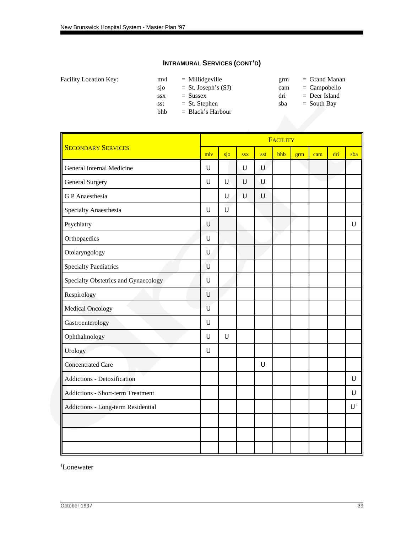|  | Facility Location Key: |  |
|--|------------------------|--|
|--|------------------------|--|

| myl        | $=$ Millidgeville     |  |
|------------|-----------------------|--|
| sjo        | $=$ St. Joseph's (SJ) |  |
| <b>SSX</b> | $=$ Sussex            |  |
| sst        | $=$ St. Stephen       |  |
|            |                       |  |

bhb = Black's Harbour

- $\text{gram}$  = Grand Manan cam = Campobello
- $dri$  = Deer Island
- $sba = South Bay$

|                                          | FACILITY |        |            |        |     |     |     |     |       |  |
|------------------------------------------|----------|--------|------------|--------|-----|-----|-----|-----|-------|--|
| <b>SECONDARY SERVICES</b>                |          | sjo    | <b>SSX</b> | sst    | bhb | grm | cam | dri | sba   |  |
| General Internal Medicine                | U        |        | U          | Ù      |     |     |     |     |       |  |
| <b>General Surgery</b>                   | U        | $\cup$ | U          | U      |     |     |     |     |       |  |
| <b>GP</b> Anaesthesia                    |          | U      | U          | $\cup$ |     |     |     |     |       |  |
| Specialty Anaesthesia                    | $\cup$   | Ù      |            |        |     |     |     |     |       |  |
| Psychiatry                               | Ù        |        |            |        |     |     |     |     | U     |  |
| Orthopaedics                             | $\cup$   |        |            |        |     |     |     |     |       |  |
| Otolaryngology                           | U        |        |            |        |     |     |     |     |       |  |
| <b>Specialty Paediatrics</b>             | U        |        |            |        |     |     |     |     |       |  |
| Specialty Obstetrics and Gynaecology     | $\cup$   |        |            |        |     |     |     |     |       |  |
| Respirology                              | U        |        |            |        |     |     |     |     |       |  |
| <b>Medical Oncology</b>                  | U        |        |            |        |     |     |     |     |       |  |
| Gastroenterology                         | $\cup$   |        |            |        |     |     |     |     |       |  |
| Ophthalmology                            | $\cup$   | $\cup$ |            |        |     |     |     |     |       |  |
| Urology                                  | U        |        |            |        |     |     |     |     |       |  |
| <b>Concentrated Care</b>                 |          |        |            | $\cup$ |     |     |     |     |       |  |
| Addictions - Detoxification              |          |        |            |        |     |     |     |     | U     |  |
| <b>Addictions - Short-term Treatment</b> |          |        |            |        |     |     |     |     | U     |  |
| Addictions - Long-term Residential       |          |        |            |        |     |     |     |     | $U^1$ |  |
|                                          |          |        |            |        |     |     |     |     |       |  |
|                                          |          |        |            |        |     |     |     |     |       |  |
|                                          |          |        |            |        |     |     |     |     |       |  |

<sup>1</sup>Lonewater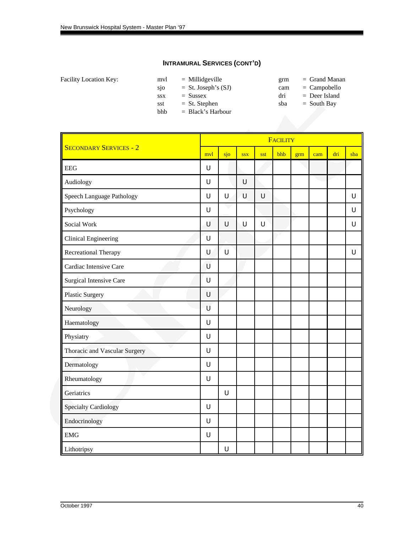|  | Facility Location Key: |  |
|--|------------------------|--|
|--|------------------------|--|

| myl        | $=$ Millidgeville     | grm | $=$ Grand Manan |
|------------|-----------------------|-----|-----------------|
| <b>S10</b> | $=$ St. Joseph's (SJ) | cam | $=$ Campobello  |

bhb = Black's Harbour

- 
- $ssx = Sussex$  dri = Deer Island
- $sst = St. Stephen$  sba = South Bay

|                                | <b>FACILITY</b> |        |            |        |     |     |     |     |     |
|--------------------------------|-----------------|--------|------------|--------|-----|-----|-----|-----|-----|
| <b>SECONDARY SERVICES - 2</b>  | mvl             | sjo    | <b>SSX</b> | sst    | bhb | grm | cam | dri | sba |
| <b>EEG</b>                     | U               |        |            |        |     |     |     |     |     |
| Audiology                      | U               |        | $\cup$     |        |     |     |     |     |     |
| Speech Language Pathology      | $\cup$          | $\cup$ | U          | $\cup$ |     |     |     |     | U   |
| Psychology                     | $\cup$          |        |            |        |     |     |     |     | U   |
| Social Work                    | U               | $\cup$ | U          | $\cup$ |     |     |     |     | U   |
| <b>Clinical Engineering</b>    | $\cup$          |        |            |        |     |     |     |     |     |
| Recreational Therapy           | $\cup$          | $\cup$ |            |        |     |     |     |     | U   |
| Cardiac Intensive Care         | U               |        |            |        |     |     |     |     |     |
| <b>Surgical Intensive Care</b> | $\cup$          |        |            |        |     |     |     |     |     |
| Plastic Surgery                | U               |        |            |        |     |     |     |     |     |
| Neurology                      | U               |        |            |        |     |     |     |     |     |
| Haematology                    | $\cup$          |        |            |        |     |     |     |     |     |
| Physiatry                      | $\cup$          |        |            |        |     |     |     |     |     |
| Thoracic and Vascular Surgery  | $\cup$          |        |            |        |     |     |     |     |     |
| Dermatology                    | $\cup$          |        |            |        |     |     |     |     |     |
| Rheumatology                   | $\mathsf U$     |        |            |        |     |     |     |     |     |
| Geriatrics                     |                 | U      |            |        |     |     |     |     |     |
| <b>Specialty Cardiology</b>    | U               |        |            |        |     |     |     |     |     |
| Endocrinology                  | U               |        |            |        |     |     |     |     |     |
| <b>EMG</b>                     | $\cup$          |        |            |        |     |     |     |     |     |
| Lithotripsy                    |                 | $\cup$ |            |        |     |     |     |     |     |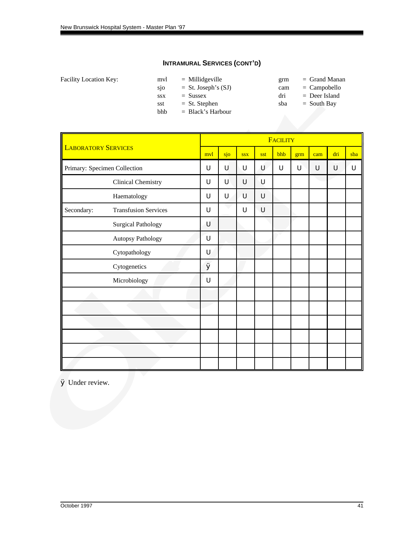|  | Facility Location Key: |  |
|--|------------------------|--|
|--|------------------------|--|

| myl        | $=$ Millidgeville     |  |
|------------|-----------------------|--|
| sjo        | $=$ St. Joseph's (SJ) |  |
| <b>SSX</b> | $=$ Sussex            |  |
| sst        | $=$ St. Stephen       |  |
| bhb        | $=$ Black's Harbour   |  |

- $\text{gram}$  = Grand Manan
- cam = Campobello
- $dri$  = Deer Island
- $sba = South Bay$

|                            |                              |        | FACILITY |            |     |     |     |        |        |     |
|----------------------------|------------------------------|--------|----------|------------|-----|-----|-----|--------|--------|-----|
| <b>LABORATORY SERVICES</b> |                              | mvl    | sjo      | <b>SSX</b> | sst | bhb | grm | cam    | dri    | sba |
|                            | Primary: Specimen Collection | U      | U        | U          | U   | U   | U   | $\cup$ | $\cup$ | U   |
|                            | <b>Clinical Chemistry</b>    | U      | U        | U          | U   |     |     |        |        |     |
|                            | Haematology                  | U      | U        | U          | U   |     |     |        |        |     |
| Secondary:                 | <b>Transfusion Services</b>  | U      |          | U          | U   |     |     |        |        |     |
|                            | <b>Surgical Pathology</b>    | U      |          |            |     |     |     |        |        |     |
|                            | Autopsy Pathology            | $\cup$ |          |            |     |     |     |        |        |     |
|                            | Cytopathology                | U      |          |            |     |     |     |        |        |     |
|                            | Cytogenetics                 | Ø      |          |            |     |     |     |        |        |     |
|                            | Microbiology                 | U      |          |            |     |     |     |        |        |     |
|                            |                              |        |          |            |     |     |     |        |        |     |
|                            |                              |        |          |            |     |     |     |        |        |     |
|                            |                              |        |          |            |     |     |     |        |        |     |
|                            |                              |        |          |            |     |     |     |        |        |     |
|                            |                              |        |          |            |     |     |     |        |        |     |
|                            |                              |        |          |            |     |     |     |        |        |     |

Ø Under review.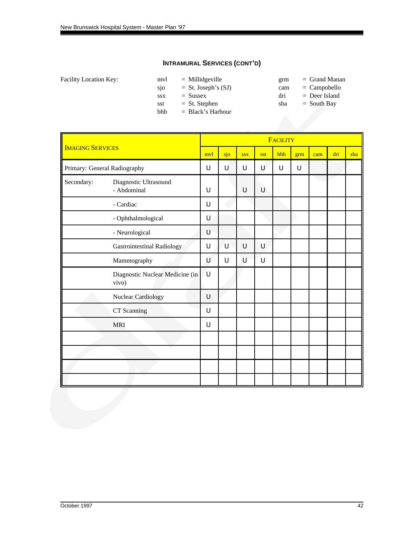|  | Facility Location Key: |  |
|--|------------------------|--|
|--|------------------------|--|

| mvl        | $=$ Millidgeville     |  |
|------------|-----------------------|--|
| sjo        | $=$ St. Joseph's (SJ) |  |
| <b>SSX</b> | $=$ Sussex            |  |
| sst        | $=$ St. Stephen       |  |
| bhb        | $=$ Black's Harbour   |  |

 $\text{gram}$  = Grand Manan

cam = Campobello  $dri$  = Deer Island

 $sba = South Bay$ 

|                         |                                          | <b>FACILITY</b> |        |            |     |     |     |     |     |     |
|-------------------------|------------------------------------------|-----------------|--------|------------|-----|-----|-----|-----|-----|-----|
| <b>IMAGING SERVICES</b> |                                          | mvl             | sjo    | <b>SSX</b> | sst | bhb | grm | cam | dri | sba |
|                         | Primary: General Radiography             | U               | U      | U          | U   | U   | U   |     |     |     |
| Secondary:              | Diagnostic Ultrasound<br>- Abdominal     | U               |        | U          | U   |     |     |     |     |     |
|                         | - Cardiac                                | U               |        |            |     |     |     |     |     |     |
|                         | - Ophthalmological                       | $\cup$          |        |            |     |     |     |     |     |     |
|                         | - Neurological                           | U               |        |            |     |     |     |     |     |     |
|                         | <b>Gastrointestinal Radiology</b>        | $\cup$          | U      | U          | U   |     |     |     |     |     |
|                         | Mammography                              | U               | $\cup$ | U          | U   |     |     |     |     |     |
|                         | Diagnostic Nuclear Medicine (in<br>vivo) | ้บ              |        |            |     |     |     |     |     |     |
|                         | Nuclear Cardiology                       | $\cup$          |        |            |     |     |     |     |     |     |
|                         | CT Scanning                              | $\mathsf U$     |        |            |     |     |     |     |     |     |
|                         | <b>MRI</b>                               | U               |        |            |     |     |     |     |     |     |
|                         |                                          |                 |        |            |     |     |     |     |     |     |
|                         |                                          |                 |        |            |     |     |     |     |     |     |
|                         |                                          |                 |        |            |     |     |     |     |     |     |
|                         |                                          |                 |        |            |     |     |     |     |     |     |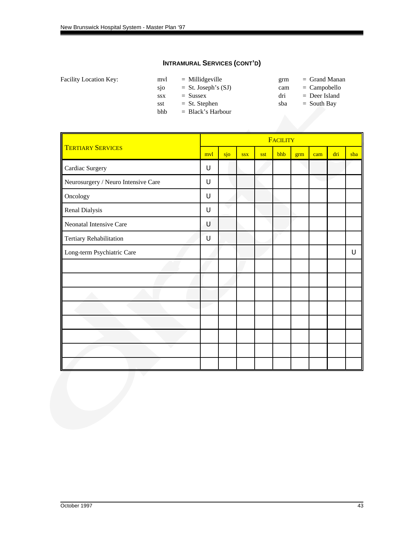| <b>Facility Location Key:</b> | myl        | $=$ Millidgeville    |
|-------------------------------|------------|----------------------|
|                               | <b>S10</b> | $=$ St. Joseph's (3) |
|                               | <b>SSX</b> | $=$ Sussex           |

- 
- bhb = Black's Harbour
- $\text{gram}$  = Grand Manan SJ) cam = Campobello
	- $dri$  = Deer Island
- sst = St. Stephen sba = South Bay

|                                     | FACILITY |     |            |     |     |     |     |     |     |
|-------------------------------------|----------|-----|------------|-----|-----|-----|-----|-----|-----|
| <b>TERTIARY SERVICES</b>            | mvl      | sjo | <b>SSX</b> | sst | bhb | grm | cam | dri | sba |
| Cardiac Surgery                     | U        |     |            |     |     |     |     |     |     |
| Neurosurgery / Neuro Intensive Care | $\cup$   |     |            |     |     |     |     |     |     |
| Oncology                            | U        |     |            |     |     |     |     |     |     |
| Renal Dialysis                      | U        |     |            |     |     |     |     |     |     |
| Neonatal Intensive Care             | U        |     |            |     |     |     |     |     |     |
| Tertiary Rehabilitation             | U        |     |            |     |     |     |     |     |     |
| Long-term Psychiatric Care          |          |     |            |     |     |     |     |     | U   |
|                                     |          |     |            |     |     |     |     |     |     |
|                                     |          |     |            |     |     |     |     |     |     |
|                                     |          |     |            |     |     |     |     |     |     |
|                                     |          |     |            |     |     |     |     |     |     |
|                                     |          |     |            |     |     |     |     |     |     |
|                                     |          |     |            |     |     |     |     |     |     |
|                                     |          |     |            |     |     |     |     |     |     |
|                                     |          |     |            |     |     |     |     |     |     |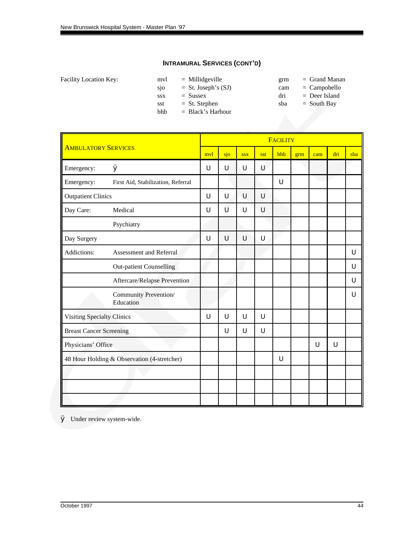| Facility Location Key: |  |  |
|------------------------|--|--|
|------------------------|--|--|

| mvl        | $=$ Millidgeville     |  |
|------------|-----------------------|--|
| sjo        | $=$ St. Joseph's (SJ) |  |
| <b>SSX</b> | $=$ Sussex            |  |
| sst        | $=$ St. Stephen       |  |
| bhb        | $=$ Black's Harbour   |  |

 $\text{gram}$  = Grand Manan

cam = Campobello

 $dri = Deer Island$  $sba = South Bay$ 

|                                |                                             | <b>FACILITY</b> |     |            |     |     |     |     |     |     |  |
|--------------------------------|---------------------------------------------|-----------------|-----|------------|-----|-----|-----|-----|-----|-----|--|
| <b>AMBULATORY SERVICES</b>     |                                             | mvl             | sjo | <b>SSX</b> | sst | bhb | grm | cam | dri | sba |  |
| Emergency:                     | Ø                                           | U               | U   | U          | Ù   |     |     |     |     |     |  |
| Emergency:                     | First Aid, Stabilization, Referral          |                 |     |            |     | U   |     |     |     |     |  |
| <b>Outpatient Clinics</b>      |                                             | U               | U   | U          | U   |     |     |     |     |     |  |
| Day Care:                      | Medical                                     | U               | Ù   | U          | U   |     |     |     |     |     |  |
|                                | Psychiatry                                  |                 |     |            |     |     |     |     |     |     |  |
| Day Surgery                    |                                             | U               | U   | U          | U   |     |     |     |     |     |  |
| Addictions:                    | Assessment and Referral                     |                 |     |            |     |     |     |     |     | U   |  |
|                                | <b>Out-patient Counselling</b>              |                 |     |            |     |     |     |     |     | U   |  |
|                                | Aftercare/Relapse Prevention                |                 |     |            |     |     |     |     |     | U   |  |
|                                | Community Prevention/<br>Education          |                 |     |            |     |     |     |     |     | U   |  |
| Visiting Specialty Clinics     |                                             | U               | U   | U          | U   |     |     |     |     |     |  |
| <b>Breast Cancer Screening</b> |                                             |                 | U   | U          | U   |     |     |     |     |     |  |
| Physicians' Office             |                                             |                 |     |            |     |     |     | U   | U   |     |  |
|                                | 48 Hour Holding & Observation (4-stretcher) |                 |     |            |     | U   |     |     |     |     |  |
|                                |                                             |                 |     |            |     |     |     |     |     |     |  |
|                                |                                             |                 |     |            |     |     |     |     |     |     |  |
|                                |                                             |                 |     |            |     |     |     |     |     |     |  |
|                                |                                             |                 |     |            |     |     |     |     |     |     |  |

Ø Under review system-wide.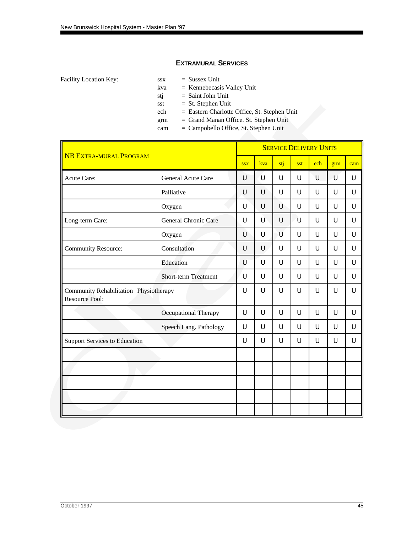#### **EXTRAMURAL SERVICES**

Facility Location Key: ssx = Sussex Unit

- 
- kva = Kennebecasis Valley Unit
- stj = Saint John Unit
- sst  $=$  St. Stephen Unit
- ech = Eastern Charlotte Office, St. Stephen Unit
- grm = Grand Manan Office. St. Stephen Unit
- cam = Campobello Office, St. Stephen Unit

| <b>NB EXTRA-MURAL PROGRAM</b>                                   |                             |            | <b>SERVICE DELIVERY UNITS</b> |     |        |     |     |     |  |  |  |
|-----------------------------------------------------------------|-----------------------------|------------|-------------------------------|-----|--------|-----|-----|-----|--|--|--|
|                                                                 |                             | <b>SSX</b> | kva                           | stj | sst    | ech | grm | cam |  |  |  |
| <b>Acute Care:</b>                                              | General Acute Care          | U          | ับ                            | U   | U      | U   | U   | U   |  |  |  |
|                                                                 | Palliative                  | U          | $\cup$                        | U   | $\cup$ | U   | U   | U   |  |  |  |
|                                                                 | Oxygen                      | U          | U                             | Ù   | U      | U   | U   | U   |  |  |  |
| Long-term Care:                                                 | General Chronic Care        | U          | U                             | U   | U      | U   | U   | U   |  |  |  |
|                                                                 | Oxygen                      | U          | U                             | U   | U      | U   | U   | U   |  |  |  |
| <b>Community Resource:</b>                                      | Consultation                | U          | U                             | U   | U      | U   | U   | U   |  |  |  |
|                                                                 | Education                   | U          | U                             | U   | U      | U   | U   | U   |  |  |  |
|                                                                 | <b>Short-term Treatment</b> | U          | U                             | U   | U      | U   | U   | U   |  |  |  |
| Community Rehabilitation Physiotherapy<br><b>Resource Pool:</b> |                             | U          | U                             | U   | U      | U   | U   | U   |  |  |  |
|                                                                 | Occupational Therapy        | U          | U                             | U   | U      | U   | U   | U   |  |  |  |
|                                                                 | Speech Lang. Pathology      | U          | U                             | U   | U      | U   | U   | U   |  |  |  |
| <b>Support Services to Education</b>                            |                             | U          | U                             | U   | U      | U   | U   | U   |  |  |  |
|                                                                 |                             |            |                               |     |        |     |     |     |  |  |  |
|                                                                 |                             |            |                               |     |        |     |     |     |  |  |  |
|                                                                 |                             |            |                               |     |        |     |     |     |  |  |  |
|                                                                 |                             |            |                               |     |        |     |     |     |  |  |  |
|                                                                 |                             |            |                               |     |        |     |     |     |  |  |  |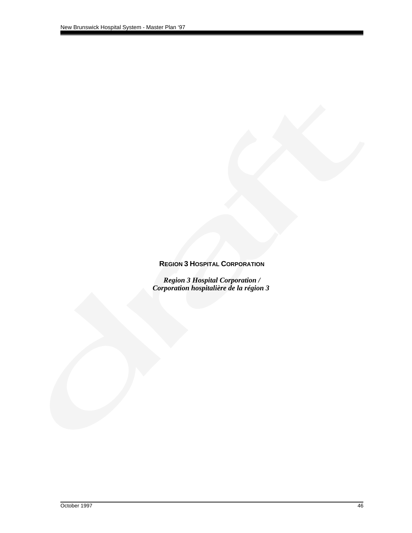## **REGION 3 HOSPITAL CORPORATION**

*Region 3 Hospital Corporation / Corporation hospitalière de la région 3*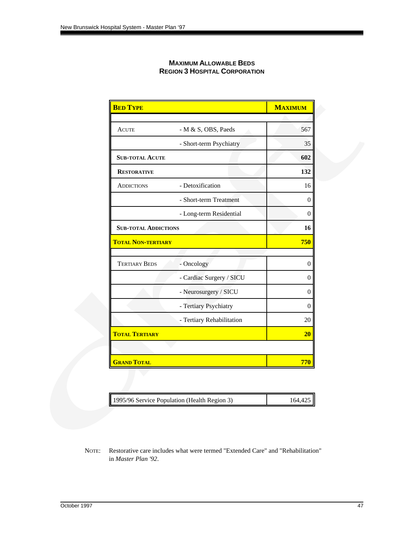| <b>MAXIMUM ALLOWABLE BEDS</b>        |
|--------------------------------------|
| <b>REGION 3 HOSPITAL CORPORATION</b> |

| <b>BED TYPE</b>             |                           | <b>MAXIMUM</b> |
|-----------------------------|---------------------------|----------------|
|                             |                           |                |
| <b>ACUTE</b>                | - M & S, OBS, Paeds       | 567            |
|                             | - Short-term Psychiatry   | 35             |
| <b>SUB-TOTAL ACUTE</b>      |                           | 602            |
| <b>RESTORATIVE</b>          |                           | 132            |
| <b>ADDICTIONS</b>           | - Detoxification          | 16             |
|                             | - Short-term Treatment    | $\theta$       |
|                             | - Long-term Residential   | $\theta$       |
| <b>SUB-TOTAL ADDICTIONS</b> |                           | 16             |
| <b>TOTAL NON-TERTIARY</b>   |                           | 750            |
|                             |                           |                |
| <b>TERTIARY BEDS</b>        | - Oncology                | $\overline{0}$ |
|                             | - Cardiac Surgery / SICU  | $\theta$       |
|                             | - Neurosurgery / SICU     | $\theta$       |
|                             | - Tertiary Psychiatry     | $\theta$       |
|                             | - Tertiary Rehabilitation | 20             |
| <b>TOTAL TERTIARY</b>       |                           | 20             |
|                             |                           |                |
| <b>GRAND TOTAL</b>          |                           | 770            |

| 1995/96 Service Population (Health Region 3) | 164.425 |
|----------------------------------------------|---------|
|----------------------------------------------|---------|

NOTE: Restorative care includes what were termed "Extended Care" and "Rehabilitation" in *Master Plan '92*.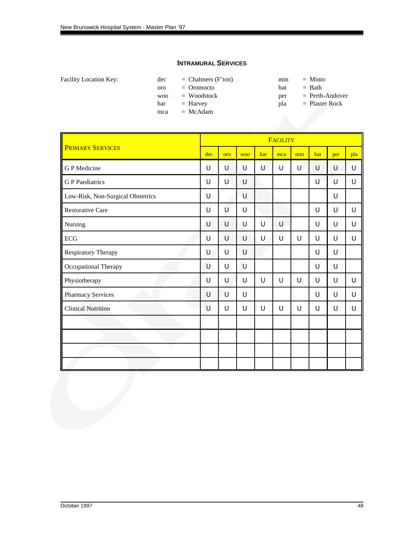#### **INTRAMURAL SERVICES**

| <b>Facility Location Kev:</b> | dec | $=$ Chalmers (F'ton) |  | $=$ Minto |
|-------------------------------|-----|----------------------|--|-----------|
|-------------------------------|-----|----------------------|--|-----------|

| dec | $=$ Chalmers (F'ton) | min | $=$ Minto |
|-----|----------------------|-----|-----------|
| oro | $=$ Oromocto         | bat | $=$ Bath  |

woo = Woodstock per = Perth-Andover

har = Harvey pla = Plaster Rock

mca = McAdam

- 
- 

|                                   | <b>FACILITY</b> |        |            |     |     |     |     |     |     |
|-----------------------------------|-----------------|--------|------------|-----|-----|-----|-----|-----|-----|
| <b>PRIMARY SERVICES</b>           | dec             | oro    | <b>WOO</b> | har | mca | min | bat | per | pla |
| G P Medicine                      | U               | U      | U          | U   | U   | U   | U   | U   | U   |
| <b>G</b> P Paediatrics            | U               | U      | U          |     |     |     | Ù   | U   | U   |
| Low-Risk, Non-Surgical Obstetrics | U               |        | U          |     |     |     |     | U   |     |
| <b>Restorative Care</b>           | U               | Ù      | U          |     |     |     | U   | U   | U   |
| Nursing                           | U               | U      | U          | U   | U   |     | U   | U   | U   |
| ECG                               | U               | U      | U          | U   | ้บ  | U   | U   | U   | U   |
| <b>Respiratory Therapy</b>        | U               | $\cup$ | U          |     |     |     | U   | U   |     |
| Occupational Therapy              | U               | U      | U          |     |     |     | U   | U   |     |
| Physiotherapy                     | U               | U      | U          | U   | U   | U   | U   | U   | U   |
| <b>Pharmacy Services</b>          | U               | U      | U          |     |     |     | U   | U   | U   |
| <b>Clinical Nutrition</b>         | U               | U      | U          | U   | U   | U   | U   | U   | U   |
|                                   |                 |        |            |     |     |     |     |     |     |
|                                   |                 |        |            |     |     |     |     |     |     |
|                                   |                 |        |            |     |     |     |     |     |     |
|                                   |                 |        |            |     |     |     |     |     |     |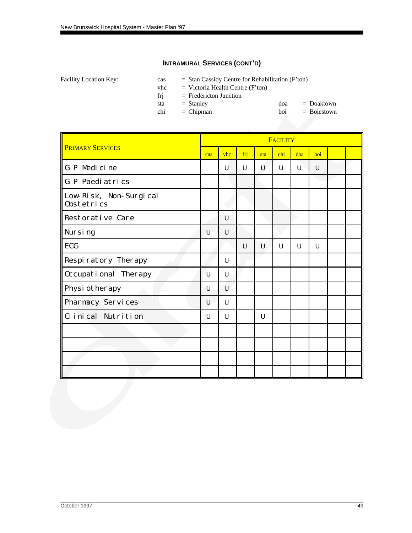Facility Location Key: cas = Stan Cassidy Centre for Rehabilitation (F'ton)

 $v$ hc = Victoria Health Centre (F'ton)

frj = Fredericton Junction

sta = Stanley doa = Doaktown<br>chi = Chipman boi = Boiestown  $chi = Chipman$  boi

|                                      |     | <b>FACILITY</b> |     |     |     |     |     |  |  |  |
|--------------------------------------|-----|-----------------|-----|-----|-----|-----|-----|--|--|--|
| <b>PRIMARY SERVICES</b>              | cas | vhc             | frj | sta | chi | doa | boi |  |  |  |
| G P Medicine                         |     | U               | U   | U   | U   | U   | U   |  |  |  |
| G P Paediatrics                      |     |                 |     |     |     |     |     |  |  |  |
| Low-Risk, Non-Surgical<br>0bstetrics |     |                 |     |     |     |     |     |  |  |  |
| <b>Restorative Care</b>              |     | U               |     |     |     |     |     |  |  |  |
| Nursing                              | U   | U               |     |     |     |     |     |  |  |  |
| <b>ECG</b>                           |     |                 | U   | U   | U   | U   | U   |  |  |  |
| <b>Respiratory Therapy</b>           |     | U               |     |     |     |     |     |  |  |  |
| <b>Occupational Therapy</b>          | ้บ  | U               |     |     |     |     |     |  |  |  |
| Physiotherapy                        | U   | $\cup$          |     |     |     |     |     |  |  |  |
| <b>Pharmacy Services</b>             | U   | U               |     |     |     |     |     |  |  |  |
| Clinical Nutrition                   | U   | U               |     | U   |     |     |     |  |  |  |
|                                      |     |                 |     |     |     |     |     |  |  |  |
|                                      |     |                 |     |     |     |     |     |  |  |  |
|                                      |     |                 |     |     |     |     |     |  |  |  |
|                                      |     |                 |     |     |     |     |     |  |  |  |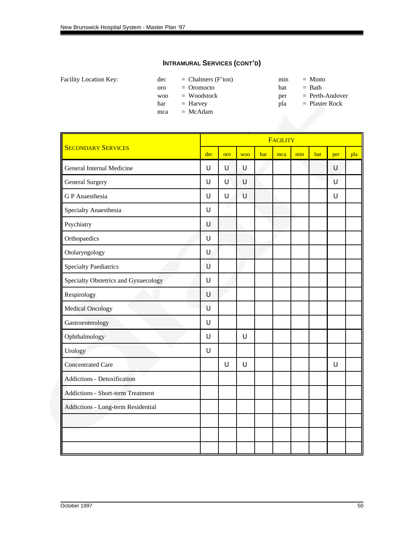|  | Facility Location Key: |  |
|--|------------------------|--|
|--|------------------------|--|

 $dec = Chalmers (F'ton)$  min = Minto oro = Oromocto bat = Bath

mca = McAdam

- -
- woo = Woodstock per = Perth-Andover<br>har = Harvey pla = Plaster Rock
- har = Harvey pla = Plaster Rock

|                                          |        | <b>FACILITY</b> |            |     |     |     |     |        |     |  |  |
|------------------------------------------|--------|-----------------|------------|-----|-----|-----|-----|--------|-----|--|--|
| <b>SECONDARY SERVICES</b>                | dec    | oro             | <b>WOO</b> | har | mca | min | bat | per    | pla |  |  |
| General Internal Medicine                | U      | U               | U          |     |     |     |     | U      |     |  |  |
| <b>General Surgery</b>                   | U      | U               | U          |     |     |     |     | U      |     |  |  |
| <b>GP</b> Anaesthesia                    | $\cup$ | $\cup$          | U          |     |     |     |     | $\cup$ |     |  |  |
| Specialty Anaesthesia                    | U      |                 |            |     |     |     |     |        |     |  |  |
| Psychiatry                               | U      |                 |            |     |     |     |     |        |     |  |  |
| Orthopaedics                             | U      |                 |            |     |     |     |     |        |     |  |  |
| Otolaryngology                           | U      |                 |            |     |     |     |     |        |     |  |  |
| <b>Specialty Paediatrics</b>             | U      |                 |            |     |     |     |     |        |     |  |  |
| Specialty Obstetrics and Gynaecology     | $\cup$ |                 |            |     |     |     |     |        |     |  |  |
| Respirology                              | $\cup$ |                 |            |     |     |     |     |        |     |  |  |
| <b>Medical Oncology</b>                  | U      |                 |            |     |     |     |     |        |     |  |  |
| Gastroenterology                         | $\cup$ |                 |            |     |     |     |     |        |     |  |  |
| Ophthalmology                            | $\cup$ |                 | U          |     |     |     |     |        |     |  |  |
| Urology                                  | $\cup$ |                 |            |     |     |     |     |        |     |  |  |
| <b>Concentrated Care</b>                 |        | $\cup$          | U          |     |     |     |     | $\cup$ |     |  |  |
| <b>Addictions - Detoxification</b>       |        |                 |            |     |     |     |     |        |     |  |  |
| <b>Addictions - Short-term Treatment</b> |        |                 |            |     |     |     |     |        |     |  |  |
| Addictions - Long-term Residential       |        |                 |            |     |     |     |     |        |     |  |  |
|                                          |        |                 |            |     |     |     |     |        |     |  |  |
|                                          |        |                 |            |     |     |     |     |        |     |  |  |
|                                          |        |                 |            |     |     |     |     |        |     |  |  |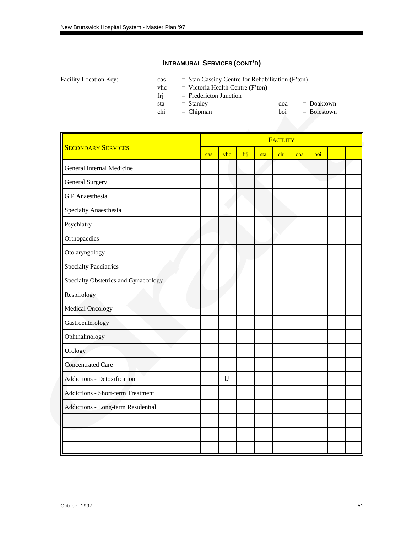|  | Facility Location Key: |  |
|--|------------------------|--|
|--|------------------------|--|

 $\text{cas}$  = Stan Cassidy Centre for Rehabilitation (F'ton)

 $v$ hc = Victoria Health Centre (F'ton)

frj = Fredericton Junction

| sta | $=$ Stanley | doa | $=$ Doaktown  |
|-----|-------------|-----|---------------|
| chi | $=$ Chipman | boi | $= Boiestown$ |

|                                          |     |     |     |     | <b>FACILITY</b> |     |     |  |
|------------------------------------------|-----|-----|-----|-----|-----------------|-----|-----|--|
| <b>SECONDARY SERVICES</b>                | cas | vhc | frj | sta | chi             | doa | boi |  |
| General Internal Medicine                |     |     |     |     |                 |     |     |  |
| <b>General Surgery</b>                   |     |     |     |     |                 |     |     |  |
| <b>GP</b> Anaesthesia                    |     |     |     |     |                 |     |     |  |
| Specialty Anaesthesia                    |     |     |     |     |                 |     |     |  |
| Psychiatry                               |     |     |     |     |                 |     |     |  |
| Orthopaedics                             |     |     |     |     |                 |     |     |  |
| Otolaryngology                           |     |     |     |     |                 |     |     |  |
| <b>Specialty Paediatrics</b>             |     |     |     |     |                 |     |     |  |
| Specialty Obstetrics and Gynaecology     |     |     |     |     |                 |     |     |  |
| Respirology                              |     |     |     |     |                 |     |     |  |
| <b>Medical Oncology</b>                  |     |     |     |     |                 |     |     |  |
| Gastroenterology                         |     |     |     |     |                 |     |     |  |
| Ophthalmology                            |     |     |     |     |                 |     |     |  |
| Urology                                  |     |     |     |     |                 |     |     |  |
| <b>Concentrated Care</b>                 |     |     |     |     |                 |     |     |  |
| <b>Addictions - Detoxification</b>       |     | U   |     |     |                 |     |     |  |
| <b>Addictions - Short-term Treatment</b> |     |     |     |     |                 |     |     |  |
| Addictions - Long-term Residential       |     |     |     |     |                 |     |     |  |
|                                          |     |     |     |     |                 |     |     |  |
|                                          |     |     |     |     |                 |     |     |  |
|                                          |     |     |     |     |                 |     |     |  |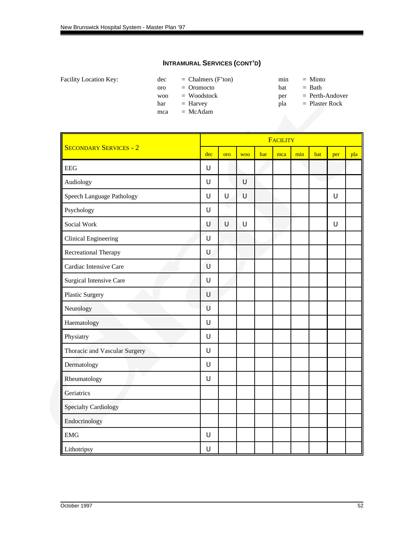| Facility Location Key: |  |
|------------------------|--|
|------------------------|--|

 $dec = Chalmers (F'ton)$  min = Minto oro = Oromocto bat = Bath

mca = McAdam

- -
- woo = Woodstock per = Perth-Andover<br>har = Harvey pla = Plaster Rock
- har = Harvey pla = Plaster Rock

|                                | <b>FACILITY</b> |     |            |     |     |     |     |        |     |  |
|--------------------------------|-----------------|-----|------------|-----|-----|-----|-----|--------|-----|--|
| <b>SECONDARY SERVICES - 2</b>  | dec             | oro | <b>WOO</b> | har | mca | min | bat | per    | pla |  |
| <b>EEG</b>                     | U               |     |            |     |     |     |     |        |     |  |
| Audiology                      | U               |     | U          |     |     |     |     |        |     |  |
| Speech Language Pathology      | U               | U   | U          |     |     |     |     | U      |     |  |
| Psychology                     | U               |     |            |     |     |     |     |        |     |  |
| Social Work                    | U               | U   | U          |     |     |     |     | $\cup$ |     |  |
| <b>Clinical Engineering</b>    | U               |     |            |     |     |     |     |        |     |  |
| Recreational Therapy           | U               |     |            |     |     |     |     |        |     |  |
| Cardiac Intensive Care         | U               |     |            |     |     |     |     |        |     |  |
| <b>Surgical Intensive Care</b> | U               |     |            |     |     |     |     |        |     |  |
| <b>Plastic Surgery</b>         | $\cup$          |     |            |     |     |     |     |        |     |  |
| Neurology                      | U               |     |            |     |     |     |     |        |     |  |
| Haematology                    | U               |     |            |     |     |     |     |        |     |  |
| Physiatry                      | U               |     |            |     |     |     |     |        |     |  |
| Thoracic and Vascular Surgery  | U               |     |            |     |     |     |     |        |     |  |
| Dermatology                    | U               |     |            |     |     |     |     |        |     |  |
| Rheumatology                   | U               |     |            |     |     |     |     |        |     |  |
| Geriatrics                     |                 |     |            |     |     |     |     |        |     |  |
| <b>Specialty Cardiology</b>    |                 |     |            |     |     |     |     |        |     |  |
| Endocrinology                  |                 |     |            |     |     |     |     |        |     |  |
| <b>EMG</b>                     | U               |     |            |     |     |     |     |        |     |  |
| Lithotripsy                    | U               |     |            |     |     |     |     |        |     |  |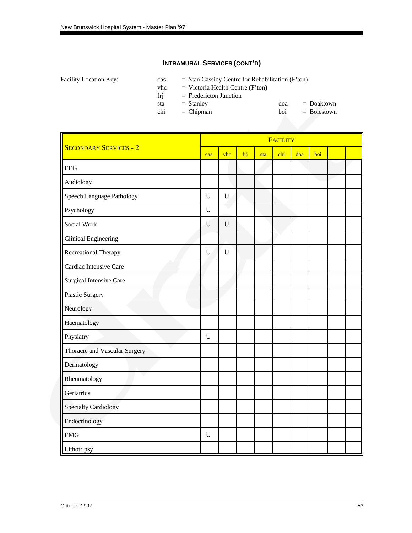Facility Location Key: cas = Stan Cassidy Centre for Rehabilitation (F'ton)

vhc  $=$  Victoria Health Centre (F'ton)

frj = Fredericton Junction

| sta | $=$ Stanley | doa | $=$ Doaktown  |
|-----|-------------|-----|---------------|
| chi | $=$ Chipman | boi | $= Boiestown$ |

chi = Chipman boi

|                               |        |        |     |     | <b>FACILITY</b> |     |     |  |
|-------------------------------|--------|--------|-----|-----|-----------------|-----|-----|--|
| <b>SECONDARY SERVICES - 2</b> | cas    | vhc    | frj | sta | chi             | doa | boi |  |
| <b>EEG</b>                    |        |        |     |     |                 |     |     |  |
| Audiology                     |        |        |     |     |                 |     |     |  |
| Speech Language Pathology     | $\cup$ | $\cup$ |     |     |                 |     |     |  |
| Psychology                    | $\cup$ |        |     |     |                 |     |     |  |
| Social Work                   | U      | $\cup$ |     |     |                 |     |     |  |
| <b>Clinical Engineering</b>   |        |        |     |     |                 |     |     |  |
| Recreational Therapy          | $\cup$ | U      |     |     |                 |     |     |  |
| Cardiac Intensive Care        |        |        |     |     |                 |     |     |  |
| Surgical Intensive Care       |        |        |     |     |                 |     |     |  |
| <b>Plastic Surgery</b>        |        |        |     |     |                 |     |     |  |
| Neurology                     |        |        |     |     |                 |     |     |  |
| Haematology                   |        |        |     |     |                 |     |     |  |
| Physiatry                     | U      |        |     |     |                 |     |     |  |
| Thoracic and Vascular Surgery |        |        |     |     |                 |     |     |  |
| Dermatology                   |        |        |     |     |                 |     |     |  |
| Rheumatology                  |        |        |     |     |                 |     |     |  |
| Geriatrics                    |        |        |     |     |                 |     |     |  |
| <b>Specialty Cardiology</b>   |        |        |     |     |                 |     |     |  |
| Endocrinology                 |        |        |     |     |                 |     |     |  |
| <b>EMG</b>                    | U      |        |     |     |                 |     |     |  |
| Lithotripsy                   |        |        |     |     |                 |     |     |  |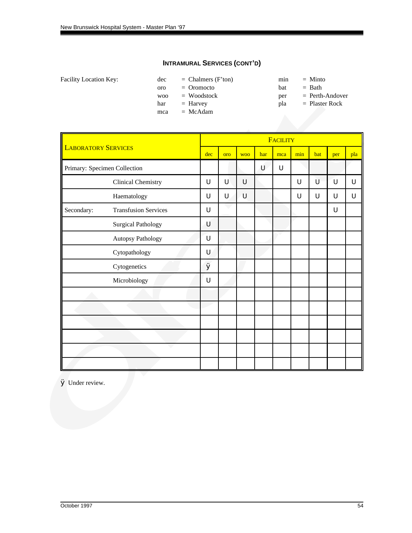| Facility Location Key: |  |  |
|------------------------|--|--|
|------------------------|--|--|

 $dec = Chalmers (F'ton)$  min = Minto oro = Oromocto bat = Bath

mca = McAdam

- 
- 
- woo = Woodstock per = Perth-Andover<br>har = Harvey pla = Plaster Rock
- har = Harvey pla = Plaster Rock

|                            |                              |     | <b>FACILITY</b> |            |     |             |     |     |     |     |  |  |
|----------------------------|------------------------------|-----|-----------------|------------|-----|-------------|-----|-----|-----|-----|--|--|
| <b>LABORATORY SERVICES</b> |                              | dec | oro             | <b>WOO</b> | har | mca         | min | bat | per | pla |  |  |
|                            | Primary: Specimen Collection |     |                 |            | U   | $\mathsf U$ |     |     |     |     |  |  |
|                            | Clinical Chemistry           | U   | U               | U          |     |             | U   | Ù   | U   | U   |  |  |
|                            | Haematology                  | U   | U               | U          |     |             | U   | U   | U   | U   |  |  |
| Secondary:                 | <b>Transfusion Services</b>  | U   |                 |            |     |             |     |     | U   |     |  |  |
|                            | <b>Surgical Pathology</b>    | U   |                 |            |     |             |     |     |     |     |  |  |
|                            | Autopsy Pathology            | U   |                 |            |     |             |     |     |     |     |  |  |
|                            | Cytopathology                | U   |                 |            |     |             |     |     |     |     |  |  |
|                            | Cytogenetics                 | Ø   |                 |            |     |             |     |     |     |     |  |  |
|                            | Microbiology                 | U   |                 |            |     |             |     |     |     |     |  |  |
|                            |                              |     |                 |            |     |             |     |     |     |     |  |  |
|                            |                              |     |                 |            |     |             |     |     |     |     |  |  |
|                            |                              |     |                 |            |     |             |     |     |     |     |  |  |
|                            |                              |     |                 |            |     |             |     |     |     |     |  |  |
|                            |                              |     |                 |            |     |             |     |     |     |     |  |  |
|                            |                              |     |                 |            |     |             |     |     |     |     |  |  |

Ø Under review.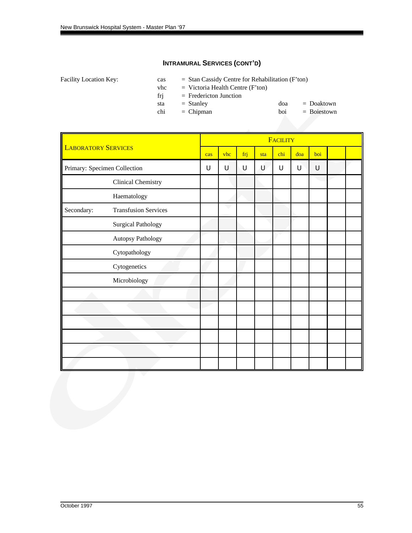|  | Facility Location Key: |  |
|--|------------------------|--|
|--|------------------------|--|

 $\text{cas}$  = Stan Cassidy Centre for Rehabilitation (F'ton)

 $v$ hc = Victoria Health Centre (F'ton)

frj = Fredericton Junction

| sta | $=$ Stanley | doa | $=$ Doaktown  |
|-----|-------------|-----|---------------|
| chi | $=$ Chipman | boi | $= Boiestown$ |

|                              |                             | <b>FACILITY</b> |     |             |     |     |     |     |  |  |
|------------------------------|-----------------------------|-----------------|-----|-------------|-----|-----|-----|-----|--|--|
| <b>LABORATORY SERVICES</b>   |                             | cas             | vhc | frj         | sta | chi | doa | boi |  |  |
| Primary: Specimen Collection |                             | U               | U   | $\mathsf U$ | U   | U   | U   | U   |  |  |
|                              | <b>Clinical Chemistry</b>   |                 |     |             |     |     |     |     |  |  |
|                              | Haematology                 |                 |     |             |     |     |     |     |  |  |
| Secondary:                   | <b>Transfusion Services</b> |                 |     |             |     |     |     |     |  |  |
|                              | <b>Surgical Pathology</b>   |                 |     |             |     |     |     |     |  |  |
|                              | Autopsy Pathology           |                 |     |             |     |     |     |     |  |  |
|                              | Cytopathology               |                 |     |             |     |     |     |     |  |  |
|                              | Cytogenetics                |                 |     |             |     |     |     |     |  |  |
|                              | Microbiology                |                 |     |             |     |     |     |     |  |  |
|                              |                             |                 |     |             |     |     |     |     |  |  |
|                              |                             |                 |     |             |     |     |     |     |  |  |
|                              |                             |                 |     |             |     |     |     |     |  |  |
|                              |                             |                 |     |             |     |     |     |     |  |  |
|                              |                             |                 |     |             |     |     |     |     |  |  |
|                              |                             |                 |     |             |     |     |     |     |  |  |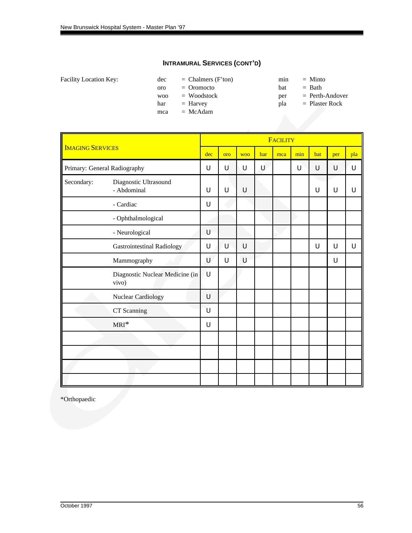|  | Facility Location Key: |  |
|--|------------------------|--|
|--|------------------------|--|

 $dec = Chalmers (F'ton)$  min = Minto oro = Oromocto bat = Bath

mca = McAdam

- -
- woo = Woodstock per = Perth-Andover
- har = Harvey pla = Plaster Rock

|                         |                                          |     |     |            |     | <b>FACILITY</b> |     |     |     |     |
|-------------------------|------------------------------------------|-----|-----|------------|-----|-----------------|-----|-----|-----|-----|
| <b>IMAGING SERVICES</b> |                                          | dec | oro | <b>WOO</b> | har | mca             | min | bat | per | pla |
|                         | Primary: General Radiography             | U   | U   | U          | U   |                 | U   | U   | U   | U   |
| Secondary:              | Diagnostic Ultrasound<br>- Abdominal     | U   | U   | U          |     |                 |     | U   | U   | U   |
|                         | - Cardiac                                | U   |     |            |     |                 |     |     |     |     |
|                         | - Ophthalmological                       |     |     |            |     |                 |     |     |     |     |
|                         | - Neurological                           | U   |     |            |     |                 |     |     |     |     |
|                         | <b>Gastrointestinal Radiology</b>        | U   | U   | U          |     |                 |     | U   | U   | U   |
|                         | Mammography                              | U   | U   | U          |     |                 |     |     | U   |     |
|                         | Diagnostic Nuclear Medicine (in<br>vivo) | ้บ  |     |            |     |                 |     |     |     |     |
|                         | Nuclear Cardiology                       | U   |     |            |     |                 |     |     |     |     |
|                         | CT Scanning                              | U   |     |            |     |                 |     |     |     |     |
|                         | $MRI^*$                                  | U   |     |            |     |                 |     |     |     |     |
|                         |                                          |     |     |            |     |                 |     |     |     |     |
|                         |                                          |     |     |            |     |                 |     |     |     |     |
|                         |                                          |     |     |            |     |                 |     |     |     |     |
|                         |                                          |     |     |            |     |                 |     |     |     |     |

\*Orthopaedic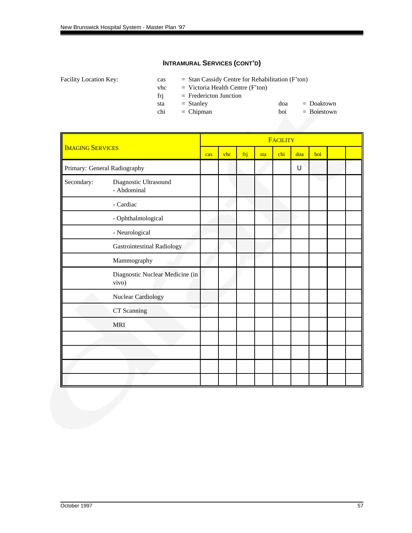|  | Facility Location Key: |  |
|--|------------------------|--|
|--|------------------------|--|

 $\text{cas}$  = Stan Cassidy Centre for Rehabilitation (F'ton)

 $v$ hc = Victoria Health Centre (F'ton)

frj = Fredericton Junction

| sta | $=$ Stanley | doa | $=$ Doaktown  |
|-----|-------------|-----|---------------|
| chi | $=$ Chipman | boi | $= Boiestown$ |

|                         |                                          |     |     |     |     | <b>FACILITY</b> |     |     |  |
|-------------------------|------------------------------------------|-----|-----|-----|-----|-----------------|-----|-----|--|
| <b>IMAGING SERVICES</b> |                                          | cas | vhc | frj | sta | chi             | doa | boi |  |
|                         | Primary: General Radiography             |     |     |     |     |                 | U   |     |  |
| Secondary:              | Diagnostic Ultrasound<br>- Abdominal     |     |     |     |     |                 |     |     |  |
|                         | - Cardiac                                |     |     |     |     |                 |     |     |  |
|                         | - Ophthalmological                       |     |     |     |     |                 |     |     |  |
|                         | - Neurological                           |     |     |     |     |                 |     |     |  |
|                         | <b>Gastrointestinal Radiology</b>        |     |     |     |     |                 |     |     |  |
|                         | Mammography                              |     |     |     |     |                 |     |     |  |
|                         | Diagnostic Nuclear Medicine (in<br>vivo) |     |     |     |     |                 |     |     |  |
|                         | Nuclear Cardiology                       |     |     |     |     |                 |     |     |  |
|                         | CT Scanning                              |     |     |     |     |                 |     |     |  |
|                         | <b>MRI</b>                               |     |     |     |     |                 |     |     |  |
|                         |                                          |     |     |     |     |                 |     |     |  |
|                         |                                          |     |     |     |     |                 |     |     |  |
|                         |                                          |     |     |     |     |                 |     |     |  |
|                         |                                          |     |     |     |     |                 |     |     |  |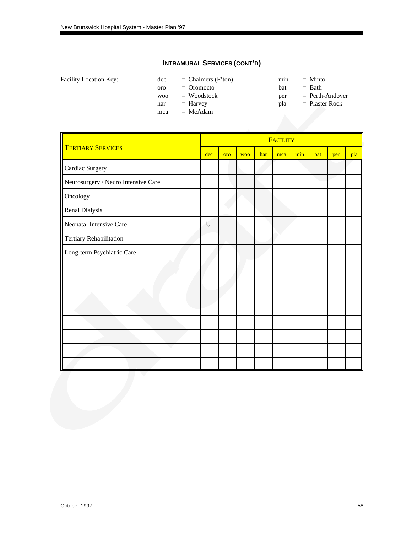| <b>Facility Location Key:</b> | dec            | $=$ Chalmers (F'ton) | min | $=$ Minto         |
|-------------------------------|----------------|----------------------|-----|-------------------|
|                               | oro            | $=$ Oromocto         | bat | $=$ Bath          |
|                               | W <sub>O</sub> | $=$ Woodstock        | per | $=$ Perth-Andover |
|                               | har            | $=$ Harvey           | pla | $=$ Plaster Rock  |
|                               | mca            | $=$ McAdam           |     |                   |
|                               |                |                      |     |                   |

|                                     | <b>FACILITY</b> |     |            |     |     |     |     |     |     |  |
|-------------------------------------|-----------------|-----|------------|-----|-----|-----|-----|-----|-----|--|
| <b>TERTIARY SERVICES</b>            | dec             | oro | <b>WOO</b> | har | mca | min | bat | per | pla |  |
| Cardiac Surgery                     |                 |     |            |     |     |     |     |     |     |  |
| Neurosurgery / Neuro Intensive Care |                 |     |            |     |     |     |     |     |     |  |
| Oncology                            |                 |     |            |     |     |     |     |     |     |  |
| Renal Dialysis                      |                 |     |            |     |     |     |     |     |     |  |
| Neonatal Intensive Care             | U               |     |            |     |     |     |     |     |     |  |
| Tertiary Rehabilitation             |                 |     |            |     |     |     |     |     |     |  |
| Long-term Psychiatric Care          |                 |     |            |     |     |     |     |     |     |  |
|                                     |                 |     |            |     |     |     |     |     |     |  |
|                                     |                 |     |            |     |     |     |     |     |     |  |
|                                     |                 |     |            |     |     |     |     |     |     |  |
|                                     |                 |     |            |     |     |     |     |     |     |  |
|                                     |                 |     |            |     |     |     |     |     |     |  |
|                                     |                 |     |            |     |     |     |     |     |     |  |
|                                     |                 |     |            |     |     |     |     |     |     |  |
|                                     |                 |     |            |     |     |     |     |     |     |  |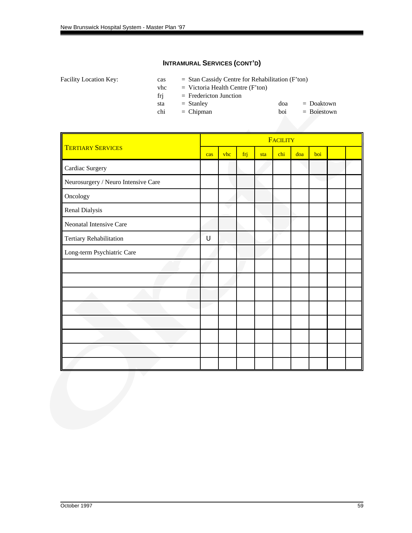|  | Facility Location Key: |  |
|--|------------------------|--|
|--|------------------------|--|

 $\text{cas}$  = Stan Cassidy Centre for Rehabilitation (F'ton)

 $v$ hc = Victoria Health Centre (F'ton)

frj = Fredericton Junction

| sta | $=$ Stanley | doa | $=$ Doaktown  |
|-----|-------------|-----|---------------|
| chi | $=$ Chipman | boi | $= Boiestown$ |
|     |             |     |               |
|     |             |     |               |

|                                     |     |     |     |     | FACILITY |     |     |  |
|-------------------------------------|-----|-----|-----|-----|----------|-----|-----|--|
| <b>TERTIARY SERVICES</b>            | cas | vhc | frj | sta | chi      | doa | boi |  |
| Cardiac Surgery                     |     |     |     |     |          |     |     |  |
| Neurosurgery / Neuro Intensive Care |     |     |     |     |          |     |     |  |
| Oncology                            |     |     |     |     |          |     |     |  |
| Renal Dialysis                      |     |     |     |     |          |     |     |  |
| Neonatal Intensive Care             |     |     |     |     |          |     |     |  |
| Tertiary Rehabilitation             | U   |     |     |     |          |     |     |  |
| Long-term Psychiatric Care          |     |     |     |     |          |     |     |  |
|                                     |     |     |     |     |          |     |     |  |
|                                     |     |     |     |     |          |     |     |  |
|                                     |     |     |     |     |          |     |     |  |
|                                     |     |     |     |     |          |     |     |  |
|                                     |     |     |     |     |          |     |     |  |
|                                     |     |     |     |     |          |     |     |  |
|                                     |     |     |     |     |          |     |     |  |
|                                     |     |     |     |     |          |     |     |  |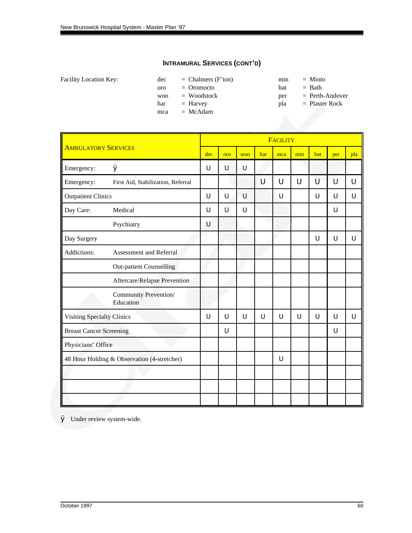| Facility Location Key: |  |  |
|------------------------|--|--|
|------------------------|--|--|

 $dec = Chalmers (F'ton)$  min = Minto oro = Oromocto bat = Bath

mca = McAdam

- -
- woo = Woodstock per = Perth-Andover
- har = Harvey pla = Plaster Rock

|                                |                                             |     |     |            |     | <b>FACILITY</b> |     |     |     |     |
|--------------------------------|---------------------------------------------|-----|-----|------------|-----|-----------------|-----|-----|-----|-----|
| <b>AMBULATORY SERVICES</b>     |                                             | dec | oro | <b>WOO</b> | har | mca             | min | bat | per | pla |
| Emergency:                     | Ø                                           | U   | U   | U          |     |                 |     |     |     |     |
| Emergency:                     | First Aid, Stabilization, Referral          |     |     |            | U   | U               | U   | U   | Ū   | U   |
| <b>Outpatient Clinics</b>      |                                             | U   | U   | U          |     | U               |     | U   | U   | U   |
| Day Care:                      | Medical                                     | U   | Ù   | U          |     |                 |     |     | U   |     |
|                                | Psychiatry                                  | U   |     |            |     |                 |     |     |     |     |
| Day Surgery                    |                                             |     |     |            |     |                 |     | U   | U   | U   |
| Addictions:                    | Assessment and Referral                     |     |     |            |     |                 |     |     |     |     |
|                                | <b>Out-patient Counselling</b>              |     |     |            |     |                 |     |     |     |     |
|                                | Aftercare/Relapse Prevention                |     |     |            |     |                 |     |     |     |     |
|                                | Community Prevention/<br>Education          |     |     |            |     |                 |     |     |     |     |
| Visiting Specialty Clinics     |                                             | U   | Ü   | Ù          | Ü   | U               | U   | U   | U   | U   |
| <b>Breast Cancer Screening</b> |                                             |     | Ü   |            |     |                 |     |     | U   |     |
| Physicians' Office             |                                             |     |     |            |     |                 |     |     |     |     |
|                                | 48 Hour Holding & Observation (4-stretcher) |     |     |            |     | U               |     |     |     |     |
|                                |                                             |     |     |            |     |                 |     |     |     |     |
|                                |                                             |     |     |            |     |                 |     |     |     |     |
|                                |                                             |     |     |            |     |                 |     |     |     |     |

Ø Under review system-wide.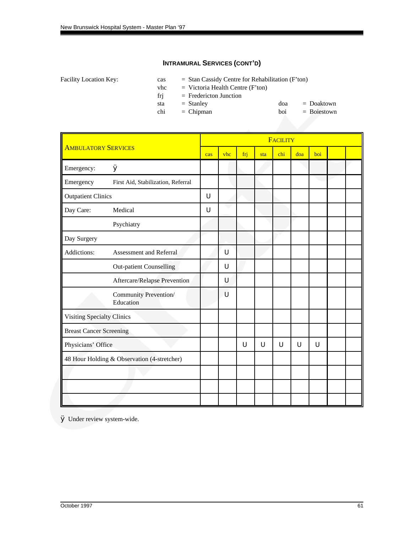Facility Location Key: cas = Stan Cassidy Centre for Rehabilitation (F'ton)

 $v$ hc = Victoria Health Centre (F'ton)

frj = Fredericton Junction

sta = Stanley doa = Doaktown<br>chi = Chipman boi = Boiestown  $chi = Chipman$  boi

|                                   |                                             |     |     |     |     | FACILITY |     |     |  |
|-----------------------------------|---------------------------------------------|-----|-----|-----|-----|----------|-----|-----|--|
| <b>AMBULATORY SERVICES</b>        |                                             | cas | vhc | fri | sta | chi      | doa | boi |  |
| Emergency:                        | Ø                                           |     |     |     |     |          |     |     |  |
| Emergency                         | First Aid, Stabilization, Referral          |     |     |     |     |          |     |     |  |
| <b>Outpatient Clinics</b>         |                                             | U   |     |     |     |          |     |     |  |
| Day Care:                         | Medical                                     | U   |     |     |     |          |     |     |  |
|                                   | Psychiatry                                  |     |     |     |     |          |     |     |  |
| Day Surgery                       |                                             |     |     |     |     |          |     |     |  |
| Addictions:                       | Assessment and Referral                     |     | U   |     |     |          |     |     |  |
|                                   | <b>Out-patient Counselling</b>              |     | U   |     |     |          |     |     |  |
|                                   | Aftercare/Relapse Prevention                |     | U   |     |     |          |     |     |  |
|                                   | Community Prevention/<br>Education          |     | U   |     |     |          |     |     |  |
| <b>Visiting Specialty Clinics</b> |                                             |     |     |     |     |          |     |     |  |
| <b>Breast Cancer Screening</b>    |                                             |     |     |     |     |          |     |     |  |
| Physicians' Office                |                                             |     |     | U   | U   | U        | U   | U   |  |
|                                   | 48 Hour Holding & Observation (4-stretcher) |     |     |     |     |          |     |     |  |
|                                   |                                             |     |     |     |     |          |     |     |  |
|                                   |                                             |     |     |     |     |          |     |     |  |
|                                   |                                             |     |     |     |     |          |     |     |  |

Ø Under review system-wide.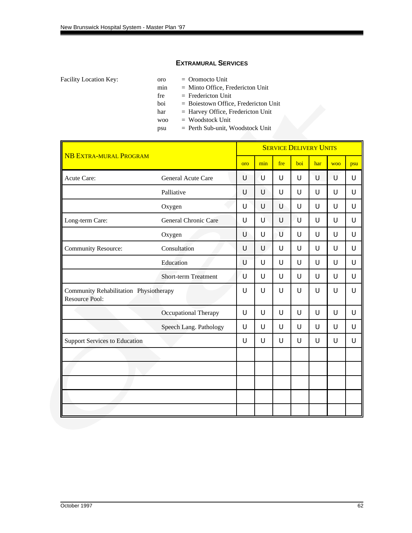#### **EXTRAMURAL SERVICES**

- Facility Location Key: 000 oro = 0romocto Unit
	- min = Minto Office, Fredericton Unit
	- $free$  = Fredericton Unit
	- boi = Boiestown Office, Fredericton Unit
	- har = Harvey Office, Fredericton Unit
	- woo = Woodstock Unit
	- psu = Perth Sub-unit, Woodstock Unit

| <b>NB EXTRA-MURAL PROGRAM</b>                                   |                             | <b>SERVICE DELIVERY UNITS</b> |     |     |     |     |            |     |  |  |  |  |
|-----------------------------------------------------------------|-----------------------------|-------------------------------|-----|-----|-----|-----|------------|-----|--|--|--|--|
|                                                                 |                             | oro                           | min | fre | boi | har | <b>WOO</b> | psu |  |  |  |  |
| Acute Care:                                                     | General Acute Care          | U                             | ับ  | U   | U   | U   | U          | U   |  |  |  |  |
|                                                                 | Palliative                  | U                             | U   | U   | U   | U   | U          | U   |  |  |  |  |
|                                                                 | Oxygen                      | U                             | U   | U   | U   | U   | U          | U   |  |  |  |  |
| Long-term Care:                                                 | General Chronic Care        | U                             | U   | U   | U   | U   | U          | U   |  |  |  |  |
|                                                                 | Oxygen                      | U                             | U   | U   | U   | U   | U          | U   |  |  |  |  |
| <b>Community Resource:</b>                                      | Consultation                | U                             | U   | U   | U   | U   | U          | U   |  |  |  |  |
|                                                                 | Education                   | U                             | U   | U   | U   | U   | U          | U   |  |  |  |  |
|                                                                 | <b>Short-term Treatment</b> | U                             | U   | U   | U   | U   | U          | U   |  |  |  |  |
| Community Rehabilitation Physiotherapy<br><b>Resource Pool:</b> |                             | U                             | U   | U   | U   | U   | U          | U   |  |  |  |  |
|                                                                 | Occupational Therapy        | U                             | U   | U   | U   | U   | U          | U   |  |  |  |  |
|                                                                 | Speech Lang. Pathology      | U                             | U   | U   | U   | U   | U          | U   |  |  |  |  |
| <b>Support Services to Education</b>                            |                             | U                             | U   | U   | U   | U   | U          | U   |  |  |  |  |
|                                                                 |                             |                               |     |     |     |     |            |     |  |  |  |  |
|                                                                 |                             |                               |     |     |     |     |            |     |  |  |  |  |
|                                                                 |                             |                               |     |     |     |     |            |     |  |  |  |  |
|                                                                 |                             |                               |     |     |     |     |            |     |  |  |  |  |
|                                                                 |                             |                               |     |     |     |     |            |     |  |  |  |  |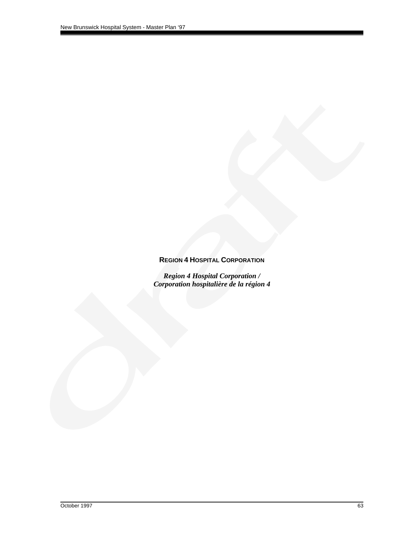#### **REGION 4 HOSPITAL CORPORATION**

*Region 4 Hospital Corporation / Corporation hospitalière de la région 4*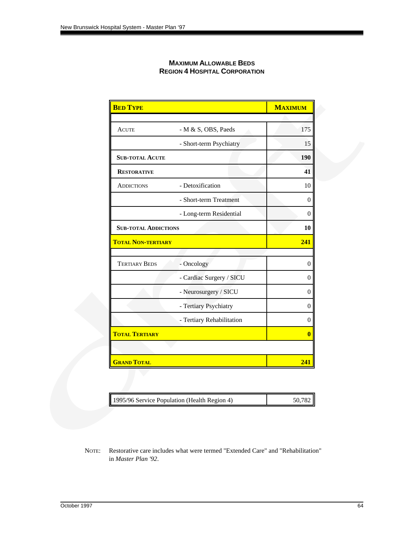| <b>MAXIMUM ALLOWABLE BEDS</b>        |
|--------------------------------------|
| <b>REGION 4 HOSPITAL CORPORATION</b> |

| <b>BED TYPE</b>             |                           | <b>MAXIMUM</b> |
|-----------------------------|---------------------------|----------------|
|                             |                           |                |
| <b>ACUTE</b>                | - M & S, OBS, Paeds       | 175            |
|                             | - Short-term Psychiatry   | 15             |
| <b>SUB-TOTAL ACUTE</b>      |                           | 190            |
| <b>RESTORATIVE</b>          |                           | 41             |
| <b>ADDICTIONS</b>           | - Detoxification          | 10             |
|                             | - Short-term Treatment    | $\theta$       |
|                             | - Long-term Residential   | $\mathbf{0}$   |
| <b>SUB-TOTAL ADDICTIONS</b> |                           | 10             |
| <b>TOTAL NON-TERTIARY</b>   |                           | 241            |
|                             |                           |                |
| <b>TERTIARY BEDS</b>        | - Oncology                | $\overline{0}$ |
|                             | - Cardiac Surgery / SICU  | $\theta$       |
|                             | - Neurosurgery / SICU     | $\overline{0}$ |
|                             | - Tertiary Psychiatry     | $\overline{0}$ |
|                             | - Tertiary Rehabilitation | $\overline{0}$ |
| <b>TOTAL TERTIARY</b>       |                           | $\bf{0}$       |
|                             |                           |                |
| <b>GRAND TOTAL</b>          |                           | 241            |

| 1995/96 Service Population (Health Region 4) | 50,782 |
|----------------------------------------------|--------|
|----------------------------------------------|--------|

NOTE: Restorative care includes what were termed "Extended Care" and "Rehabilitation" in *Master Plan '92*.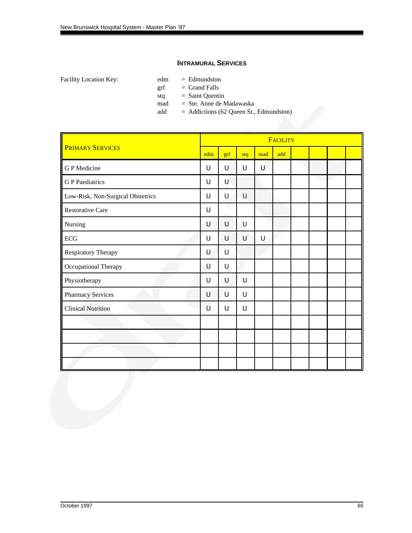#### **INTRAMURAL SERVICES**

Facility Location Key: edm = Edmundston

 $grf = Grand$  Falls

stq = Saint Quentin

mad = Ste. Anne de Madawaska

add = Addictions (62 Queen St., Edmundston)

|                                   |     |     |     |     | <b>FACILITY</b> |  |  |
|-----------------------------------|-----|-----|-----|-----|-----------------|--|--|
| <b>PRIMARY SERVICES</b>           | edm | grf | stq | mad | add             |  |  |
| G P Medicine                      | U   | U   | U   | U   |                 |  |  |
| <b>G</b> P Paediatrics            | U   | U   |     |     |                 |  |  |
| Low-Risk, Non-Surgical Obstetrics | U   | U   | U   |     |                 |  |  |
| <b>Restorative Care</b>           | U   |     |     |     |                 |  |  |
| Nursing                           | U   | U   | U   |     |                 |  |  |
| $\rm ECG$                         | U   | U   | U   | U   |                 |  |  |
| Respiratory Therapy               | U   | U   |     |     |                 |  |  |
| Occupational Therapy              | U   | U   |     |     |                 |  |  |
| Physiotherapy                     | U   | U   | U   |     |                 |  |  |
| Pharmacy Services                 | U   | U   | U   |     |                 |  |  |
| <b>Clinical Nutrition</b>         | U   | U   | U   |     |                 |  |  |
|                                   |     |     |     |     |                 |  |  |
|                                   |     |     |     |     |                 |  |  |
|                                   |     |     |     |     |                 |  |  |
|                                   |     |     |     |     |                 |  |  |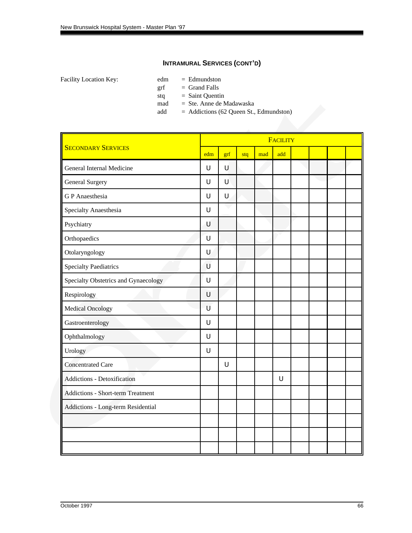- Facility Location Key: edm = Edmundston
	- $grf = Grand$  Falls
		- stq = Saint Quentin
		- mad = Ste. Anne de Madawaska
		- add = Addictions (62 Queen St., Edmundston)

|                                      |     |     |     |     | <b>FACILITY</b> |  |  |
|--------------------------------------|-----|-----|-----|-----|-----------------|--|--|
| <b>SECONDARY SERVICES</b>            | edm | grf | stq | mad | add             |  |  |
| General Internal Medicine            | U   | U   |     |     |                 |  |  |
| General Surgery                      | U   | U   |     |     |                 |  |  |
| <b>GP</b> Anaesthesia                | U   | U   |     |     |                 |  |  |
| Specialty Anaesthesia                | U   |     |     |     |                 |  |  |
| Psychiatry                           | U   |     |     |     |                 |  |  |
| Orthopaedics                         | U   |     |     |     |                 |  |  |
| Otolaryngology                       | U   |     |     |     |                 |  |  |
| <b>Specialty Paediatrics</b>         | U   |     |     |     |                 |  |  |
| Specialty Obstetrics and Gynaecology | U   |     |     |     |                 |  |  |
| Respirology                          | U   |     |     |     |                 |  |  |
| <b>Medical Oncology</b>              | U   |     |     |     |                 |  |  |
| Gastroenterology                     | U   |     |     |     |                 |  |  |
| Ophthalmology                        | U   |     |     |     |                 |  |  |
| Urology                              | U   |     |     |     |                 |  |  |
| <b>Concentrated Care</b>             |     | U   |     |     |                 |  |  |
| Addictions - Detoxification          |     |     |     |     | U               |  |  |
| Addictions - Short-term Treatment    |     |     |     |     |                 |  |  |
| Addictions - Long-term Residential   |     |     |     |     |                 |  |  |
|                                      |     |     |     |     |                 |  |  |
|                                      |     |     |     |     |                 |  |  |
|                                      |     |     |     |     |                 |  |  |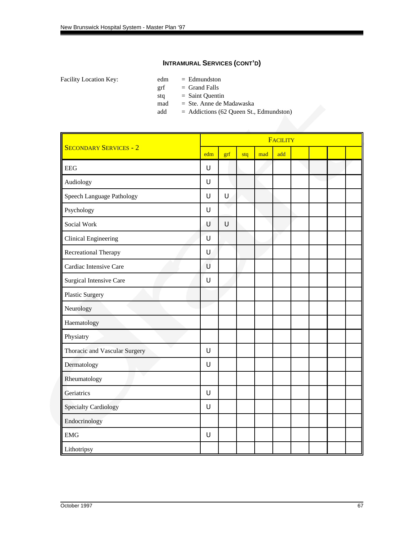- Facility Location Key: edm = Edmundston
	- $grf = Grand$  Falls
		- stq = Saint Quentin
		- mad = Ste. Anne de Madawaska
		- add = Addictions (62 Queen St., Edmundston)

|                                |     |     |     |     | <b>FACILITY</b> |  |  |
|--------------------------------|-----|-----|-----|-----|-----------------|--|--|
| <b>SECONDARY SERVICES - 2</b>  | edm | grf | stq | mad | add             |  |  |
| <b>EEG</b>                     | U   |     |     |     |                 |  |  |
| Audiology                      | U   |     |     |     |                 |  |  |
| Speech Language Pathology      | U   | Ū   |     |     |                 |  |  |
| Psychology                     | U   |     |     |     |                 |  |  |
| Social Work                    | U   | U   |     |     |                 |  |  |
| <b>Clinical Engineering</b>    | U   |     |     |     |                 |  |  |
| Recreational Therapy           | U   |     |     |     |                 |  |  |
| Cardiac Intensive Care         | U   |     |     |     |                 |  |  |
| <b>Surgical Intensive Care</b> | U   |     |     |     |                 |  |  |
| <b>Plastic Surgery</b>         |     |     |     |     |                 |  |  |
| Neurology                      |     |     |     |     |                 |  |  |
| Haematology                    |     |     |     |     |                 |  |  |
| Physiatry                      |     |     |     |     |                 |  |  |
| Thoracic and Vascular Surgery  | U   |     |     |     |                 |  |  |
| Dermatology                    | U   |     |     |     |                 |  |  |
| Rheumatology                   |     |     |     |     |                 |  |  |
| Geriatrics                     | U   |     |     |     |                 |  |  |
| <b>Specialty Cardiology</b>    | U   |     |     |     |                 |  |  |
| Endocrinology                  |     |     |     |     |                 |  |  |
| $EMG$                          | U   |     |     |     |                 |  |  |
| Lithotripsy                    |     |     |     |     |                 |  |  |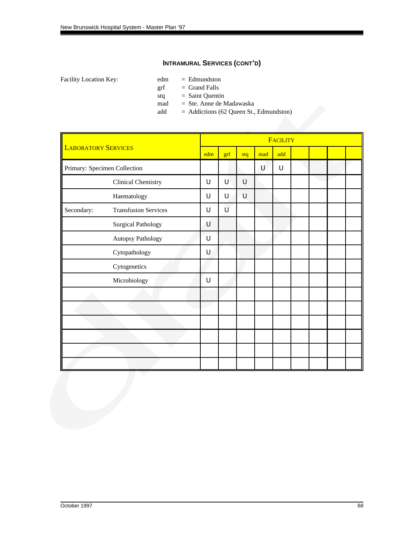- Facility Location Key: edm = Edmundston
	- $grf = Grand$  Falls
		- stq = Saint Quentin
		- mad = Ste. Anne de Madawaska
		- add = Addictions (62 Queen St., Edmundston)

|                              | <b>LABORATORY SERVICES</b>  |     | <b>FACILITY</b> |     |     |     |  |  |  |  |  |  |  |  |
|------------------------------|-----------------------------|-----|-----------------|-----|-----|-----|--|--|--|--|--|--|--|--|
|                              |                             | edm | grf             | stq | mad | add |  |  |  |  |  |  |  |  |
| Primary: Specimen Collection |                             |     |                 |     | U   | U   |  |  |  |  |  |  |  |  |
|                              | <b>Clinical Chemistry</b>   | U   | U               | U   |     |     |  |  |  |  |  |  |  |  |
|                              | Haematology                 | U   | U               | U   |     |     |  |  |  |  |  |  |  |  |
| Secondary:                   | <b>Transfusion Services</b> | U   | Ù               |     |     |     |  |  |  |  |  |  |  |  |
|                              | <b>Surgical Pathology</b>   | U   |                 |     |     |     |  |  |  |  |  |  |  |  |
|                              | Autopsy Pathology           | U   |                 |     |     |     |  |  |  |  |  |  |  |  |
|                              | Cytopathology               | U   |                 |     |     |     |  |  |  |  |  |  |  |  |
|                              | Cytogenetics                |     |                 |     |     |     |  |  |  |  |  |  |  |  |
|                              | Microbiology                | U   |                 |     |     |     |  |  |  |  |  |  |  |  |
|                              |                             |     |                 |     |     |     |  |  |  |  |  |  |  |  |
|                              |                             |     |                 |     |     |     |  |  |  |  |  |  |  |  |
|                              |                             |     |                 |     |     |     |  |  |  |  |  |  |  |  |
|                              |                             |     |                 |     |     |     |  |  |  |  |  |  |  |  |
|                              |                             |     |                 |     |     |     |  |  |  |  |  |  |  |  |
|                              |                             |     |                 |     |     |     |  |  |  |  |  |  |  |  |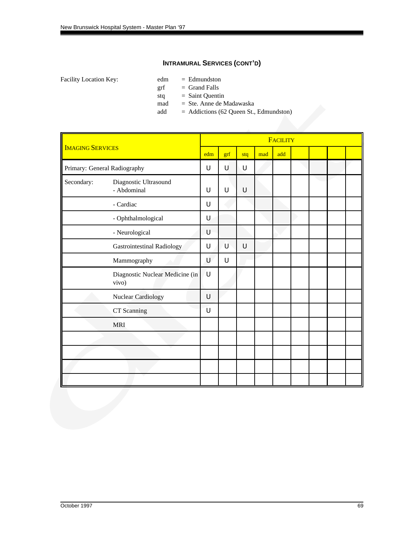- Facility Location Key: edm = Edmundston
	- $grf = Grand$  Falls
		- stq = Saint Quentin
		- mad = Ste. Anne de Madawaska
		- add = Addictions (62 Queen St., Edmundston)

|                         |                                          |        |     |     |     | <b>FACILITY</b> |  |  |
|-------------------------|------------------------------------------|--------|-----|-----|-----|-----------------|--|--|
| <b>IMAGING SERVICES</b> |                                          | edm    | grf | stq | mad | add             |  |  |
|                         | Primary: General Radiography             | U      | U   | U   |     |                 |  |  |
| Secondary:              | Diagnostic Ultrasound<br>- Abdominal     | U      | U   | U   |     |                 |  |  |
|                         | - Cardiac                                | U      |     |     |     |                 |  |  |
|                         | - Ophthalmological                       | $\cup$ |     |     |     |                 |  |  |
|                         | - Neurological                           | U      |     |     |     |                 |  |  |
|                         | <b>Gastrointestinal Radiology</b>        | U      | U   | U   |     |                 |  |  |
|                         | Mammography                              | U      | U   |     |     |                 |  |  |
|                         | Diagnostic Nuclear Medicine (in<br>vivo) | ้บ     |     |     |     |                 |  |  |
|                         | <b>Nuclear Cardiology</b>                | $\cup$ |     |     |     |                 |  |  |
|                         | CT Scanning                              | U      |     |     |     |                 |  |  |
|                         | <b>MRI</b>                               |        |     |     |     |                 |  |  |
|                         |                                          |        |     |     |     |                 |  |  |
|                         |                                          |        |     |     |     |                 |  |  |
|                         |                                          |        |     |     |     |                 |  |  |
|                         |                                          |        |     |     |     |                 |  |  |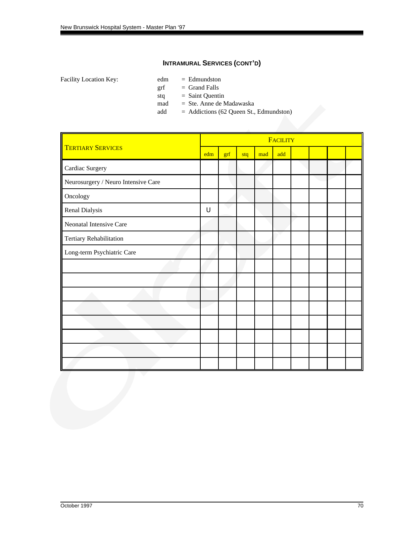- Facility Location Key: edm = Edmundston
	- $grf = Grand$  Falls
		- stq = Saint Quentin
		- mad = Ste. Anne de Madawaska
		- add = Addictions (62 Queen St., Edmundston)

|                                     |        |     |     |     | <b>FACILITY</b> |  |  |
|-------------------------------------|--------|-----|-----|-----|-----------------|--|--|
| <b>TERTIARY SERVICES</b>            | edm    | grf | stq | mad | add             |  |  |
| Cardiac Surgery                     |        |     |     |     |                 |  |  |
| Neurosurgery / Neuro Intensive Care |        |     |     |     |                 |  |  |
| Oncology                            |        |     |     |     |                 |  |  |
| Renal Dialysis                      | $\cup$ |     |     |     |                 |  |  |
| Neonatal Intensive Care             |        |     |     |     |                 |  |  |
| Tertiary Rehabilitation             |        |     |     |     |                 |  |  |
| Long-term Psychiatric Care          |        |     |     |     |                 |  |  |
|                                     |        |     |     |     |                 |  |  |
|                                     |        |     |     |     |                 |  |  |
|                                     |        |     |     |     |                 |  |  |
|                                     |        |     |     |     |                 |  |  |
|                                     |        |     |     |     |                 |  |  |
|                                     |        |     |     |     |                 |  |  |
|                                     |        |     |     |     |                 |  |  |
|                                     |        |     |     |     |                 |  |  |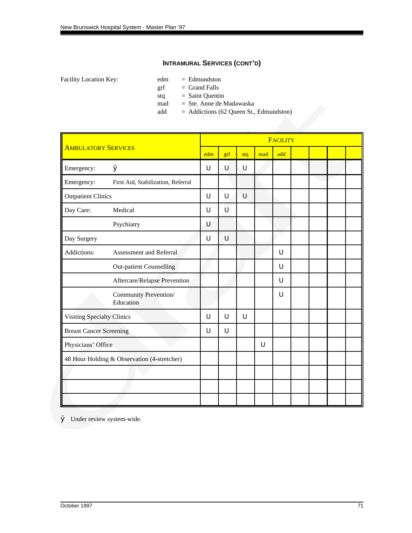- Facility Location Key: edm = Edmundston
	- $grf = Grand$  Falls
		- stq = Saint Quentin
		- mad = Ste. Anne de Madawaska
		- add = Addictions (62 Queen St., Edmundston)

|                                |                                             |     |     |     |     | <b>FACILITY</b> |  |  |
|--------------------------------|---------------------------------------------|-----|-----|-----|-----|-----------------|--|--|
| <b>AMBULATORY SERVICES</b>     |                                             | edm | grf | stq | mad | add             |  |  |
| Emergency:                     | Ø                                           | U   | U   | U   |     |                 |  |  |
| Emergency:                     | First Aid, Stabilization, Referral          |     |     |     |     |                 |  |  |
| <b>Outpatient Clinics</b>      |                                             | U   | U   | U   |     |                 |  |  |
| Day Care:                      | Medical                                     | U   | Ù   |     |     |                 |  |  |
|                                | Psychiatry                                  | U   |     |     |     |                 |  |  |
| Day Surgery                    |                                             | U   | U   |     |     |                 |  |  |
| Addictions:                    | Assessment and Referral                     |     |     |     |     | U               |  |  |
|                                | <b>Out-patient Counselling</b>              |     |     |     |     | U               |  |  |
|                                | Aftercare/Relapse Prevention                |     |     |     |     | U               |  |  |
|                                | Community Prevention/<br>Education          |     |     |     |     | U               |  |  |
| Visiting Specialty Clinics     |                                             | U   | U   | Ü   |     |                 |  |  |
| <b>Breast Cancer Screening</b> |                                             | U   | U   |     |     |                 |  |  |
| Physicians' Office             |                                             |     |     |     | U   |                 |  |  |
|                                | 48 Hour Holding & Observation (4-stretcher) |     |     |     |     |                 |  |  |
|                                |                                             |     |     |     |     |                 |  |  |
|                                |                                             |     |     |     |     |                 |  |  |
|                                |                                             |     |     |     |     |                 |  |  |

Ø Under review system-wide.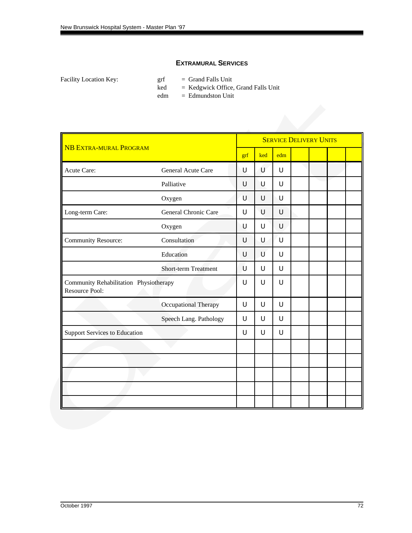### **EXTRAMURAL SERVICES**

Facility Location Key:  $grf = Grand$  Falls Unit

ked = Kedgwick Office, Grand Falls Unit

edm = Edmundston Unit

|                                                          |                             |     |     |        | <b>SERVICE DELIVERY UNITS</b> |  |  |
|----------------------------------------------------------|-----------------------------|-----|-----|--------|-------------------------------|--|--|
| <b>NB EXTRA-MURAL PROGRAM</b>                            |                             | grf | ked | edm    |                               |  |  |
| Acute Care:                                              | General Acute Care          | U   | U   | $\cup$ |                               |  |  |
|                                                          | Palliative                  | U   | U   | $\cup$ |                               |  |  |
|                                                          | Oxygen                      | U   | U   | $\cup$ |                               |  |  |
| Long-term Care:                                          | General Chronic Care        | U   | U   | $\cup$ |                               |  |  |
|                                                          | Oxygen                      | Ū   | U   | $\cup$ |                               |  |  |
| <b>Community Resource:</b>                               | Consultation                | U   | U   | $\cup$ |                               |  |  |
|                                                          | Education                   | U   | U   | $\cup$ |                               |  |  |
|                                                          | <b>Short-term Treatment</b> | Ù   | U   | $\cup$ |                               |  |  |
| Community Rehabilitation Physiotherapy<br>Resource Pool: |                             | U   | U   | $\cup$ |                               |  |  |
|                                                          | Occupational Therapy        | U   | U   | U      |                               |  |  |
|                                                          | Speech Lang. Pathology      | U   | U   | $\cup$ |                               |  |  |
| <b>Support Services to Education</b>                     |                             | U   | U   | $\cup$ |                               |  |  |
|                                                          |                             |     |     |        |                               |  |  |
|                                                          |                             |     |     |        |                               |  |  |
|                                                          |                             |     |     |        |                               |  |  |
|                                                          |                             |     |     |        |                               |  |  |
|                                                          |                             |     |     |        |                               |  |  |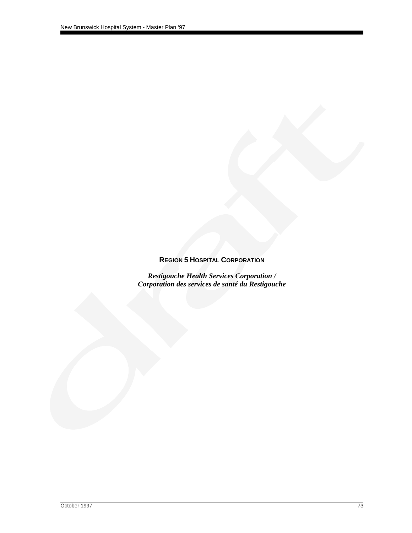### **REGION 5 HOSPITAL CORPORATION**

*Restigouche Health Services Corporation / Corporation des services de santé du Restigouche*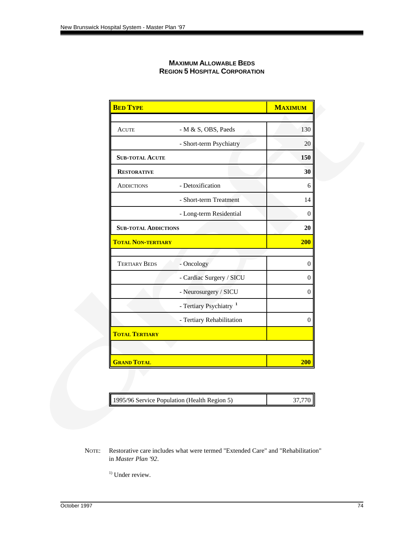| <b>MAXIMUM ALLOWABLE BEDS</b>        |
|--------------------------------------|
| <b>REGION 5 HOSPITAL CORPORATION</b> |

| <b>BED TYPE</b>             |                                    | <b>MAXIMUM</b> |
|-----------------------------|------------------------------------|----------------|
|                             |                                    |                |
| <b>ACUTE</b>                | - M & S, OBS, Paeds                | 130            |
|                             | - Short-term Psychiatry            | 20             |
| <b>SUB-TOTAL ACUTE</b>      |                                    | 150            |
| <b>RESTORATIVE</b>          |                                    | 30             |
| <b>ADDICTIONS</b>           | - Detoxification                   | 6              |
|                             | - Short-term Treatment             | 14             |
|                             | - Long-term Residential            | $\overline{0}$ |
| <b>SUB-TOTAL ADDICTIONS</b> |                                    | 20             |
| <b>TOTAL NON-TERTIARY</b>   |                                    | <b>200</b>     |
|                             |                                    |                |
| <b>TERTIARY BEDS</b>        | - Oncology                         | $\theta$       |
|                             | - Cardiac Surgery / SICU           | $\overline{0}$ |
|                             | - Neurosurgery / SICU              | $\overline{0}$ |
|                             | - Tertiary Psychiatry <sup>1</sup> |                |
|                             | - Tertiary Rehabilitation          | $\theta$       |
| <b>TOTAL TERTIARY</b>       |                                    |                |
|                             |                                    |                |
| <b>GRAND TOTAL</b>          |                                    | <b>200</b>     |

| 1995/96 Service Population (Health Region 5) | 37,770 |
|----------------------------------------------|--------|
|----------------------------------------------|--------|

NOTE: Restorative care includes what were termed "Extended Care" and "Rehabilitation" in *Master Plan '92*.

 $1)$  Under review.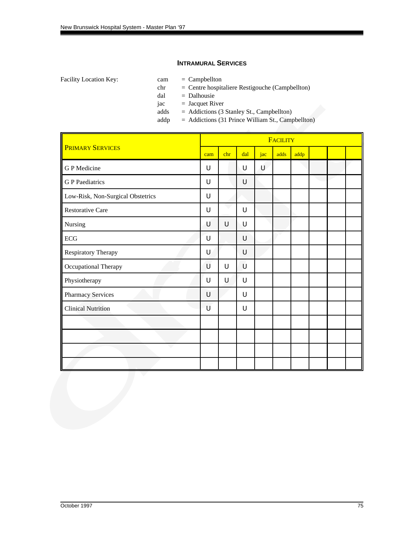#### **INTRAMURAL SERVICES**

- 
- chr = Centre hospitaliere Restigouche (Campbellton)
- dal = Dalhousie
- $jac = Jacquet River$
- adds = Addictions (3 Stanley St., Campbellton)
- addp = Addictions (31 Prince William St., Campbellton)

|                                   |     |     |     |     | <b>FACILITY</b> |      |  |  |
|-----------------------------------|-----|-----|-----|-----|-----------------|------|--|--|
| <b>PRIMARY SERVICES</b>           | cam | chr | dal | jac | adds            | addp |  |  |
| G P Medicine                      | U   |     | U   | U   |                 |      |  |  |
| <b>G</b> P Paediatrics            | U   |     | U   |     |                 |      |  |  |
| Low-Risk, Non-Surgical Obstetrics | U   |     |     |     |                 |      |  |  |
| <b>Restorative Care</b>           | U   |     | U   |     |                 |      |  |  |
| Nursing                           | U   | U   | U   |     |                 |      |  |  |
| ECG                               | U   |     | U   |     |                 |      |  |  |
| Respiratory Therapy               | U   |     | U   |     |                 |      |  |  |
| Occupational Therapy              | U   | U   | U   |     |                 |      |  |  |
| Physiotherapy                     | U   | U   | U   |     |                 |      |  |  |
| Pharmacy Services                 | U   |     | U   |     |                 |      |  |  |
| <b>Clinical Nutrition</b>         | U   |     | U   |     |                 |      |  |  |
|                                   |     |     |     |     |                 |      |  |  |
|                                   |     |     |     |     |                 |      |  |  |
|                                   |     |     |     |     |                 |      |  |  |
|                                   |     |     |     |     |                 |      |  |  |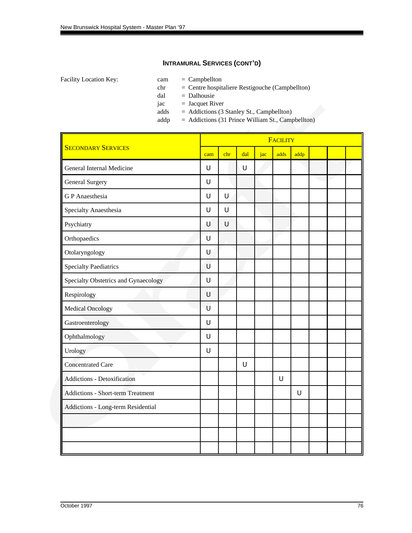- 
- chr = Centre hospitaliere Restigouche (Campbellton)
- dal = Dalhousie
- $jac = Jacquet River$
- adds = Addictions (3 Stanley St., Campbellton)
- addp = Addictions (31 Prince William St., Campbellton)

|                                          |        |        |     |     | <b>FACILITY</b> |      |  |  |
|------------------------------------------|--------|--------|-----|-----|-----------------|------|--|--|
| <b>SECONDARY SERVICES</b>                | cam    | chr    | dal | jac | adds            | addp |  |  |
| General Internal Medicine                | U      |        | U   |     |                 |      |  |  |
| <b>General Surgery</b>                   | U      |        |     |     |                 |      |  |  |
| <b>GP</b> Anaesthesia                    | U      | $\cup$ |     |     |                 |      |  |  |
| Specialty Anaesthesia                    | U      | Ù      |     |     |                 |      |  |  |
| Psychiatry                               | U      | $\cup$ |     |     |                 |      |  |  |
| Orthopaedics                             | U      |        |     |     |                 |      |  |  |
| Otolaryngology                           | U      |        |     |     |                 |      |  |  |
| <b>Specialty Paediatrics</b>             | U      |        |     |     |                 |      |  |  |
| Specialty Obstetrics and Gynaecology     | $\cup$ |        |     |     |                 |      |  |  |
| Respirology                              | $\cup$ |        |     |     |                 |      |  |  |
| <b>Medical Oncology</b>                  | U      |        |     |     |                 |      |  |  |
| Gastroenterology                         | U      |        |     |     |                 |      |  |  |
| Ophthalmology                            | U      |        |     |     |                 |      |  |  |
| Urology                                  | U      |        |     |     |                 |      |  |  |
| <b>Concentrated Care</b>                 |        |        | U   |     |                 |      |  |  |
| Addictions - Detoxification              |        |        |     |     | U               |      |  |  |
| <b>Addictions - Short-term Treatment</b> |        |        |     |     |                 | U    |  |  |
| Addictions - Long-term Residential       |        |        |     |     |                 |      |  |  |
|                                          |        |        |     |     |                 |      |  |  |
|                                          |        |        |     |     |                 |      |  |  |
|                                          |        |        |     |     |                 |      |  |  |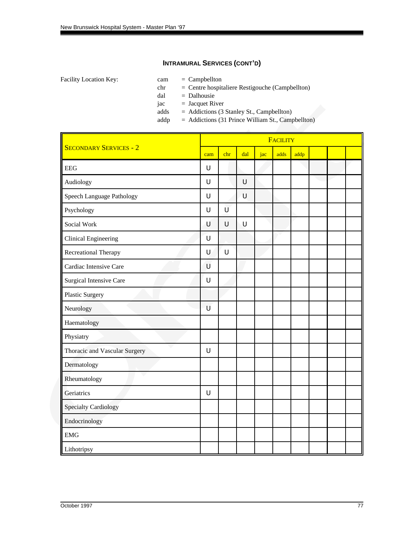- 
- chr = Centre hospitaliere Restigouche (Campbellton)
- dal = Dalhousie
- $jac = Jacquet River$
- adds = Addictions (3 Stanley St., Campbellton)
- addp = Addictions (31 Prince William St., Campbellton)

|                                |     |        |     |     | FACILITY |      |  |  |
|--------------------------------|-----|--------|-----|-----|----------|------|--|--|
| <b>SECONDARY SERVICES - 2</b>  | cam | chr    | dal | jac | adds     | addp |  |  |
| <b>EEG</b>                     | U   |        |     |     |          |      |  |  |
| Audiology                      | U   |        | U   |     |          |      |  |  |
| Speech Language Pathology      | U   |        | U   |     |          |      |  |  |
| Psychology                     | U   | Ù      |     |     |          |      |  |  |
| Social Work                    | U   | U      | U   |     |          |      |  |  |
| <b>Clinical Engineering</b>    | U   |        |     |     |          |      |  |  |
| <b>Recreational Therapy</b>    | U   | $\cup$ |     |     |          |      |  |  |
| Cardiac Intensive Care         | U   |        |     |     |          |      |  |  |
| <b>Surgical Intensive Care</b> | U   |        |     |     |          |      |  |  |
| Plastic Surgery                |     |        |     |     |          |      |  |  |
| Neurology                      | U   |        |     |     |          |      |  |  |
| Haematology                    |     |        |     |     |          |      |  |  |
| Physiatry                      |     |        |     |     |          |      |  |  |
| Thoracic and Vascular Surgery  | U   |        |     |     |          |      |  |  |
| Dermatology                    |     |        |     |     |          |      |  |  |
| Rheumatology                   |     |        |     |     |          |      |  |  |
| Geriatrics                     | U   |        |     |     |          |      |  |  |
| <b>Specialty Cardiology</b>    |     |        |     |     |          |      |  |  |
| Endocrinology                  |     |        |     |     |          |      |  |  |
| <b>EMG</b>                     |     |        |     |     |          |      |  |  |
| Lithotripsy                    |     |        |     |     |          |      |  |  |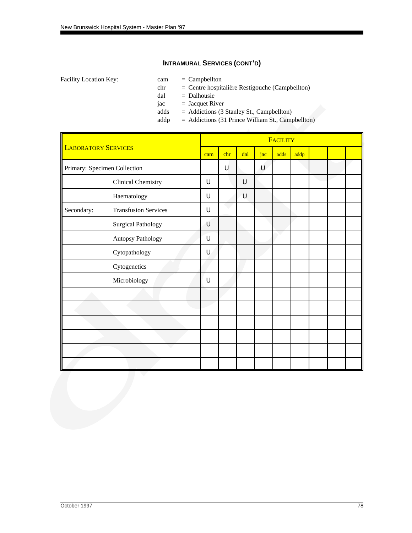- 
- chr = Centre hospitalière Restigouche (Campbellton)
- dal = Dalhousie
- $jac = Jacquet River$
- adds = Addictions (3 Stanley St., Campbellton)<br>addp = Addictions (31 Prince William St., Camp
	- = Addictions (31 Prince William St., Campbellton)

|                            |                              |     |     |     |     | <b>FACILITY</b> |      |  |  |
|----------------------------|------------------------------|-----|-----|-----|-----|-----------------|------|--|--|
| <b>LABORATORY SERVICES</b> |                              | cam | chr | dal | jac | adds            | addp |  |  |
|                            | Primary: Specimen Collection |     | U   |     | U   |                 |      |  |  |
|                            | <b>Clinical Chemistry</b>    | U   |     | U   |     |                 |      |  |  |
|                            | Haematology                  | U   |     | U   |     |                 |      |  |  |
| Secondary:                 | <b>Transfusion Services</b>  | U   |     |     |     |                 |      |  |  |
|                            | <b>Surgical Pathology</b>    | U   |     |     |     |                 |      |  |  |
|                            | Autopsy Pathology            | U   |     |     |     |                 |      |  |  |
|                            | Cytopathology                | U   |     |     |     |                 |      |  |  |
|                            | Cytogenetics                 |     |     |     |     |                 |      |  |  |
|                            | Microbiology                 | U   |     |     |     |                 |      |  |  |
|                            |                              |     |     |     |     |                 |      |  |  |
|                            |                              |     |     |     |     |                 |      |  |  |
|                            |                              |     |     |     |     |                 |      |  |  |
|                            |                              |     |     |     |     |                 |      |  |  |
|                            |                              |     |     |     |     |                 |      |  |  |
|                            |                              |     |     |     |     |                 |      |  |  |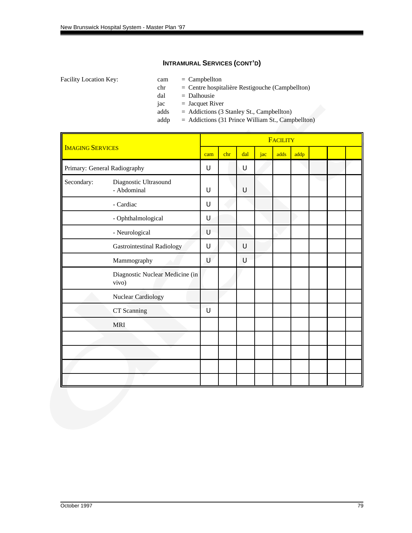- 
- chr = Centre hospitalière Restigouche (Campbellton)
- dal = Dalhousie
- $jac = Jacquet River$ 
	-
- adds = Addictions (3 Stanley St., Campbellton)<br>addp = Addictions (31 Prince William St., Camp = Addictions (31 Prince William St., Campbellton)

|                         |                                          |     |     |     |     | <b>FACILITY</b> |      |  |  |
|-------------------------|------------------------------------------|-----|-----|-----|-----|-----------------|------|--|--|
| <b>IMAGING SERVICES</b> |                                          | cam | chr | dal | jac | adds            | addp |  |  |
|                         | Primary: General Radiography             | U   |     | U   |     |                 |      |  |  |
| Secondary:              | Diagnostic Ultrasound<br>- Abdominal     | U   |     | U   |     |                 |      |  |  |
|                         | - Cardiac                                | U   |     |     |     |                 |      |  |  |
|                         | - Ophthalmological                       | U   |     |     |     |                 |      |  |  |
|                         | - Neurological                           | U   |     |     |     |                 |      |  |  |
|                         | <b>Gastrointestinal Radiology</b>        | U   |     | U   |     |                 |      |  |  |
|                         | Mammography                              | U   |     | U   |     |                 |      |  |  |
|                         | Diagnostic Nuclear Medicine (in<br>vivo) |     |     |     |     |                 |      |  |  |
|                         | Nuclear Cardiology                       |     |     |     |     |                 |      |  |  |
|                         | CT Scanning                              | U   |     |     |     |                 |      |  |  |
|                         | <b>MRI</b>                               |     |     |     |     |                 |      |  |  |
|                         |                                          |     |     |     |     |                 |      |  |  |
|                         |                                          |     |     |     |     |                 |      |  |  |
|                         |                                          |     |     |     |     |                 |      |  |  |
|                         |                                          |     |     |     |     |                 |      |  |  |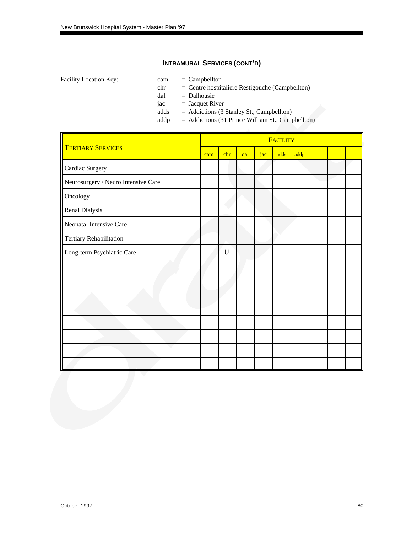- 
- chr = Centre hospitaliere Restigouche (Campbellton)
- dal = Dalhousie
- $jac = Jacquet River$ 
	-
- adds = Addictions (3 Stanley St., Campbellton)<br>addp = Addictions (31 Prince William St., Camp = Addictions (31 Prince William St., Campbellton)

|                                     |  |             |     |     | <b>FACILITY</b> |      |  |  |
|-------------------------------------|--|-------------|-----|-----|-----------------|------|--|--|
| <b>TERTIARY SERVICES</b>            |  | chr         | dal | jac | adds            | addp |  |  |
| Cardiac Surgery                     |  |             |     |     |                 |      |  |  |
| Neurosurgery / Neuro Intensive Care |  |             |     |     |                 |      |  |  |
| Oncology                            |  |             |     |     |                 |      |  |  |
| Renal Dialysis                      |  |             |     |     |                 |      |  |  |
| Neonatal Intensive Care             |  |             |     |     |                 |      |  |  |
| Tertiary Rehabilitation             |  |             |     |     |                 |      |  |  |
| Long-term Psychiatric Care          |  | $\mathsf U$ |     |     |                 |      |  |  |
|                                     |  |             |     |     |                 |      |  |  |
|                                     |  |             |     |     |                 |      |  |  |
|                                     |  |             |     |     |                 |      |  |  |
|                                     |  |             |     |     |                 |      |  |  |
|                                     |  |             |     |     |                 |      |  |  |
|                                     |  |             |     |     |                 |      |  |  |
|                                     |  |             |     |     |                 |      |  |  |
|                                     |  |             |     |     |                 |      |  |  |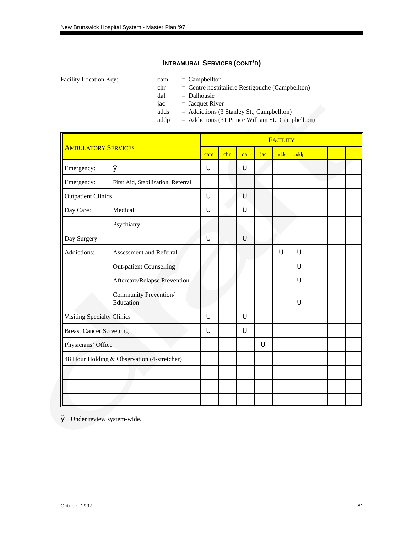Facility Location Key: cam = Campbellton

- 
- chr = Centre hospitaliere Restigouche (Campbellton)
- dal = Dalhousie
- $jac = Jacquet River$
- adds = Addictions (3 Stanley St., Campbellton)
- addp = Addictions (31 Prince William St., Campbellton)

|                                   |                                             |     |     |     |            | <b>FACILITY</b> |      |  |  |
|-----------------------------------|---------------------------------------------|-----|-----|-----|------------|-----------------|------|--|--|
| <b>AMBULATORY SERVICES</b>        |                                             | cam | chr | dal | $\int$ jac | adds            | addp |  |  |
| Emergency:                        | Ø                                           | U   |     | U   |            |                 |      |  |  |
| Emergency:                        | First Aid, Stabilization, Referral          |     |     |     |            |                 |      |  |  |
| <b>Outpatient Clinics</b>         |                                             | U   |     | U   |            |                 |      |  |  |
| Day Care:                         | Medical                                     | U   |     | U   |            |                 |      |  |  |
|                                   | Psychiatry                                  |     |     |     |            |                 |      |  |  |
| Day Surgery                       |                                             | U   |     | U   |            |                 |      |  |  |
| Addictions:                       | Assessment and Referral                     |     |     |     |            | U               | U    |  |  |
|                                   | <b>Out-patient Counselling</b>              |     |     |     |            |                 | U    |  |  |
|                                   | Aftercare/Relapse Prevention                |     |     |     |            |                 | U    |  |  |
|                                   | Community Prevention/<br>Education          |     |     |     |            |                 | U    |  |  |
| <b>Visiting Specialty Clinics</b> |                                             | U   |     | U   |            |                 |      |  |  |
| <b>Breast Cancer Screening</b>    |                                             | U   |     | U   |            |                 |      |  |  |
| Physicians' Office                |                                             |     |     |     | U          |                 |      |  |  |
|                                   | 48 Hour Holding & Observation (4-stretcher) |     |     |     |            |                 |      |  |  |
|                                   |                                             |     |     |     |            |                 |      |  |  |
|                                   |                                             |     |     |     |            |                 |      |  |  |
|                                   |                                             |     |     |     |            |                 |      |  |  |

Ø Under review system-wide.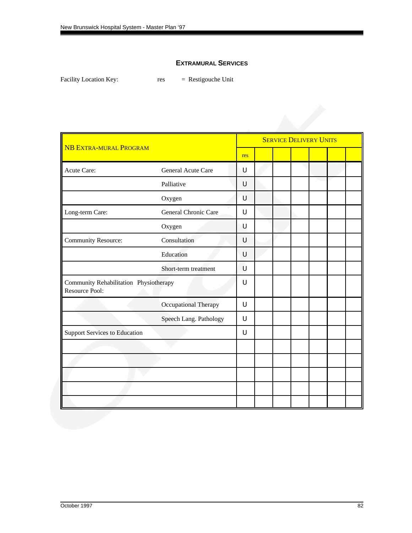### **EXTRAMURAL SERVICES**

Facility Location Key: res = Restigouche Unit

|                                                          |                        |        |  | <b>SERVICE DELIVERY UNITS</b> |  |
|----------------------------------------------------------|------------------------|--------|--|-------------------------------|--|
| <b>NB EXTRA-MURAL PROGRAM</b>                            |                        | res    |  |                               |  |
| Acute Care:                                              | General Acute Care     | U      |  |                               |  |
|                                                          | Palliative             | U      |  |                               |  |
|                                                          | Oxygen                 | U      |  |                               |  |
| Long-term Care:                                          | General Chronic Care   | U      |  |                               |  |
|                                                          | Oxygen                 | U      |  |                               |  |
| Community Resource:                                      | Consultation           | U      |  |                               |  |
|                                                          | Education              | U      |  |                               |  |
|                                                          | Short-term treatment   | U      |  |                               |  |
| Community Rehabilitation Physiotherapy<br>Resource Pool: |                        | U      |  |                               |  |
|                                                          | Occupational Therapy   | U      |  |                               |  |
|                                                          | Speech Lang. Pathology | $\cup$ |  |                               |  |
| <b>Support Services to Education</b>                     |                        | $\cup$ |  |                               |  |
|                                                          |                        |        |  |                               |  |
|                                                          |                        |        |  |                               |  |
|                                                          |                        |        |  |                               |  |
|                                                          |                        |        |  |                               |  |
|                                                          |                        |        |  |                               |  |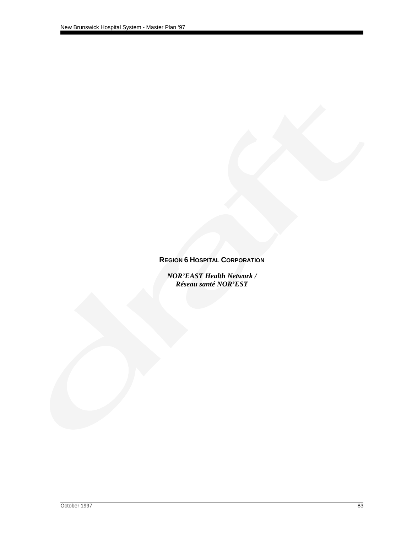### **REGION 6 HOSPITAL CORPORATION**

*NOR'EAST Health Network / Réseau santé NOR'EST*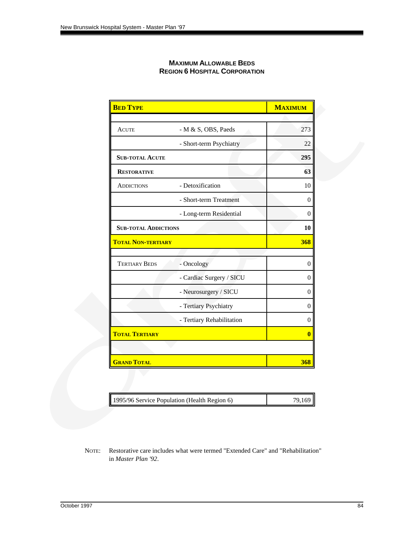| <b>MAXIMUM ALLOWABLE BEDS</b>        |
|--------------------------------------|
| <b>REGION 6 HOSPITAL CORPORATION</b> |

| <b>BED TYPE</b>             |                           | <b>MAXIMUM</b> |
|-----------------------------|---------------------------|----------------|
|                             |                           |                |
| <b>ACUTE</b>                | - M & S, OBS, Paeds       | 273            |
|                             | - Short-term Psychiatry   | 22             |
| <b>SUB-TOTAL ACUTE</b>      |                           | 295            |
| <b>RESTORATIVE</b>          |                           | 63             |
| <b>ADDICTIONS</b>           | - Detoxification          | 10             |
|                             | - Short-term Treatment    | $\theta$       |
|                             | - Long-term Residential   | $\mathbf{0}$   |
| <b>SUB-TOTAL ADDICTIONS</b> |                           | 10             |
| <b>TOTAL NON-TERTIARY</b>   |                           | 368            |
|                             |                           |                |
| <b>TERTIARY BEDS</b>        | - Oncology                | $\overline{0}$ |
|                             | - Cardiac Surgery / SICU  | $\theta$       |
|                             | - Neurosurgery / SICU     | $\overline{0}$ |
|                             | - Tertiary Psychiatry     | $\overline{0}$ |
|                             | - Tertiary Rehabilitation | $\overline{0}$ |
| <b>TOTAL TERTIARY</b>       |                           | $\bf{0}$       |
|                             |                           |                |
| <b>GRAND TOTAL</b>          |                           | 368            |

|  | 1995/96 Service Population (Health Region 6) | 79.169 |
|--|----------------------------------------------|--------|
|--|----------------------------------------------|--------|

NOTE: Restorative care includes what were termed "Extended Care" and "Rehabilitation" in *Master Plan '92*.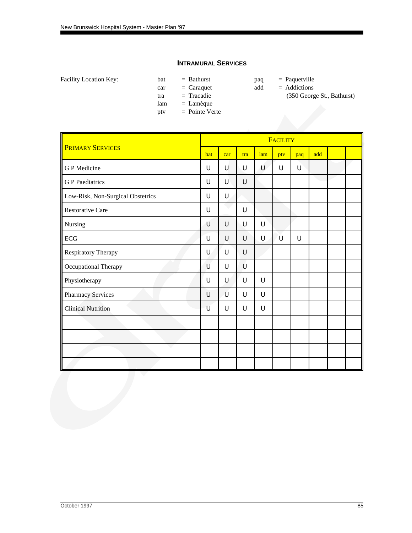#### **INTRAMURAL SERVICES**

Facility Location Key: bat = Bathurst paq = Paquetville

car = Caraquet add = Addictions

lam = Lamèque ptv = Pointe Verte

- -
- tra = Tracadie (350 George St., Bathurst)

|                                   |     |     |     |        | FACILITY |     |     |  |
|-----------------------------------|-----|-----|-----|--------|----------|-----|-----|--|
| <b>PRIMARY SERVICES</b>           | bat | car | tra | lam    | ptv      | paq | add |  |
| <b>GP</b> Medicine                | U   | U   | U   | U      | U        | U   |     |  |
| <b>G</b> P Paediatrics            | U   | U   | U   |        |          |     |     |  |
| Low-Risk, Non-Surgical Obstetrics | U   | U   |     |        |          |     |     |  |
| <b>Restorative Care</b>           | U   |     | U   |        |          |     |     |  |
| Nursing                           | Ú   | U   | U   | U      |          |     |     |  |
| $\rm ECG$                         | U   | U   | U   | U      | Ù        | U   |     |  |
| Respiratory Therapy               | U   | U   | U   |        |          |     |     |  |
| Occupational Therapy              | U   | U   | U   |        |          |     |     |  |
| Physiotherapy                     | U   | U   | U   | U      |          |     |     |  |
| Pharmacy Services                 | U   | U   | U   | $\cup$ |          |     |     |  |
| <b>Clinical Nutrition</b>         | U   | U   | U   | $\cup$ |          |     |     |  |
|                                   |     |     |     |        |          |     |     |  |
|                                   |     |     |     |        |          |     |     |  |
|                                   |     |     |     |        |          |     |     |  |
|                                   |     |     |     |        |          |     |     |  |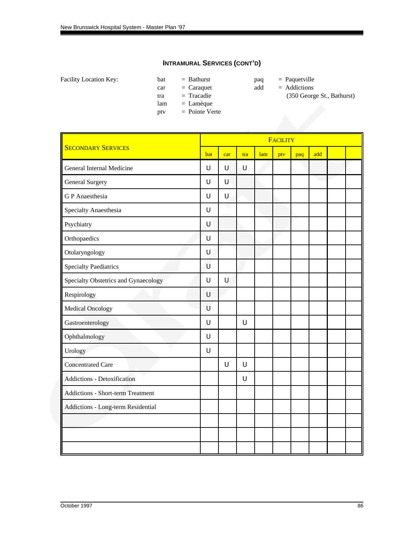Facility Location Key: bat = Bathurst paq = Paquetville

- car = Caraquet add = Addictions<br>tra = Tracadie (350 Georg
- lam = Lamèque
- ptv = Pointe Verte
- -
- tra = Tracadie (350 George St., Bathurst)

|                                          |     | FACILITY |                |     |     |     |     |  |  |  |  |  |
|------------------------------------------|-----|----------|----------------|-----|-----|-----|-----|--|--|--|--|--|
| <b>SECONDARY SERVICES</b>                | bat | car      | tra            | lam | ptv | paq | add |  |  |  |  |  |
| General Internal Medicine                | U   | U        | $\overline{U}$ |     |     |     |     |  |  |  |  |  |
| <b>General Surgery</b>                   | U   | U        |                |     |     |     |     |  |  |  |  |  |
| <b>GP</b> Anaesthesia                    | U   | U.       |                |     |     |     |     |  |  |  |  |  |
| Specialty Anaesthesia                    | U   |          |                |     |     |     |     |  |  |  |  |  |
| Psychiatry                               | Ú   |          |                |     |     |     |     |  |  |  |  |  |
| Orthopaedics                             | U   |          |                |     |     |     |     |  |  |  |  |  |
| Otolaryngology                           | U   |          |                |     |     |     |     |  |  |  |  |  |
| <b>Specialty Paediatrics</b>             | U   |          |                |     |     |     |     |  |  |  |  |  |
| Specialty Obstetrics and Gynaecology     | U   | U        |                |     |     |     |     |  |  |  |  |  |
| Respirology                              | U   |          |                |     |     |     |     |  |  |  |  |  |
| <b>Medical Oncology</b>                  | U   |          |                |     |     |     |     |  |  |  |  |  |
| Gastroenterology                         | U   |          | $\cup$         |     |     |     |     |  |  |  |  |  |
| Ophthalmology                            | U   |          |                |     |     |     |     |  |  |  |  |  |
| Urology                                  | U   |          |                |     |     |     |     |  |  |  |  |  |
| <b>Concentrated Care</b>                 |     | U        | $\cup$         |     |     |     |     |  |  |  |  |  |
| Addictions - Detoxification              |     |          | $\cup$         |     |     |     |     |  |  |  |  |  |
| <b>Addictions - Short-term Treatment</b> |     |          |                |     |     |     |     |  |  |  |  |  |
| Addictions - Long-term Residential       |     |          |                |     |     |     |     |  |  |  |  |  |
|                                          |     |          |                |     |     |     |     |  |  |  |  |  |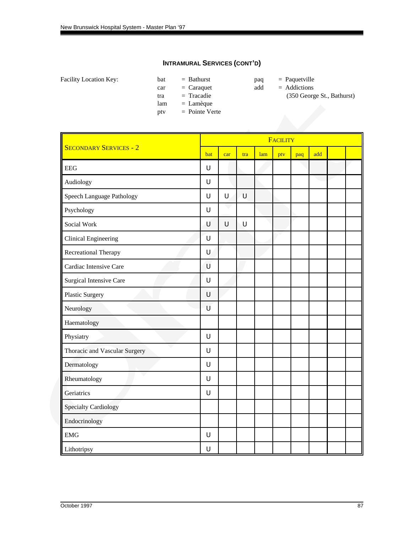Facility Location Key: bat = Bathurst paq = Paquetville

car = Caraquet add = Addictions<br>tra = Tracadie (350 Georg

lam = Lamèque ptv = Pointe Verte

- -
- tra = Tracadie (350 George St., Bathurst)

|                               |     |        |        |     | <b>FACILITY</b> |     |     |  |
|-------------------------------|-----|--------|--------|-----|-----------------|-----|-----|--|
| <b>SECONDARY SERVICES - 2</b> | bat | car    | tra    | lam | ptv             | paq | add |  |
| <b>EEG</b>                    | U   |        |        |     |                 |     |     |  |
| Audiology                     | U   |        |        |     |                 |     |     |  |
| Speech Language Pathology     | U   | $\cup$ | U      |     |                 |     |     |  |
| Psychology                    | U   | ć,     |        |     |                 |     |     |  |
| Social Work                   | U   | $\cup$ | $\cup$ |     |                 |     |     |  |
| Clinical Engineering          | U   |        |        |     |                 |     |     |  |
| Recreational Therapy          | U   |        |        |     |                 |     |     |  |
| Cardiac Intensive Care        | U   |        |        |     |                 |     |     |  |
| Surgical Intensive Care       | U   |        |        |     |                 |     |     |  |
| Plastic Surgery               | U   |        |        |     |                 |     |     |  |
| Neurology                     | U   |        |        |     |                 |     |     |  |
| Haematology                   |     |        |        |     |                 |     |     |  |
| Physiatry                     | U   |        |        |     |                 |     |     |  |
| Thoracic and Vascular Surgery | U   |        |        |     |                 |     |     |  |
| Dermatology                   | U   |        |        |     |                 |     |     |  |
| Rheumatology                  | U   |        |        |     |                 |     |     |  |
| Geriatrics                    | U   |        |        |     |                 |     |     |  |
| <b>Specialty Cardiology</b>   |     |        |        |     |                 |     |     |  |
| Endocrinology                 |     |        |        |     |                 |     |     |  |
| <b>EMG</b>                    | U   |        |        |     |                 |     |     |  |
| Lithotripsy                   | U   |        |        |     |                 |     |     |  |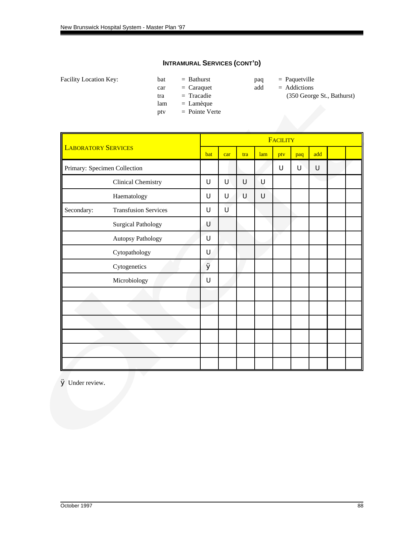Facility Location Key: bat = Bathurst paq = Paquetville

- car = Caraquet add = Addictions<br>tra = Tracadie (350 Georg
- lam = Lamèque
- ptv = Pointe Verte
- -
- tra = Tracadie (350 George St., Bathurst)

|                            |                              |     | <b>FACILITY</b> |     |        |     |     |     |  |  |  |  |  |  |  |
|----------------------------|------------------------------|-----|-----------------|-----|--------|-----|-----|-----|--|--|--|--|--|--|--|
| <b>LABORATORY SERVICES</b> |                              | bat | car             | tra | lam    | ptv | paq | add |  |  |  |  |  |  |  |
|                            | Primary: Specimen Collection |     |                 |     |        | U   | U   | U   |  |  |  |  |  |  |  |
|                            | Clinical Chemistry           | U   | U               | U   | U      |     |     |     |  |  |  |  |  |  |  |
|                            | Haematology                  | U   | U               | U   | $\cup$ |     |     |     |  |  |  |  |  |  |  |
| Secondary:                 | <b>Transfusion Services</b>  | U   | Ù               |     |        |     |     |     |  |  |  |  |  |  |  |
|                            | <b>Surgical Pathology</b>    | U   |                 |     |        |     |     |     |  |  |  |  |  |  |  |
|                            | Autopsy Pathology            | U   |                 |     |        |     |     |     |  |  |  |  |  |  |  |
|                            | Cytopathology                | U   |                 |     |        |     |     |     |  |  |  |  |  |  |  |
|                            | Cytogenetics                 | Ø   |                 |     |        |     |     |     |  |  |  |  |  |  |  |
|                            | Microbiology                 | U   |                 |     |        |     |     |     |  |  |  |  |  |  |  |
|                            |                              |     |                 |     |        |     |     |     |  |  |  |  |  |  |  |
|                            |                              |     |                 |     |        |     |     |     |  |  |  |  |  |  |  |
|                            |                              |     |                 |     |        |     |     |     |  |  |  |  |  |  |  |
|                            |                              |     |                 |     |        |     |     |     |  |  |  |  |  |  |  |
|                            |                              |     |                 |     |        |     |     |     |  |  |  |  |  |  |  |
|                            |                              |     |                 |     |        |     |     |     |  |  |  |  |  |  |  |

Ø Under review.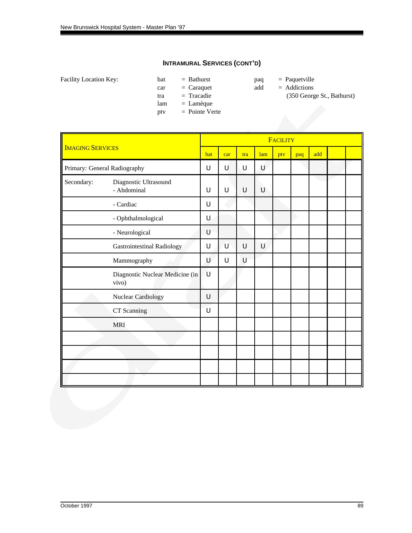Facility Location Key: bat = Bathurst paq = Paquetville

- car = Caraquet add = Addictions<br>tra = Tracadie (350 Georg
- lam = Lamèque
- ptv = Pointe Verte
- -
- tra = Tracadie (350 George St., Bathurst)

|                         |                                          |        |     |     |     | FACILITY |     |     |  |
|-------------------------|------------------------------------------|--------|-----|-----|-----|----------|-----|-----|--|
| <b>IMAGING SERVICES</b> |                                          | bat    | car | tra | lam | ptv      | paq | add |  |
|                         | Primary: General Radiography             | U      | U   | U   | U   |          |     |     |  |
| Secondary:              | Diagnostic Ultrasound<br>- Abdominal     | U      | U   | U   | U   |          |     |     |  |
|                         | - Cardiac                                | U      |     |     |     |          |     |     |  |
|                         | - Ophthalmological                       | U      |     |     |     |          |     |     |  |
|                         | - Neurological                           | U      |     |     |     |          |     |     |  |
|                         | <b>Gastrointestinal Radiology</b>        | U      | U   | U   | U   |          |     |     |  |
|                         | Mammography                              | U      | U   | U   |     |          |     |     |  |
|                         | Diagnostic Nuclear Medicine (in<br>vivo) | ้บ     |     |     |     |          |     |     |  |
|                         | <b>Nuclear Cardiology</b>                | $\cup$ |     |     |     |          |     |     |  |
|                         | CT Scanning                              | U      |     |     |     |          |     |     |  |
|                         | <b>MRI</b>                               |        |     |     |     |          |     |     |  |
|                         |                                          |        |     |     |     |          |     |     |  |
|                         |                                          |        |     |     |     |          |     |     |  |
|                         |                                          |        |     |     |     |          |     |     |  |
|                         |                                          |        |     |     |     |          |     |     |  |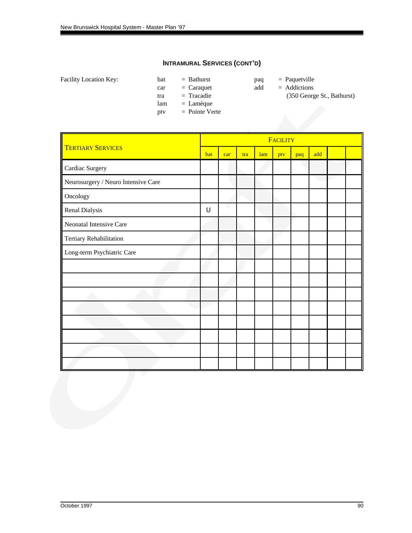Facility Location Key: bat = Bathurst paq = Paquetville

- car = Caraquet add = Addictions<br>tra = Tracadie (350 Georg
- -
- lam = Lamèque
- ptv = Pointe Verte
- 
- tra = Tracadie (350 George St., Bathurst)

|                                     |     |     |     |     | <b>FACILITY</b> |     |     |  |
|-------------------------------------|-----|-----|-----|-----|-----------------|-----|-----|--|
| <b>TERTIARY SERVICES</b>            | bat | car | tra | lam | ptv             | paq | add |  |
| Cardiac Surgery                     |     |     |     |     |                 |     |     |  |
| Neurosurgery / Neuro Intensive Care |     |     |     |     |                 |     |     |  |
| Oncology                            |     |     |     |     |                 |     |     |  |
| Renal Dialysis                      | U   |     |     |     |                 |     |     |  |
| Neonatal Intensive Care             |     |     |     |     |                 |     |     |  |
| Tertiary Rehabilitation             |     |     |     |     |                 |     |     |  |
| Long-term Psychiatric Care          |     |     |     |     |                 |     |     |  |
|                                     |     |     |     |     |                 |     |     |  |
|                                     |     |     |     |     |                 |     |     |  |
|                                     |     |     |     |     |                 |     |     |  |
|                                     |     |     |     |     |                 |     |     |  |
|                                     |     |     |     |     |                 |     |     |  |
|                                     |     |     |     |     |                 |     |     |  |
|                                     |     |     |     |     |                 |     |     |  |
|                                     |     |     |     |     |                 |     |     |  |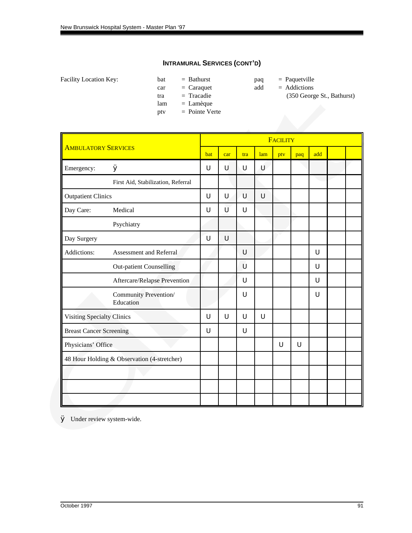Facility Location Key: bat = Bathurst paq = Paquetville

- car = Caraquet add = Addictions<br>tra = Tracadie (350 Georg
- lam = Lamèque
- ptv = Pointe Verte
- -
- tra = Tracadie (350 George St., Bathurst)

|                                |                                             |     |        |        |        | <b>FACILITY</b> |     |   |  |
|--------------------------------|---------------------------------------------|-----|--------|--------|--------|-----------------|-----|---|--|
| <b>AMBULATORY SERVICES</b>     | bat                                         | car | tra    | lam    | ptv    | paq             | add |   |  |
| Emergency:                     | Ø                                           | U   | U      | U      | U      |                 |     |   |  |
|                                | First Aid, Stabilization, Referral          |     |        |        |        |                 |     |   |  |
| <b>Outpatient Clinics</b>      |                                             | U   | $\cup$ | U      | U      |                 |     |   |  |
| Day Care:                      | Medical                                     | U   | Ù      | U      |        |                 |     |   |  |
|                                | Psychiatry                                  |     |        |        |        |                 |     |   |  |
| Day Surgery                    |                                             | U   | $\cup$ |        |        |                 |     |   |  |
| Addictions:                    | Assessment and Referral                     |     |        | U      |        |                 |     | U |  |
|                                | <b>Out-patient Counselling</b>              |     |        | U      |        |                 |     | U |  |
|                                | Aftercare/Relapse Prevention                |     |        | U      |        |                 |     | U |  |
|                                | Community Prevention/<br>Education          |     |        | U      |        |                 |     | U |  |
| Visiting Specialty Clinics     |                                             | U   | U      | $\cup$ | $\cup$ |                 |     |   |  |
| <b>Breast Cancer Screening</b> |                                             | U   |        | U      |        |                 |     |   |  |
| Physicians' Office             |                                             |     |        |        |        | U               | U   |   |  |
|                                | 48 Hour Holding & Observation (4-stretcher) |     |        |        |        |                 |     |   |  |
|                                |                                             |     |        |        |        |                 |     |   |  |
|                                |                                             |     |        |        |        |                 |     |   |  |
|                                |                                             |     |        |        |        |                 |     |   |  |

Ø Under review system-wide.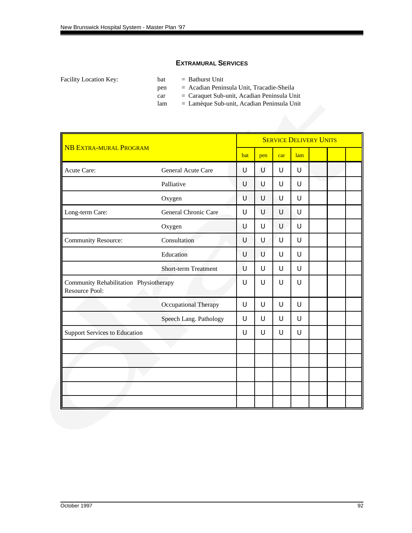### **EXTRAMURAL SERVICES**

Facility Location Key: bat = Bathurst Unit

- 
- pen = Acadian Peninsula Unit, Tracadie-Sheila
- car = Caraquet Sub-unit, Acadian Peninsula Unit
- lam = Lamèque Sub-unit, Acadian Peninsula Unit

|                                                          |                             |     |     | <b>SERVICE DELIVERY UNITS</b> |     |  |  |
|----------------------------------------------------------|-----------------------------|-----|-----|-------------------------------|-----|--|--|
| <b>NB EXTRA-MURAL PROGRAM</b>                            |                             | bat | pen | car                           | lam |  |  |
| Acute Care:                                              | <b>General Acute Care</b>   | U   | U   | U                             | U   |  |  |
|                                                          | Palliative                  | U   | U   | U                             | U   |  |  |
|                                                          | Oxygen                      | U   | U   | U                             | U   |  |  |
| Long-term Care:                                          | General Chronic Care        | U   | U   | U                             | U   |  |  |
|                                                          | Oxygen                      | U   | U   | U                             | U   |  |  |
| <b>Community Resource:</b>                               | Consultation                | U   | U   | U                             | U   |  |  |
|                                                          | Education                   | U   | U   | U                             | U   |  |  |
|                                                          | <b>Short-term Treatment</b> | U   | U   | U                             | U   |  |  |
| Community Rehabilitation Physiotherapy<br>Resource Pool: |                             | U   | U   | U                             | U   |  |  |
|                                                          | Occupational Therapy        | U   | U   | U                             | Ū   |  |  |
|                                                          | Speech Lang. Pathology      | U   | U   | U                             | U   |  |  |
| <b>Support Services to Education</b>                     |                             | U   | U   | U                             | Ū   |  |  |
|                                                          |                             |     |     |                               |     |  |  |
|                                                          |                             |     |     |                               |     |  |  |
|                                                          |                             |     |     |                               |     |  |  |
|                                                          |                             |     |     |                               |     |  |  |
|                                                          |                             |     |     |                               |     |  |  |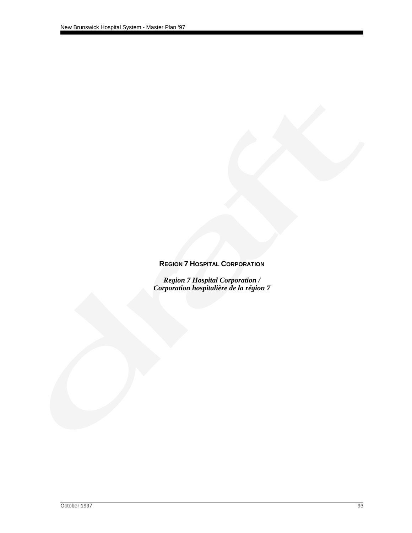# **REGION 7 HOSPITAL CORPORATION**

*Region 7 Hospital Corporation / Corporation hospitalière de la région 7*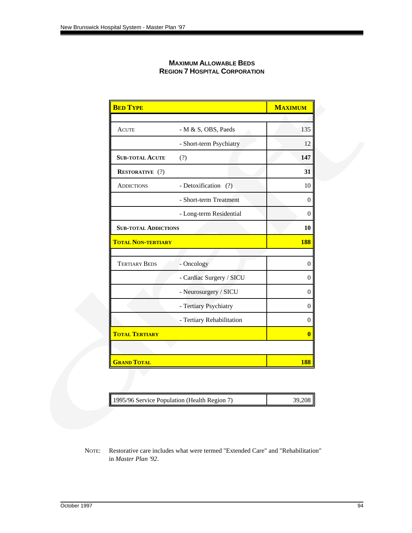| <b>BED TYPE</b>             |                           | <b>MAXIMUM</b> |
|-----------------------------|---------------------------|----------------|
| <b>ACUTE</b>                | - M & S, OBS, Paeds       | 135            |
|                             | - Short-term Psychiatry   | 12             |
| <b>SUB-TOTAL ACUTE</b>      | (?)                       | 147            |
| <b>RESTORATIVE</b> (?)      |                           | 31             |
| <b>ADDICTIONS</b>           | - Detoxification (?)      | 10             |
|                             | - Short-term Treatment    | $\theta$       |
|                             | - Long-term Residential   | $\overline{0}$ |
| <b>SUB-TOTAL ADDICTIONS</b> |                           | 10             |
| <b>TOTAL NON-TERTIARY</b>   |                           | <b>188</b>     |
|                             |                           |                |
| <b>TERTIARY BEDS</b>        | - Oncology                | $\overline{0}$ |
|                             | - Cardiac Surgery / SICU  | $\theta$       |
|                             | - Neurosurgery / SICU     | $\overline{0}$ |
|                             | - Tertiary Psychiatry     | $\overline{0}$ |
|                             | - Tertiary Rehabilitation | $\overline{0}$ |
| <b>TOTAL TERTIARY</b>       |                           | $\bf{0}$       |
|                             |                           |                |
| <b>GRAND TOTAL</b>          |                           | 188            |

#### **MAXIMUM ALLOWABLE BEDS REGION 7 HOSPITAL CORPORATION**

|  | 1995/96 Service Population (Health Region 7) | 39,208 |
|--|----------------------------------------------|--------|
|--|----------------------------------------------|--------|

NOTE: Restorative care includes what were termed "Extended Care" and "Rehabilitation" in *Master Plan '92*.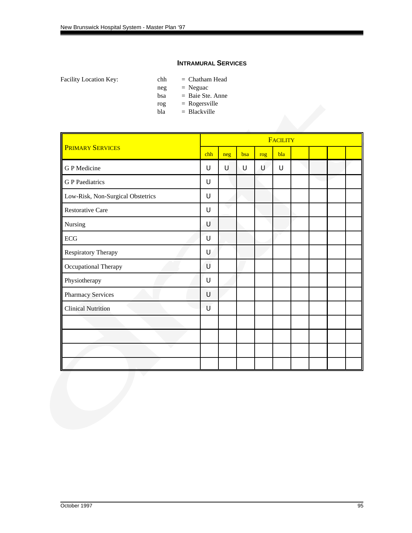#### **INTRAMURAL SERVICES**

Facility Location Key: chh = Chatham Head

- 
- neg = Neguac
- $bas \t = Baie Ste.$  Anne
- rog = Rogersville
- $bla = Blackville$

|     |     | FACILITY |     |        |  |  |  |  |  |
|-----|-----|----------|-----|--------|--|--|--|--|--|
| chh | neg | bsa      | rog | bla    |  |  |  |  |  |
| U   | U   | U        | Ù   | $\cup$ |  |  |  |  |  |
| U   |     |          |     |        |  |  |  |  |  |
| U   |     |          |     |        |  |  |  |  |  |
| U   |     |          |     |        |  |  |  |  |  |
| U   |     |          |     |        |  |  |  |  |  |
| U   |     |          |     |        |  |  |  |  |  |
| U   |     |          |     |        |  |  |  |  |  |
| U   |     |          |     |        |  |  |  |  |  |
| U   |     |          |     |        |  |  |  |  |  |
| U   |     |          |     |        |  |  |  |  |  |
| U   |     |          |     |        |  |  |  |  |  |
|     |     |          |     |        |  |  |  |  |  |
|     |     |          |     |        |  |  |  |  |  |
|     |     |          |     |        |  |  |  |  |  |
|     |     |          |     |        |  |  |  |  |  |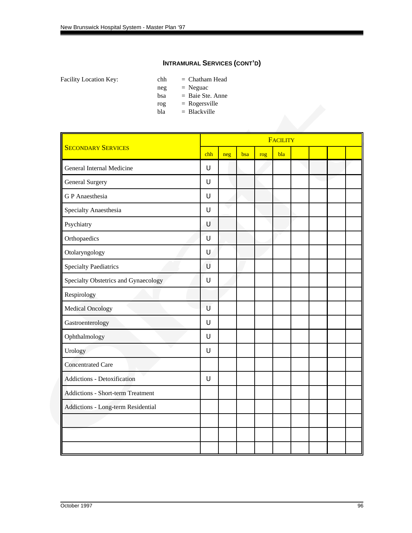- Facility Location Key: chh = Chatham Head
	- $neg = Neguac$
	- bsa = Baie Ste. Anne
	- $rog = Rogersville$
	- $bla = Blackville$

| neg | bsa | rog | bla |  |  |
|-----|-----|-----|-----|--|--|
|     |     |     |     |  |  |
|     |     |     |     |  |  |
|     |     |     |     |  |  |
|     |     |     |     |  |  |
|     |     |     |     |  |  |
|     |     |     |     |  |  |
|     |     |     |     |  |  |
|     |     |     |     |  |  |
|     |     |     |     |  |  |
|     |     |     |     |  |  |
|     |     |     |     |  |  |
|     |     |     |     |  |  |
|     |     |     |     |  |  |
|     |     |     |     |  |  |
|     |     |     |     |  |  |
|     |     |     |     |  |  |
|     |     |     |     |  |  |
|     |     |     |     |  |  |
|     |     |     |     |  |  |
|     |     |     |     |  |  |
|     |     |     |     |  |  |
|     |     |     |     |  |  |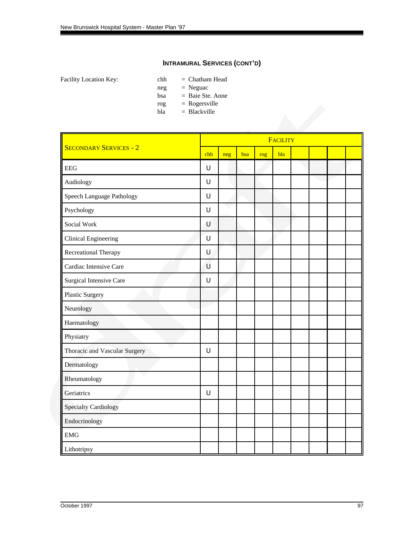- Facility Location Key: chh = Chatham Head
	- $neg = Neguac$
	- bsa = Baie Ste. Anne
	- $rog = Rogersville$
	- $bla = Blackville$

| rog<br>bla                     | $=$ Rogersville<br>$=$ Blackville |     |     |     |                 |  |  |
|--------------------------------|-----------------------------------|-----|-----|-----|-----------------|--|--|
|                                |                                   |     |     |     | <b>FACILITY</b> |  |  |
| <b>SECONDARY SERVICES - 2</b>  | chh                               | neg | bsa | rog | bla             |  |  |
| <b>EEG</b>                     | U                                 |     |     |     |                 |  |  |
| Audiology                      | U                                 |     |     |     |                 |  |  |
| Speech Language Pathology      | U                                 |     |     |     |                 |  |  |
| Psychology                     | U                                 |     |     |     |                 |  |  |
| Social Work                    | U                                 |     |     |     |                 |  |  |
| <b>Clinical Engineering</b>    | U                                 |     |     |     |                 |  |  |
| Recreational Therapy           | U                                 |     |     |     |                 |  |  |
| Cardiac Intensive Care         | U                                 |     |     |     |                 |  |  |
| <b>Surgical Intensive Care</b> | U                                 |     |     |     |                 |  |  |
| Plastic Surgery                |                                   |     |     |     |                 |  |  |
| Neurology                      |                                   |     |     |     |                 |  |  |
| Haematology                    |                                   |     |     |     |                 |  |  |
| Physiatry                      |                                   |     |     |     |                 |  |  |
| Thoracic and Vascular Surgery  | U                                 |     |     |     |                 |  |  |
| Dermatology                    |                                   |     |     |     |                 |  |  |
| Rheumatology                   |                                   |     |     |     |                 |  |  |
| Geriatrics                     | U                                 |     |     |     |                 |  |  |
| <b>Specialty Cardiology</b>    |                                   |     |     |     |                 |  |  |
| Endocrinology                  |                                   |     |     |     |                 |  |  |
| ${\rm EMG}$                    |                                   |     |     |     |                 |  |  |
| Lithotripsy                    |                                   |     |     |     |                 |  |  |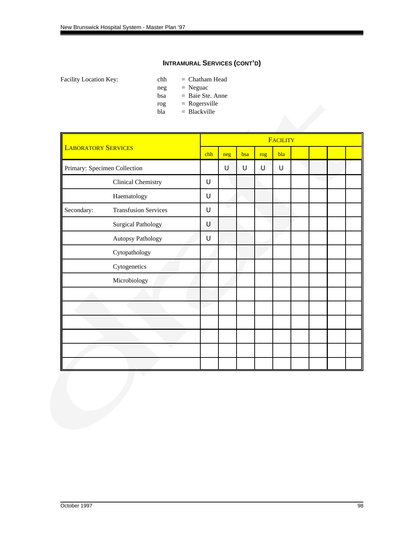- Facility Location Key: chh = Chatham Head
	- neg = Neguac
	- $bas \t = Baie Ste.$  Anne
	- $rog = Rogersville$
	- $bla = Blackville$

|                              |                             |     |     |     |     | <b>FACILITY</b> |  |  |
|------------------------------|-----------------------------|-----|-----|-----|-----|-----------------|--|--|
| <b>LABORATORY SERVICES</b>   |                             | chh | neg | bsa | rog | bla             |  |  |
| Primary: Specimen Collection |                             |     | U   | U   | U   | U               |  |  |
|                              | <b>Clinical Chemistry</b>   | U   |     |     |     |                 |  |  |
|                              | Haematology                 | U   |     |     |     |                 |  |  |
| Secondary:                   | <b>Transfusion Services</b> | U   |     |     |     |                 |  |  |
|                              | <b>Surgical Pathology</b>   | U   |     |     |     |                 |  |  |
|                              | Autopsy Pathology           | U   |     |     |     |                 |  |  |
|                              | Cytopathology               |     |     |     |     |                 |  |  |
|                              | Cytogenetics                |     |     |     |     |                 |  |  |
|                              | Microbiology                |     |     |     |     |                 |  |  |
|                              |                             |     |     |     |     |                 |  |  |
|                              |                             |     |     |     |     |                 |  |  |
|                              |                             |     |     |     |     |                 |  |  |
|                              |                             |     |     |     |     |                 |  |  |
|                              |                             |     |     |     |     |                 |  |  |
|                              |                             |     |     |     |     |                 |  |  |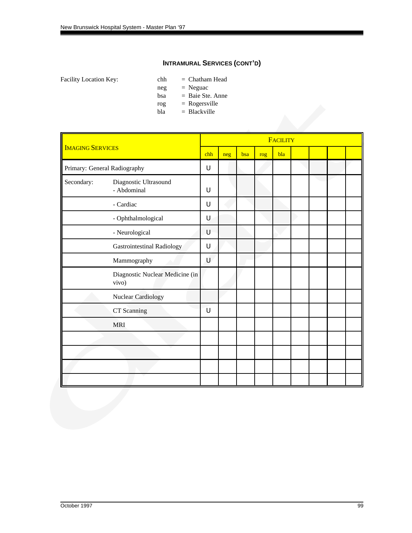- Facility Location Key: chh = Chatham Head
	- neg = Neguac
	- $bas \t = Baie Ste.$  Anne
	- $rog = Rogersville$
	- $bla = Blackville$

|                         |                                          |        |     |     |     | <b>FACILITY</b> |  |  |
|-------------------------|------------------------------------------|--------|-----|-----|-----|-----------------|--|--|
| <b>IMAGING SERVICES</b> |                                          | chh    | neg | bsa | rog | bla             |  |  |
|                         | Primary: General Radiography             | $\cup$ |     |     |     |                 |  |  |
| Secondary:              | Diagnostic Ultrasound<br>- Abdominal     | U      |     |     |     |                 |  |  |
|                         | - Cardiac                                | U      |     |     |     |                 |  |  |
|                         | - Ophthalmological                       | $\cup$ |     |     |     |                 |  |  |
|                         | - Neurological                           | U      |     |     |     |                 |  |  |
|                         | <b>Gastrointestinal Radiology</b>        | U      |     |     |     |                 |  |  |
|                         | Mammography                              | U      |     |     |     |                 |  |  |
|                         | Diagnostic Nuclear Medicine (in<br>vivo) |        |     |     |     |                 |  |  |
|                         | Nuclear Cardiology                       |        |     |     |     |                 |  |  |
|                         | CT Scanning                              | U      |     |     |     |                 |  |  |
|                         | <b>MRI</b>                               |        |     |     |     |                 |  |  |
|                         |                                          |        |     |     |     |                 |  |  |
|                         |                                          |        |     |     |     |                 |  |  |
|                         |                                          |        |     |     |     |                 |  |  |
|                         |                                          |        |     |     |     |                 |  |  |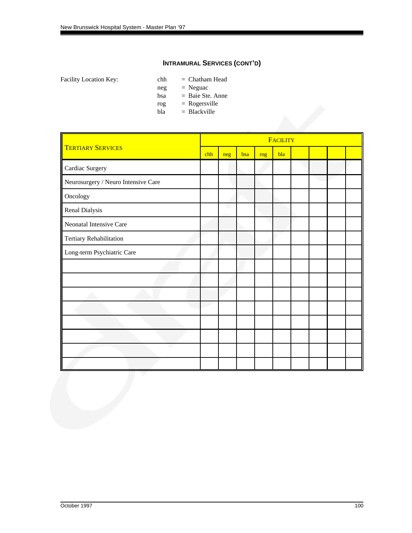- Facility Location Key: chh = Chatham Head
	- neg = Neguac
	- $bas \t = Baie Ste.$  Anne
	- $rog = Rogersville$
	- $bla = Blackville$

|                                     |     |     |     |     | <b>FACILITY</b> |  |  |
|-------------------------------------|-----|-----|-----|-----|-----------------|--|--|
| <b>TERTIARY SERVICES</b>            | chh | neg | bsa | rog | bla             |  |  |
| Cardiac Surgery                     |     |     |     |     |                 |  |  |
| Neurosurgery / Neuro Intensive Care |     |     |     |     |                 |  |  |
| Oncology                            |     |     |     |     |                 |  |  |
| Renal Dialysis                      |     |     |     |     |                 |  |  |
| Neonatal Intensive Care             |     |     |     |     |                 |  |  |
| Tertiary Rehabilitation             |     |     |     |     |                 |  |  |
| Long-term Psychiatric Care          |     |     |     |     |                 |  |  |
|                                     |     |     |     |     |                 |  |  |
|                                     |     |     |     |     |                 |  |  |
|                                     |     |     |     |     |                 |  |  |
|                                     |     |     |     |     |                 |  |  |
|                                     |     |     |     |     |                 |  |  |
|                                     |     |     |     |     |                 |  |  |
|                                     |     |     |     |     |                 |  |  |
|                                     |     |     |     |     |                 |  |  |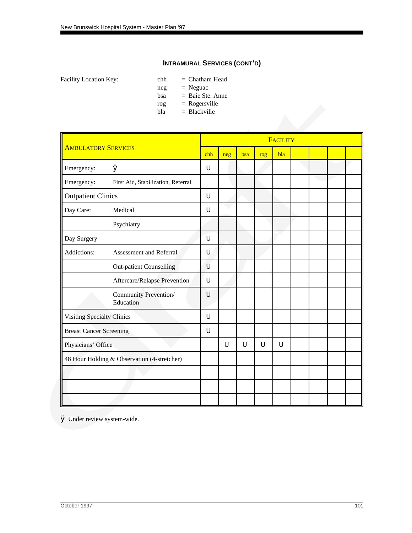- Facility Location Key: chh = Chatham Head
	- neg = Neguac
	- bsa = Baie Ste. Anne
	- $rog = Rogersville$
	- $bla = Blackville$

|                                   |                                             |     |     |     |     | <b>FACILITY</b> |  |  |
|-----------------------------------|---------------------------------------------|-----|-----|-----|-----|-----------------|--|--|
| <b>AMBULATORY SERVICES</b>        |                                             | chh | neg | bsa | rog | bla             |  |  |
| Emergency:                        | Ø                                           | U   |     |     |     |                 |  |  |
| Emergency:                        | First Aid, Stabilization, Referral          |     |     |     |     |                 |  |  |
| <b>Outpatient Clinics</b>         |                                             | U   |     |     |     |                 |  |  |
| Day Care:                         | Medical                                     | U   |     |     |     |                 |  |  |
|                                   | Psychiatry                                  |     |     |     |     |                 |  |  |
| Day Surgery                       |                                             | U   |     |     |     |                 |  |  |
| Addictions:                       | Assessment and Referral                     | U   |     |     |     |                 |  |  |
|                                   | <b>Out-patient Counselling</b>              | U   |     |     |     |                 |  |  |
|                                   | Aftercare/Relapse Prevention                | U   |     |     |     |                 |  |  |
|                                   | Community Prevention/<br>Education          | U   |     |     |     |                 |  |  |
| <b>Visiting Specialty Clinics</b> |                                             | U   |     |     |     |                 |  |  |
| <b>Breast Cancer Screening</b>    |                                             | U   |     |     |     |                 |  |  |
| Physicians' Office                |                                             |     | U   | U   | U   | U               |  |  |
|                                   | 48 Hour Holding & Observation (4-stretcher) |     |     |     |     |                 |  |  |
|                                   |                                             |     |     |     |     |                 |  |  |
|                                   |                                             |     |     |     |     |                 |  |  |
|                                   |                                             |     |     |     |     |                 |  |  |

Ø Under review system-wide.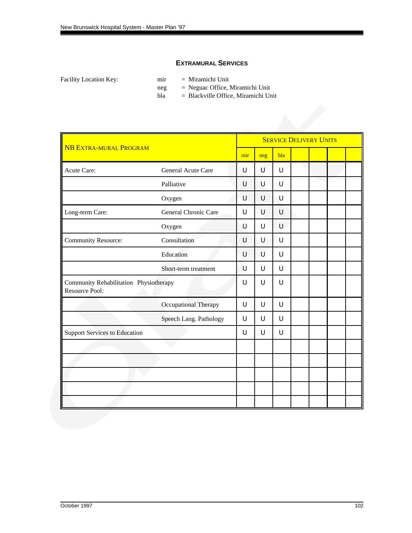### **EXTRAMURAL SERVICES**

Facility Location Key: mir = Miramichi Unit

- 
- neg = Neguac Office, Miramichi Unit
- $bla$  = Blackville Office, Miramichi Unit

|                                                          |                        |        |        |        | <b>SERVICE DELIVERY UNITS</b> |  |
|----------------------------------------------------------|------------------------|--------|--------|--------|-------------------------------|--|
| <b>NB EXTRA-MURAL PROGRAM</b>                            |                        | mir    | neg    | bla    |                               |  |
| Acute Care:                                              | General Acute Care     | U      | U      | $\cup$ |                               |  |
|                                                          | Palliative             | U      | U      | $\cup$ |                               |  |
|                                                          | Oxygen                 | U      | U      | U      |                               |  |
| Long-term Care:                                          | General Chronic Care   | U      | U      | $\cup$ |                               |  |
|                                                          | Oxygen                 | U      | U      | $\cup$ |                               |  |
| <b>Community Resource:</b>                               | Consultation           | U      | U      | U      |                               |  |
|                                                          | Education              | U      | U      | U      |                               |  |
|                                                          | Short-term treatment   | U      | U      | U      |                               |  |
| Community Rehabilitation Physiotherapy<br>Resource Pool: |                        | U      | U      | U      |                               |  |
|                                                          | Occupational Therapy   | U      | $\cup$ | U      |                               |  |
|                                                          | Speech Lang. Pathology | U      | $\cup$ | U      |                               |  |
| <b>Support Services to Education</b>                     |                        | $\cup$ | $\cup$ | U      |                               |  |
|                                                          |                        |        |        |        |                               |  |
|                                                          |                        |        |        |        |                               |  |
|                                                          |                        |        |        |        |                               |  |
|                                                          |                        |        |        |        |                               |  |
|                                                          |                        |        |        |        |                               |  |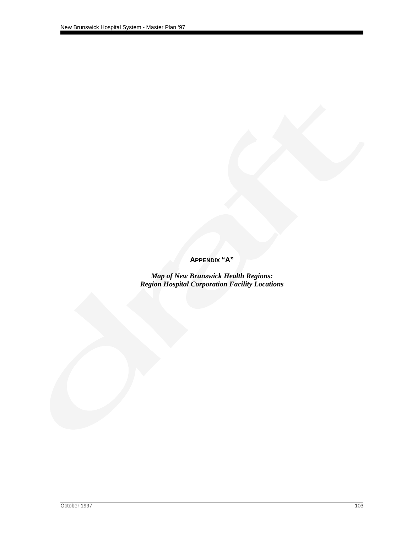**APPENDIX "A"**

*Map of New Brunswick Health Regions: Region Hospital Corporation Facility Locations*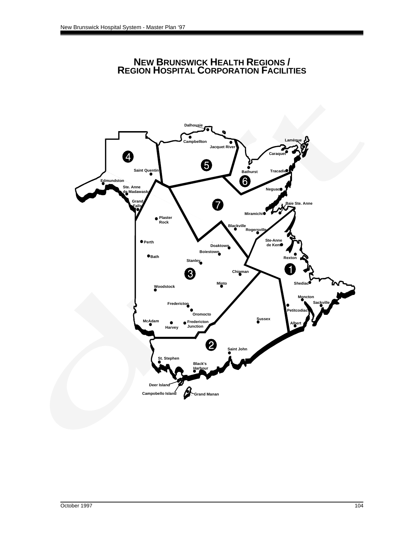

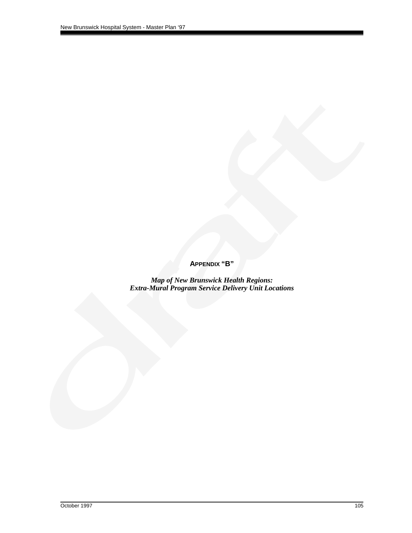**APPENDIX "B"**

*Map of New Brunswick Health Regions: Extra-Mural Program Service Delivery Unit Locations*